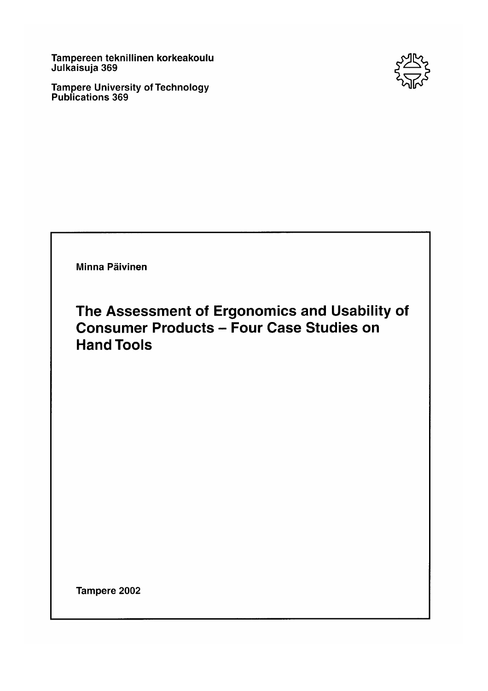Tampereen teknillinen korkeakoulu<br>Julkaisuja 369

Tampere University of Technology<br>Publications 369

Minna Päivinen

The Assessment of Ergonomics and Usability of **Consumer Products - Four Case Studies on Hand Tools** 

Tampere 2002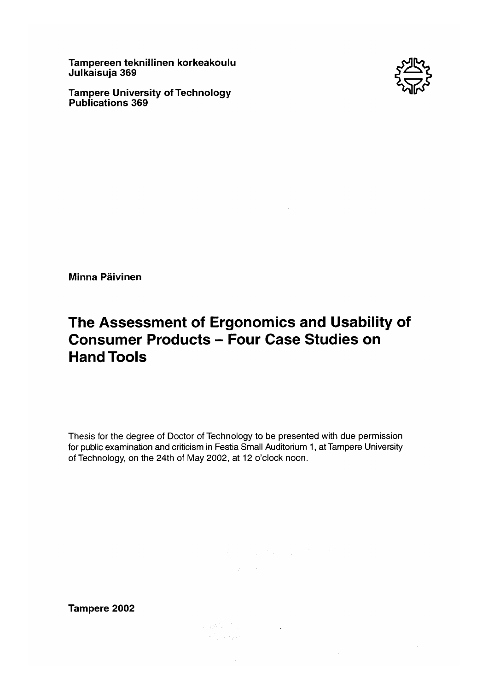Tampereen teknillinen korkeakoulu Julkaisuja 369

**Tampere University of Technology Publications 369** 



Minna Päivinen

# The Assessment of Ergonomics and Usability of **Consumer Products - Four Case Studies on Hand Tools**

Thesis for the degree of Doctor of Technology to be presented with due permission for public examination and criticism in Festia Small Auditorium 1, at Tampere University of Technology, on the 24th of May 2002, at 12 o'clock noon.

Tampere 2002

ings 1977<br>1971 - Papa Indonesia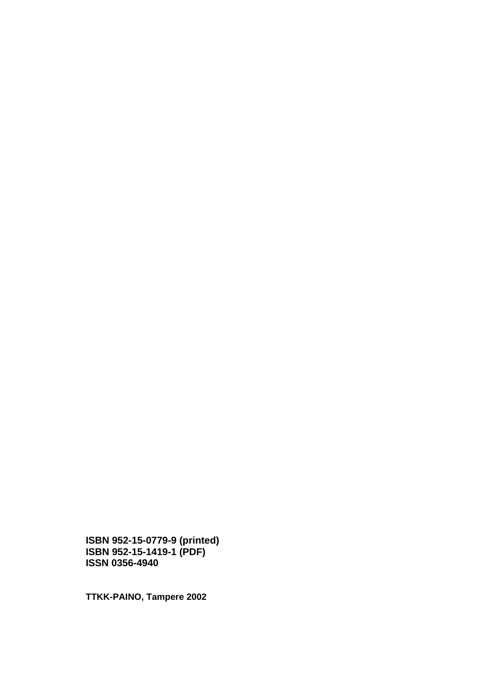**ISBN 952-15-0779-9 (printed) ISBN 952-15-1419-1 (PDF) ISSN 0356-4940** 

**TTKK-PAINO, Tampere 2002**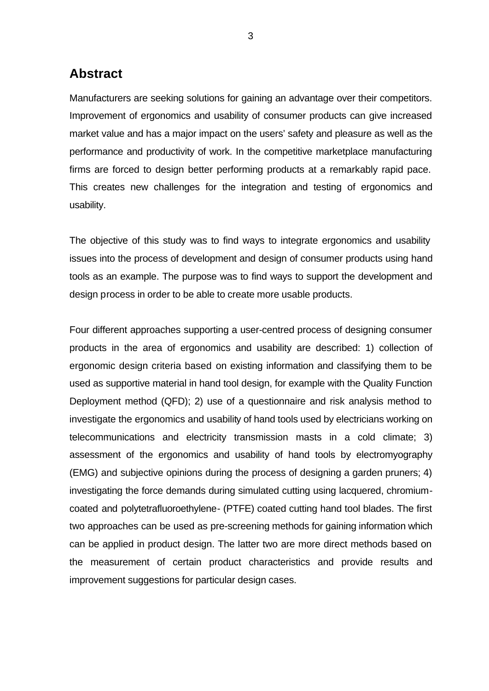## **Abstract**

Manufacturers are seeking solutions for gaining an advantage over their competitors. Improvement of ergonomics and usability of consumer products can give increased market value and has a major impact on the users' safety and pleasure as well as the performance and productivity of work. In the competitive marketplace manufacturing firms are forced to design better performing products at a remarkably rapid pace. This creates new challenges for the integration and testing of ergonomics and usability.

The objective of this study was to find ways to integrate ergonomics and usability issues into the process of development and design of consumer products using hand tools as an example. The purpose was to find ways to support the development and design process in order to be able to create more usable products.

Four different approaches supporting a user-centred process of designing consumer products in the area of ergonomics and usability are described: 1) collection of ergonomic design criteria based on existing information and classifying them to be used as supportive material in hand tool design, for example with the Quality Function Deployment method (QFD); 2) use of a questionnaire and risk analysis method to investigate the ergonomics and usability of hand tools used by electricians working on telecommunications and electricity transmission masts in a cold climate; 3) assessment of the ergonomics and usability of hand tools by electromyography (EMG) and subjective opinions during the process of designing a garden pruners; 4) investigating the force demands during simulated cutting using lacquered, chromiumcoated and polytetrafluoroethylene- (PTFE) coated cutting hand tool blades. The first two approaches can be used as pre-screening methods for gaining information which can be applied in product design. The latter two are more direct methods based on the measurement of certain product characteristics and provide results and improvement suggestions for particular design cases.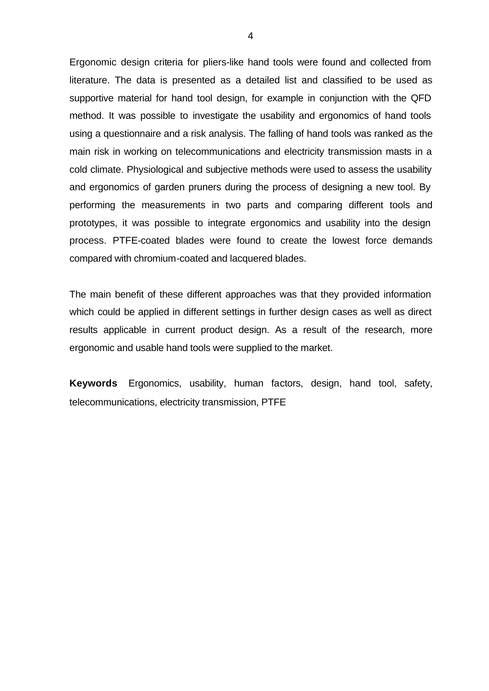Ergonomic design criteria for pliers-like hand tools were found and collected from literature. The data is presented as a detailed list and classified to be used as supportive material for hand tool design, for example in conjunction with the QFD method. It was possible to investigate the usability and ergonomics of hand tools using a questionnaire and a risk analysis. The falling of hand tools was ranked as the main risk in working on telecommunications and electricity transmission masts in a cold climate. Physiological and subjective methods were used to assess the usability and ergonomics of garden pruners during the process of designing a new tool. By performing the measurements in two parts and comparing different tools and prototypes, it was possible to integrate ergonomics and usability into the design process. PTFE-coated blades were found to create the lowest force demands compared with chromium-coated and lacquered blades.

The main benefit of these different approaches was that they provided information which could be applied in different settings in further design cases as well as direct results applicable in current product design. As a result of the research, more ergonomic and usable hand tools were supplied to the market.

**Keywords** Ergonomics, usability, human factors, design, hand tool, safety, telecommunications, electricity transmission, PTFE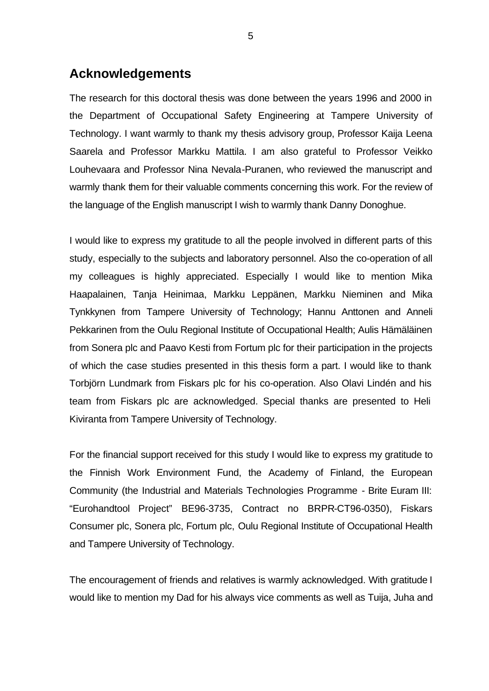## **Acknowledgements**

The research for this doctoral thesis was done between the years 1996 and 2000 in the Department of Occupational Safety Engineering at Tampere University of Technology. I want warmly to thank my thesis advisory group, Professor Kaija Leena Saarela and Professor Markku Mattila. I am also grateful to Professor Veikko Louhevaara and Professor Nina Nevala-Puranen, who reviewed the manuscript and warmly thank them for their valuable comments concerning this work. For the review of the language of the English manuscript I wish to warmly thank Danny Donoghue.

I would like to express my gratitude to all the people involved in different parts of this study, especially to the subjects and laboratory personnel. Also the co-operation of all my colleagues is highly appreciated. Especially I would like to mention Mika Haapalainen, Tanja Heinimaa, Markku Leppänen, Markku Nieminen and Mika Tynkkynen from Tampere University of Technology; Hannu Anttonen and Anneli Pekkarinen from the Oulu Regional Institute of Occupational Health; Aulis Hämäläinen from Sonera plc and Paavo Kesti from Fortum plc for their participation in the projects of which the case studies presented in this thesis form a part. I would like to thank Torbjörn Lundmark from Fiskars plc for his co-operation. Also Olavi Lindén and his team from Fiskars plc are acknowledged. Special thanks are presented to Heli Kiviranta from Tampere University of Technology.

For the financial support received for this study I would like to express my gratitude to the Finnish Work Environment Fund, the Academy of Finland, the European Community (the Industrial and Materials Technologies Programme - Brite Euram III: "Eurohandtool Project" BE96-3735, Contract no BRPR-CT96-0350), Fiskars Consumer plc, Sonera plc, Fortum plc, Oulu Regional Institute of Occupational Health and Tampere University of Technology.

The encouragement of friends and relatives is warmly acknowledged. With gratitude I would like to mention my Dad for his always vice comments as well as Tuija, Juha and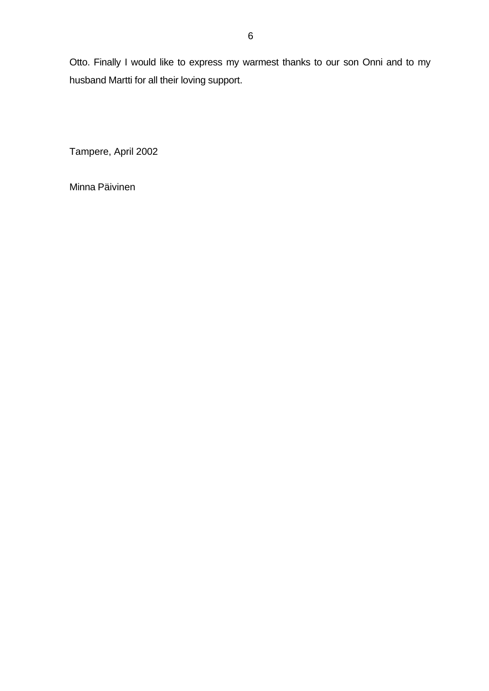Otto. Finally I would like to express my warmest thanks to our son Onni and to my husband Martti for all their loving support.

Tampere, April 2002

Minna Päivinen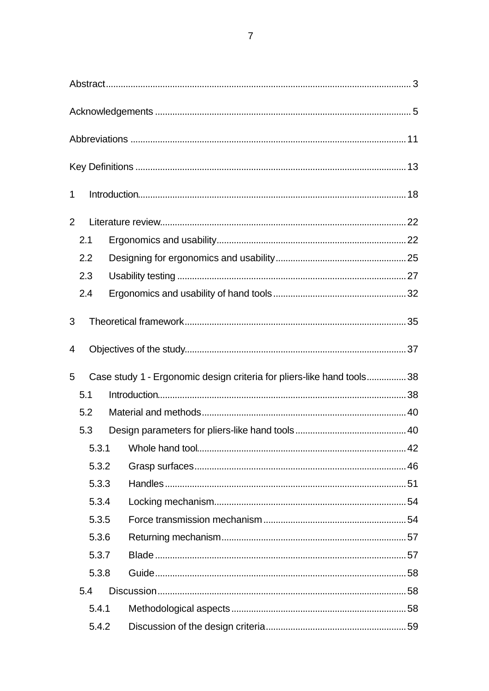| 7 |  |  |
|---|--|--|
|   |  |  |
|   |  |  |
|   |  |  |
|   |  |  |

| $\mathbf 1$    |       |                                                                       |  |
|----------------|-------|-----------------------------------------------------------------------|--|
| $\overline{2}$ |       |                                                                       |  |
|                | 2.1   |                                                                       |  |
|                | 2.2   |                                                                       |  |
|                | 2.3   |                                                                       |  |
|                | 2.4   |                                                                       |  |
| 3              |       |                                                                       |  |
| 4              |       |                                                                       |  |
| 5              |       | Case study 1 - Ergonomic design criteria for pliers-like hand tools38 |  |
|                | 5.1   |                                                                       |  |
|                | 5.2   |                                                                       |  |
|                | 5.3   |                                                                       |  |
|                | 5.3.1 |                                                                       |  |
|                | 5.3.2 |                                                                       |  |
|                | 5.3.3 |                                                                       |  |
|                | 5.3.4 |                                                                       |  |
|                | 5.3.5 |                                                                       |  |
|                | 5.3.6 |                                                                       |  |
|                | 5.3.7 |                                                                       |  |
|                | 5.3.8 |                                                                       |  |
|                | 5.4   |                                                                       |  |
|                | 5.4.1 |                                                                       |  |
|                | 5.4.2 |                                                                       |  |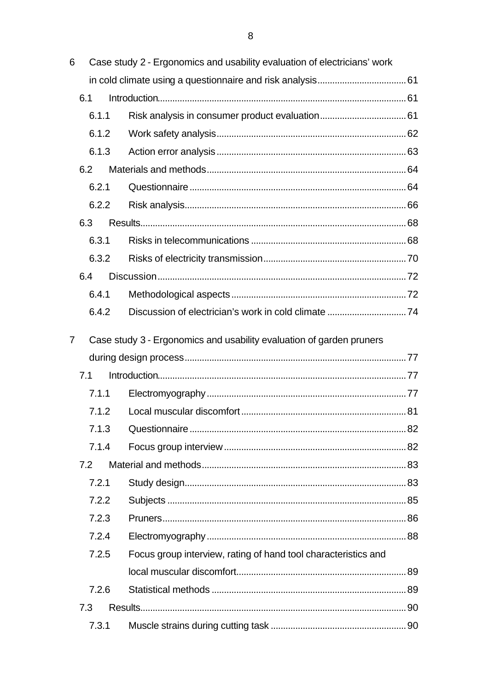| 6 |     |       | Case study 2 - Ergonomics and usability evaluation of electricians' work |  |
|---|-----|-------|--------------------------------------------------------------------------|--|
|   |     |       |                                                                          |  |
|   | 6.1 |       |                                                                          |  |
|   |     | 6.1.1 |                                                                          |  |
|   |     | 6.1.2 |                                                                          |  |
|   |     | 6.1.3 |                                                                          |  |
|   | 6.2 |       |                                                                          |  |
|   |     | 6.2.1 |                                                                          |  |
|   |     | 6.2.2 |                                                                          |  |
|   | 6.3 |       |                                                                          |  |
|   |     | 6.3.1 |                                                                          |  |
|   |     | 6.3.2 |                                                                          |  |
|   | 6.4 |       |                                                                          |  |
|   |     | 6.4.1 |                                                                          |  |
|   |     | 6.4.2 |                                                                          |  |
| 7 |     |       |                                                                          |  |
|   |     |       | Case study 3 - Ergonomics and usability evaluation of garden pruners     |  |
|   | 7.1 |       |                                                                          |  |
|   |     | 7.1.1 |                                                                          |  |
|   |     | 7.1.2 |                                                                          |  |
|   |     | 7.1.3 |                                                                          |  |
|   |     | 7.1.4 |                                                                          |  |
|   | 7.2 |       |                                                                          |  |
|   |     | 7.2.1 |                                                                          |  |
|   |     | 7.2.2 |                                                                          |  |
|   |     | 7.2.3 |                                                                          |  |
|   |     | 7.2.4 |                                                                          |  |
|   |     | 7.2.5 | Focus group interview, rating of hand tool characteristics and           |  |
|   |     |       |                                                                          |  |
|   |     | 7.2.6 |                                                                          |  |
|   | 7.3 |       |                                                                          |  |
|   |     |       |                                                                          |  |
|   |     | 7.3.1 |                                                                          |  |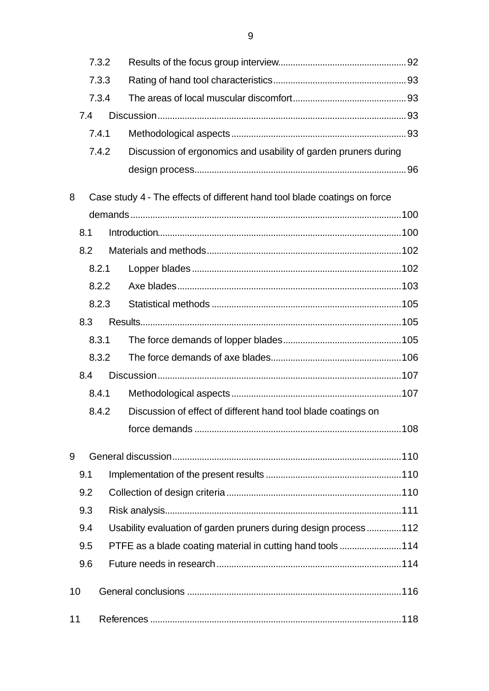|    |     | 7.3.2 |  |                                                                           |  |
|----|-----|-------|--|---------------------------------------------------------------------------|--|
|    |     | 7.3.3 |  |                                                                           |  |
|    |     | 7.3.4 |  |                                                                           |  |
|    | 7.4 |       |  |                                                                           |  |
|    |     | 7.4.1 |  |                                                                           |  |
|    |     | 7.4.2 |  | Discussion of ergonomics and usability of garden pruners during           |  |
|    |     |       |  |                                                                           |  |
|    |     |       |  |                                                                           |  |
| 8  |     |       |  | Case study 4 - The effects of different hand tool blade coatings on force |  |
|    |     |       |  |                                                                           |  |
|    | 8.1 |       |  |                                                                           |  |
|    | 8.2 |       |  |                                                                           |  |
|    |     | 8.2.1 |  |                                                                           |  |
|    |     | 8.2.2 |  |                                                                           |  |
|    |     | 8.2.3 |  |                                                                           |  |
|    | 8.3 |       |  |                                                                           |  |
|    |     | 8.3.1 |  |                                                                           |  |
|    |     | 8.3.2 |  |                                                                           |  |
|    | 8.4 |       |  |                                                                           |  |
|    |     | 8.4.1 |  |                                                                           |  |
|    |     | 8.4.2 |  | Discussion of effect of different hand tool blade coatings on             |  |
|    |     |       |  |                                                                           |  |
| 9  |     |       |  |                                                                           |  |
|    | 9.1 |       |  |                                                                           |  |
|    | 9.2 |       |  |                                                                           |  |
|    | 9.3 |       |  |                                                                           |  |
|    | 9.4 |       |  | Usability evaluation of garden pruners during design process 112          |  |
|    | 9.5 |       |  | PTFE as a blade coating material in cutting hand tools 114                |  |
|    | 9.6 |       |  |                                                                           |  |
| 10 |     |       |  |                                                                           |  |
|    |     |       |  |                                                                           |  |
| 11 |     |       |  |                                                                           |  |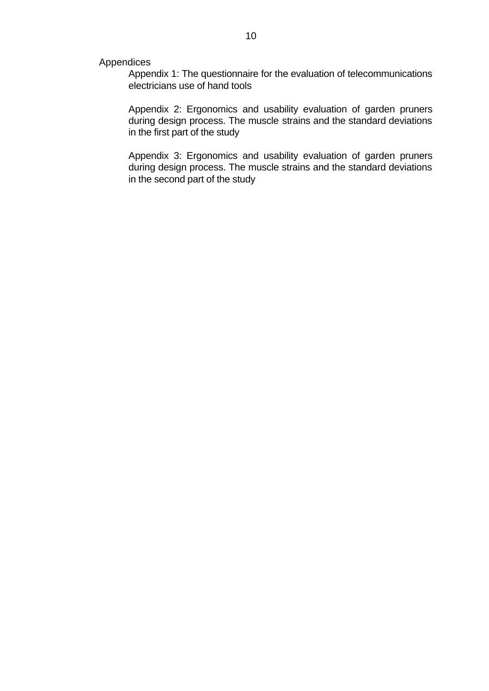Appendices

Appendix 1: The questionnaire for the evaluation of telecommunications electricians use of hand tools

Appendix 2: Ergonomics and usability evaluation of garden pruners during design process. The muscle strains and the standard deviations in the first part of the study

Appendix 3: Ergonomics and usability evaluation of garden pruners during design process. The muscle strains and the standard deviations in the second part of the study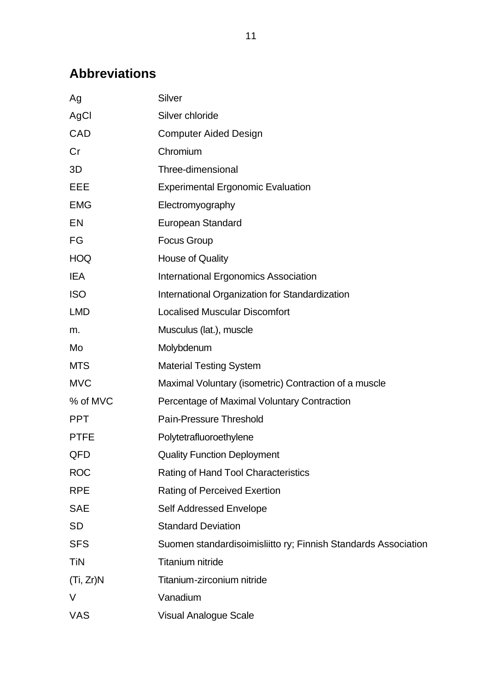# **Abbreviations**

| Ag          | Silver                                                         |
|-------------|----------------------------------------------------------------|
| AgCl        | Silver chloride                                                |
| CAD         | <b>Computer Aided Design</b>                                   |
| Cr          | Chromium                                                       |
| 3D          | Three-dimensional                                              |
| EEE         | <b>Experimental Ergonomic Evaluation</b>                       |
| <b>EMG</b>  | Electromyography                                               |
| EN          | <b>European Standard</b>                                       |
| FG          | <b>Focus Group</b>                                             |
| <b>HOQ</b>  | <b>House of Quality</b>                                        |
| <b>IEA</b>  | <b>International Ergonomics Association</b>                    |
| <b>ISO</b>  | International Organization for Standardization                 |
| <b>LMD</b>  | <b>Localised Muscular Discomfort</b>                           |
| m.          | Musculus (lat.), muscle                                        |
| Mo          | Molybdenum                                                     |
| <b>MTS</b>  | <b>Material Testing System</b>                                 |
| <b>MVC</b>  | Maximal Voluntary (isometric) Contraction of a muscle          |
| % of MVC    | Percentage of Maximal Voluntary Contraction                    |
| <b>PPT</b>  | <b>Pain-Pressure Threshold</b>                                 |
| <b>PTFE</b> | Polytetrafluoroethylene                                        |
| QFD         | <b>Quality Function Deployment</b>                             |
| <b>ROC</b>  | Rating of Hand Tool Characteristics                            |
| <b>RPE</b>  | <b>Rating of Perceived Exertion</b>                            |
| <b>SAE</b>  | Self Addressed Envelope                                        |
| <b>SD</b>   | <b>Standard Deviation</b>                                      |
| <b>SFS</b>  | Suomen standardisoimisliitto ry; Finnish Standards Association |
| TiN         | <b>Titanium nitride</b>                                        |
| (Ti, Zr)N   | Titanium-zirconium nitride                                     |
| V           | Vanadium                                                       |
| <b>VAS</b>  | <b>Visual Analogue Scale</b>                                   |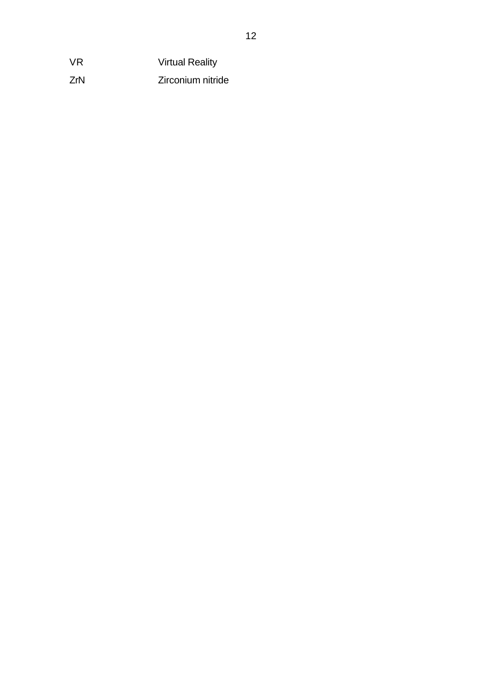VR Virtual Reality

ZrN Zirconium nitride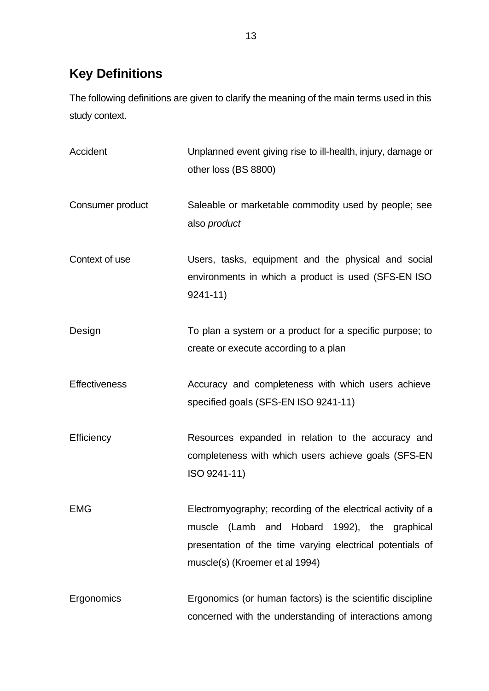# **Key Definitions**

The following definitions are given to clarify the meaning of the main terms used in this study context.

| Accident             | Unplanned event giving rise to ill-health, injury, damage or<br>other loss (BS 8800)                                                                                                                       |
|----------------------|------------------------------------------------------------------------------------------------------------------------------------------------------------------------------------------------------------|
| Consumer product     | Saleable or marketable commodity used by people; see<br>also product                                                                                                                                       |
| Context of use       | Users, tasks, equipment and the physical and social<br>environments in which a product is used (SFS-EN ISO<br>$9241 - 11$                                                                                  |
| Design               | To plan a system or a product for a specific purpose; to<br>create or execute according to a plan                                                                                                          |
| <b>Effectiveness</b> | Accuracy and completeness with which users achieve<br>specified goals (SFS-EN ISO 9241-11)                                                                                                                 |
| Efficiency           | Resources expanded in relation to the accuracy and<br>completeness with which users achieve goals (SFS-EN<br>ISO 9241-11)                                                                                  |
| <b>EMG</b>           | Electromyography; recording of the electrical activity of a<br>muscle (Lamb and Hobard 1992), the graphical<br>presentation of the time varying electrical potentials of<br>muscle(s) (Kroemer et al 1994) |
| Ergonomics           | Ergonomics (or human factors) is the scientific discipline<br>concerned with the understanding of interactions among                                                                                       |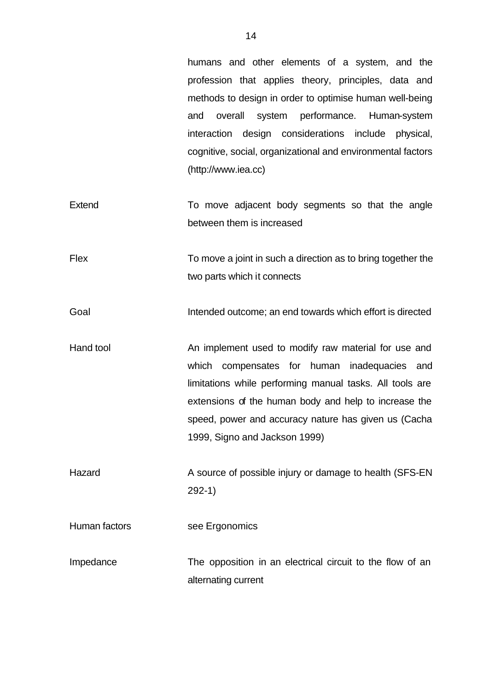humans and other elements of a system, and the profession that applies theory, principles, data and methods to design in order to optimise human well-being and overall system performance. Human-system interaction design considerations include physical, cognitive, social, organizational and environmental factors (http://www.iea.cc)

Extend To move adjacent body segments so that the angle between them is increased

Flex To move a joint in such a direction as to bring together the two parts which it connects

Goal **Intended outcome**; an end towards which effort is directed

Hand tool **An implement used to modify raw material for use and** which compensates for human inadequacies and limitations while performing manual tasks. All tools are extensions of the human body and help to increase the speed, power and accuracy nature has given us (Cacha 1999, Signo and Jackson 1999)

Hazard **A source of possible injury or damage to health (SFS-EN** 292-1)

Human factors see Ergonomics

Impedance The opposition in an electrical circuit to the flow of an alternating current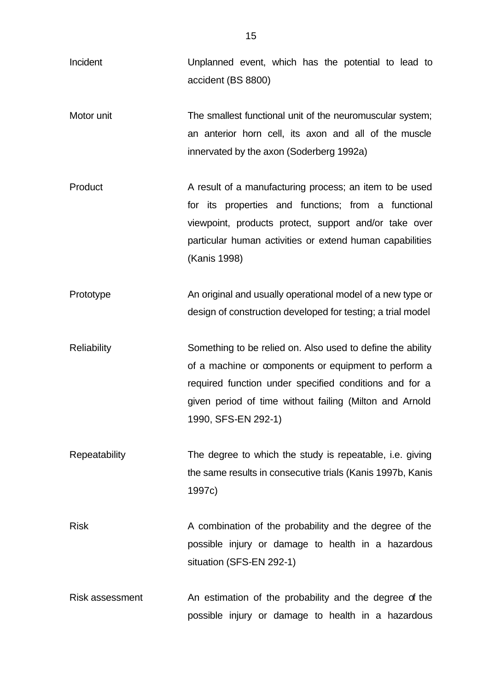| Incident           | Unplanned event, which has the potential to lead to<br>accident (BS 8800)                                                                                                                                                                                      |
|--------------------|----------------------------------------------------------------------------------------------------------------------------------------------------------------------------------------------------------------------------------------------------------------|
| Motor unit         | The smallest functional unit of the neuromuscular system;<br>an anterior horn cell, its axon and all of the muscle<br>innervated by the axon (Soderberg 1992a)                                                                                                 |
| Product            | A result of a manufacturing process; an item to be used<br>for its properties and functions; from a functional<br>viewpoint, products protect, support and/or take over<br>particular human activities or extend human capabilities<br>(Kanis 1998)            |
| Prototype          | An original and usually operational model of a new type or<br>design of construction developed for testing; a trial model                                                                                                                                      |
| <b>Reliability</b> | Something to be relied on. Also used to define the ability<br>of a machine or components or equipment to perform a<br>required function under specified conditions and for a<br>given period of time without failing (Milton and Arnold<br>1990, SFS-EN 292-1) |
| Repeatability      | The degree to which the study is repeatable, i.e. giving<br>the same results in consecutive trials (Kanis 1997b, Kanis<br>1997c)                                                                                                                               |
| <b>Risk</b>        | A combination of the probability and the degree of the<br>possible injury or damage to health in a hazardous<br>situation (SFS-EN 292-1)                                                                                                                       |
| Risk assessment    | An estimation of the probability and the degree of the<br>possible injury or damage to health in a hazardous                                                                                                                                                   |

15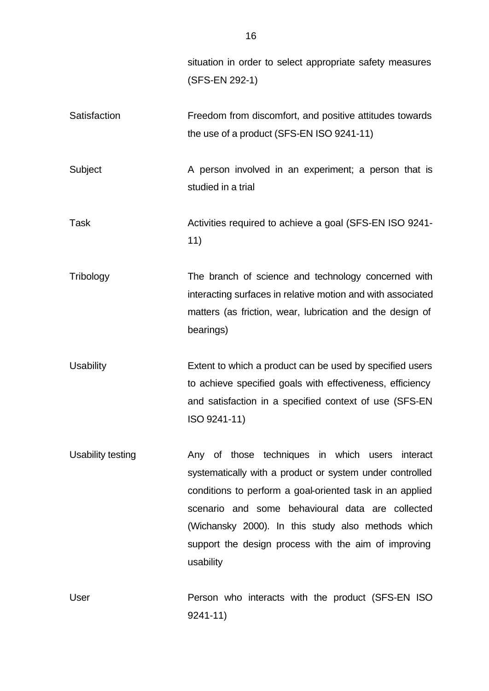situation in order to select appropriate safety measures (SFS-EN 292-1)

Satisfaction **Freedom from discomfort, and positive attitudes towards** the use of a product (SFS-EN ISO 9241-11)

Subject **A** person involved in an experiment; a person that is studied in a trial

Task Task Activities required to achieve a goal (SFS-EN ISO 9241-11)

Tribology The branch of science and technology concerned with interacting surfaces in relative motion and with associated matters (as friction, wear, lubrication and the design of bearings)

Usability Extent to which a product can be used by specified users to achieve specified goals with effectiveness, efficiency and satisfaction in a specified context of use (SFS-EN ISO 9241-11)

Usability testing The Any of those techniques in which users interact systematically with a product or system under controlled conditions to perform a goal-oriented task in an applied scenario and some behavioural data are collected (Wichansky 2000). In this study also methods which support the design process with the aim of improving usability

User **Person who interacts with the product (SFS-EN ISO** 9241-11)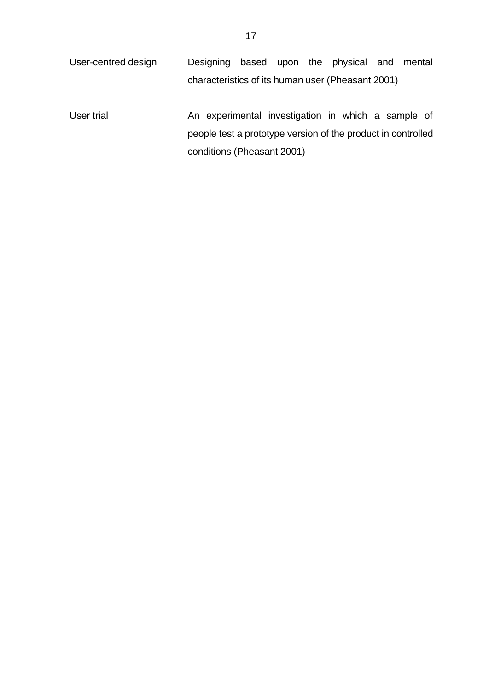- User-centred design Designing based upon the physical and mental characteristics of its human user (Pheasant 2001)
- User trial **An experimental investigation in which a sample of** people test a prototype version of the product in controlled conditions (Pheasant 2001)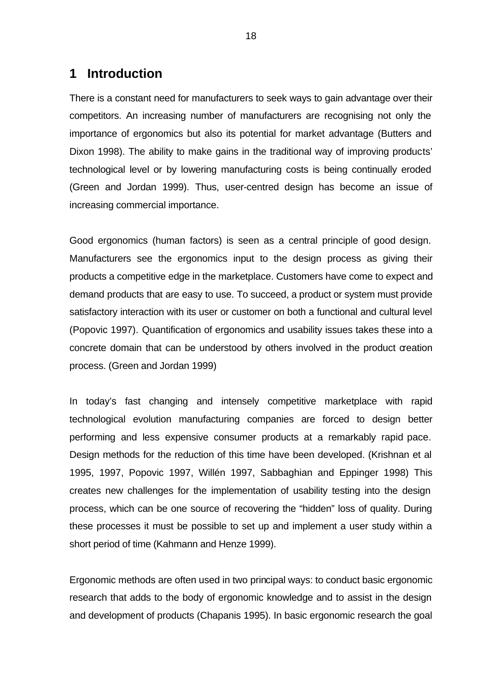### **1 Introduction**

There is a constant need for manufacturers to seek ways to gain advantage over their competitors. An increasing number of manufacturers are recognising not only the importance of ergonomics but also its potential for market advantage (Butters and Dixon 1998). The ability to make gains in the traditional way of improving products' technological level or by lowering manufacturing costs is being continually eroded (Green and Jordan 1999). Thus, user-centred design has become an issue of increasing commercial importance.

Good ergonomics (human factors) is seen as a central principle of good design. Manufacturers see the ergonomics input to the design process as giving their products a competitive edge in the marketplace. Customers have come to expect and demand products that are easy to use. To succeed, a product or system must provide satisfactory interaction with its user or customer on both a functional and cultural level (Popovic 1997). Quantification of ergonomics and usability issues takes these into a concrete domain that can be understood by others involved in the product creation process. (Green and Jordan 1999)

In today's fast changing and intensely competitive marketplace with rapid technological evolution manufacturing companies are forced to design better performing and less expensive consumer products at a remarkably rapid pace. Design methods for the reduction of this time have been developed. (Krishnan et al 1995, 1997, Popovic 1997, Willén 1997, Sabbaghian and Eppinger 1998) This creates new challenges for the implementation of usability testing into the design process, which can be one source of recovering the "hidden" loss of quality. During these processes it must be possible to set up and implement a user study within a short period of time (Kahmann and Henze 1999).

Ergonomic methods are often used in two principal ways: to conduct basic ergonomic research that adds to the body of ergonomic knowledge and to assist in the design and development of products (Chapanis 1995). In basic ergonomic research the goal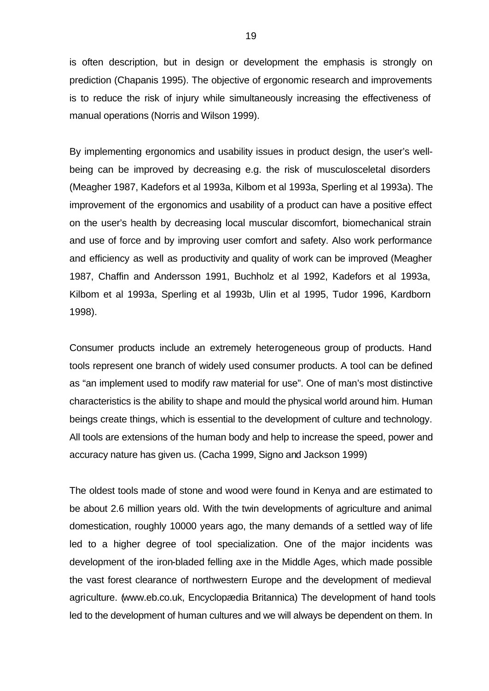is often description, but in design or development the emphasis is strongly on prediction (Chapanis 1995). The objective of ergonomic research and improvements is to reduce the risk of injury while simultaneously increasing the effectiveness of manual operations (Norris and Wilson 1999).

By implementing ergonomics and usability issues in product design, the user's wellbeing can be improved by decreasing e.g. the risk of musculosceletal disorders (Meagher 1987, Kadefors et al 1993a, Kilbom et al 1993a, Sperling et al 1993a). The improvement of the ergonomics and usability of a product can have a positive effect on the user's health by decreasing local muscular discomfort, biomechanical strain and use of force and by improving user comfort and safety. Also work performance and efficiency as well as productivity and quality of work can be improved (Meagher 1987, Chaffin and Andersson 1991, Buchholz et al 1992, Kadefors et al 1993a, Kilbom et al 1993a, Sperling et al 1993b, Ulin et al 1995, Tudor 1996, Kardborn 1998).

Consumer products include an extremely heterogeneous group of products. Hand tools represent one branch of widely used consumer products. A tool can be defined as "an implement used to modify raw material for use". One of man's most distinctive characteristics is the ability to shape and mould the physical world around him. Human beings create things, which is essential to the development of culture and technology. All tools are extensions of the human body and help to increase the speed, power and accuracy nature has given us. (Cacha 1999, Signo and Jackson 1999)

The oldest tools made of stone and wood were found in Kenya and are estimated to be about 2.6 million years old. With the twin developments of agriculture and animal domestication, roughly 10000 years ago, the many demands of a settled way of life led to a higher degree of tool specialization. One of the major incidents was development of the iron-bladed felling axe in the Middle Ages, which made possible the vast forest clearance of northwestern Europe and the development of medieval agriculture. (www.eb.co.uk, Encyclopædia Britannica) The development of hand tools led to the development of human cultures and we will always be dependent on them. In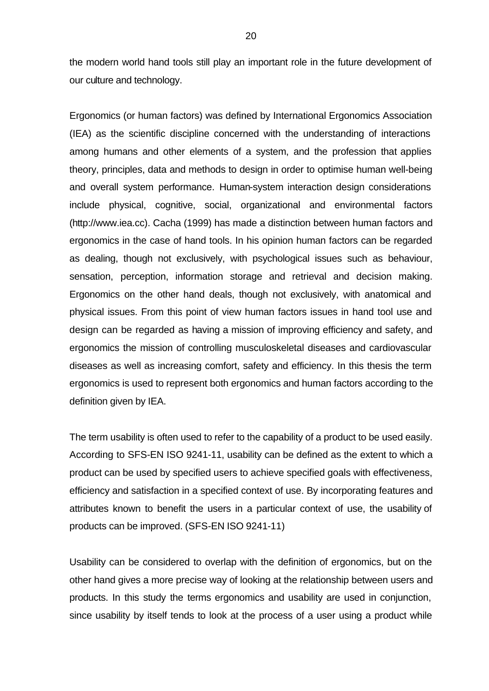the modern world hand tools still play an important role in the future development of our culture and technology.

Ergonomics (or human factors) was defined by International Ergonomics Association (IEA) as the scientific discipline concerned with the understanding of interactions among humans and other elements of a system, and the profession that applies theory, principles, data and methods to design in order to optimise human well-being and overall system performance. Human-system interaction design considerations include physical, cognitive, social, organizational and environmental factors (http://www.iea.cc). Cacha (1999) has made a distinction between human factors and ergonomics in the case of hand tools. In his opinion human factors can be regarded as dealing, though not exclusively, with psychological issues such as behaviour, sensation, perception, information storage and retrieval and decision making. Ergonomics on the other hand deals, though not exclusively, with anatomical and physical issues. From this point of view human factors issues in hand tool use and design can be regarded as having a mission of improving efficiency and safety, and ergonomics the mission of controlling musculoskeletal diseases and cardiovascular diseases as well as increasing comfort, safety and efficiency. In this thesis the term ergonomics is used to represent both ergonomics and human factors according to the definition given by IEA.

The term usability is often used to refer to the capability of a product to be used easily. According to SFS-EN ISO 9241-11, usability can be defined as the extent to which a product can be used by specified users to achieve specified goals with effectiveness, efficiency and satisfaction in a specified context of use. By incorporating features and attributes known to benefit the users in a particular context of use, the usability of products can be improved. (SFS-EN ISO 9241-11)

Usability can be considered to overlap with the definition of ergonomics, but on the other hand gives a more precise way of looking at the relationship between users and products. In this study the terms ergonomics and usability are used in conjunction, since usability by itself tends to look at the process of a user using a product while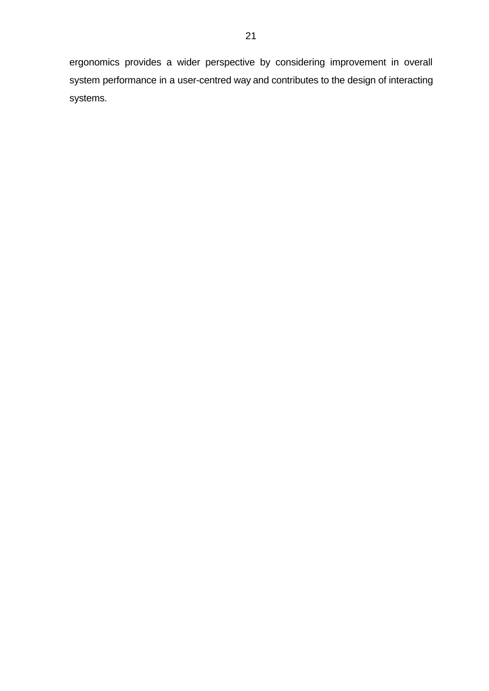ergonomics provides a wider perspective by considering improvement in overall system performance in a user-centred way and contributes to the design of interacting systems.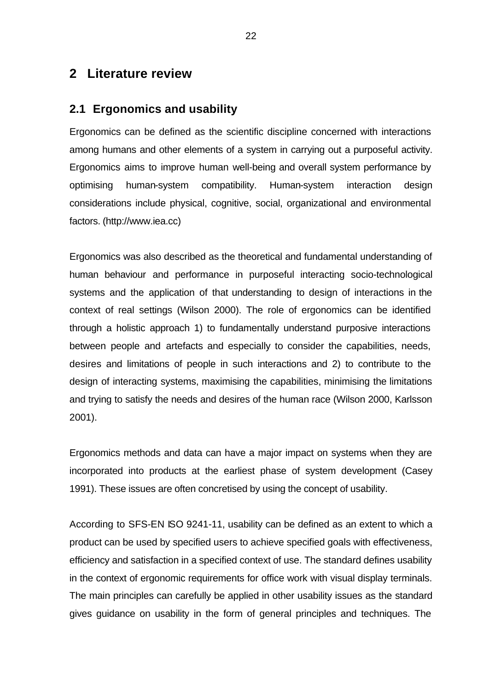## **2 Literature review**

### **2.1 Ergonomics and usability**

Ergonomics can be defined as the scientific discipline concerned with interactions among humans and other elements of a system in carrying out a purposeful activity. Ergonomics aims to improve human well-being and overall system performance by optimising human-system compatibility. Human-system interaction design considerations include physical, cognitive, social, organizational and environmental factors. (http://www.iea.cc)

Ergonomics was also described as the theoretical and fundamental understanding of human behaviour and performance in purposeful interacting socio-technological systems and the application of that understanding to design of interactions in the context of real settings (Wilson 2000). The role of ergonomics can be identified through a holistic approach 1) to fundamentally understand purposive interactions between people and artefacts and especially to consider the capabilities, needs, desires and limitations of people in such interactions and 2) to contribute to the design of interacting systems, maximising the capabilities, minimising the limitations and trying to satisfy the needs and desires of the human race (Wilson 2000, Karlsson 2001).

Ergonomics methods and data can have a major impact on systems when they are incorporated into products at the earliest phase of system development (Casey 1991). These issues are often concretised by using the concept of usability.

According to SFS-EN ISO 9241-11, usability can be defined as an extent to which a product can be used by specified users to achieve specified goals with effectiveness, efficiency and satisfaction in a specified context of use. The standard defines usability in the context of ergonomic requirements for office work with visual display terminals. The main principles can carefully be applied in other usability issues as the standard gives guidance on usability in the form of general principles and techniques. The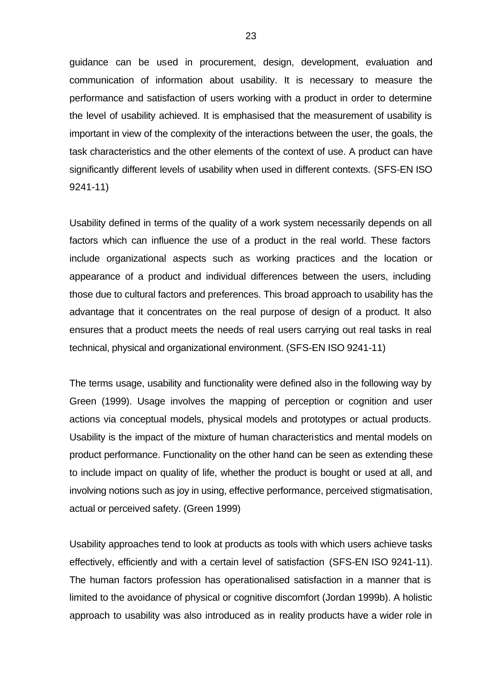guidance can be used in procurement, design, development, evaluation and communication of information about usability. It is necessary to measure the performance and satisfaction of users working with a product in order to determine the level of usability achieved. It is emphasised that the measurement of usability is important in view of the complexity of the interactions between the user, the goals, the task characteristics and the other elements of the context of use. A product can have significantly different levels of usability when used in different contexts. (SFS-EN ISO 9241-11)

Usability defined in terms of the quality of a work system necessarily depends on all factors which can influence the use of a product in the real world. These factors include organizational aspects such as working practices and the location or appearance of a product and individual differences between the users, including those due to cultural factors and preferences. This broad approach to usability has the advantage that it concentrates on the real purpose of design of a product. It also ensures that a product meets the needs of real users carrying out real tasks in real technical, physical and organizational environment. (SFS-EN ISO 9241-11)

The terms usage, usability and functionality were defined also in the following way by Green (1999). Usage involves the mapping of perception or cognition and user actions via conceptual models, physical models and prototypes or actual products. Usability is the impact of the mixture of human characteristics and mental models on product performance. Functionality on the other hand can be seen as extending these to include impact on quality of life, whether the product is bought or used at all, and involving notions such as joy in using, effective performance, perceived stigmatisation, actual or perceived safety. (Green 1999)

Usability approaches tend to look at products as tools with which users achieve tasks effectively, efficiently and with a certain level of satisfaction (SFS-EN ISO 9241-11). The human factors profession has operationalised satisfaction in a manner that is limited to the avoidance of physical or cognitive discomfort (Jordan 1999b). A holistic approach to usability was also introduced as in reality products have a wider role in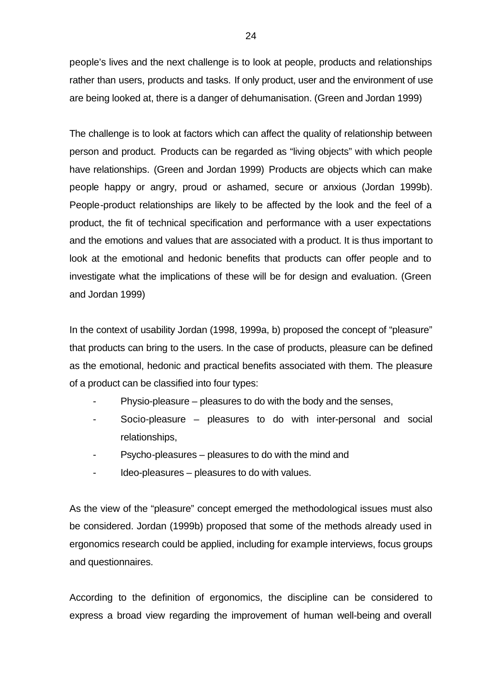people's lives and the next challenge is to look at people, products and relationships rather than users, products and tasks. If only product, user and the environment of use are being looked at, there is a danger of dehumanisation. (Green and Jordan 1999)

The challenge is to look at factors which can affect the quality of relationship between person and product. Products can be regarded as "living objects" with which people have relationships. (Green and Jordan 1999) Products are objects which can make people happy or angry, proud or ashamed, secure or anxious (Jordan 1999b). People-product relationships are likely to be affected by the look and the feel of a product, the fit of technical specification and performance with a user expectations and the emotions and values that are associated with a product. It is thus important to look at the emotional and hedonic benefits that products can offer people and to investigate what the implications of these will be for design and evaluation. (Green and Jordan 1999)

In the context of usability Jordan (1998, 1999a, b) proposed the concept of "pleasure" that products can bring to the users. In the case of products, pleasure can be defined as the emotional, hedonic and practical benefits associated with them. The pleasure of a product can be classified into four types:

- Physio-pleasure pleasures to do with the body and the senses,
- Socio-pleasure pleasures to do with inter-personal and social relationships,
- Psycho-pleasures pleasures to do with the mind and
- Ideo-pleasures pleasures to do with values.

As the view of the "pleasure" concept emerged the methodological issues must also be considered. Jordan (1999b) proposed that some of the methods already used in ergonomics research could be applied, including for example interviews, focus groups and questionnaires.

According to the definition of ergonomics, the discipline can be considered to express a broad view regarding the improvement of human well-being and overall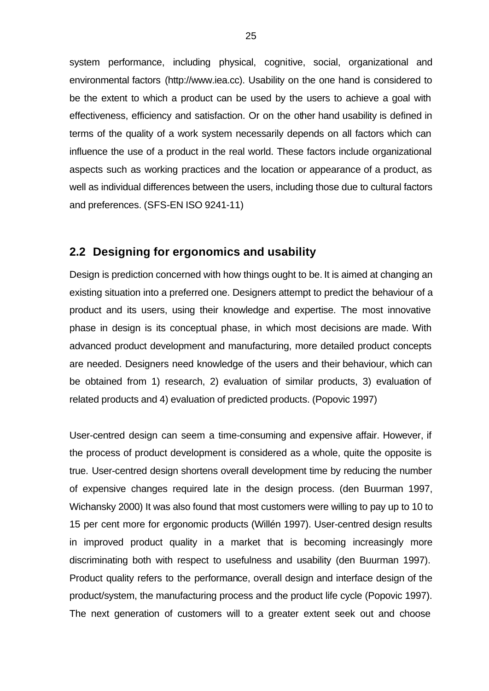system performance, including physical, cognitive, social, organizational and environmental factors (http://www.iea.cc). Usability on the one hand is considered to be the extent to which a product can be used by the users to achieve a goal with effectiveness, efficiency and satisfaction. Or on the other hand usability is defined in terms of the quality of a work system necessarily depends on all factors which can influence the use of a product in the real world. These factors include organizational aspects such as working practices and the location or appearance of a product, as well as individual differences between the users, including those due to cultural factors and preferences. (SFS-EN ISO 9241-11)

#### **2.2 Designing for ergonomics and usability**

Design is prediction concerned with how things ought to be. It is aimed at changing an existing situation into a preferred one. Designers attempt to predict the behaviour of a product and its users, using their knowledge and expertise. The most innovative phase in design is its conceptual phase, in which most decisions are made. With advanced product development and manufacturing, more detailed product concepts are needed. Designers need knowledge of the users and their behaviour, which can be obtained from 1) research, 2) evaluation of similar products, 3) evaluation of related products and 4) evaluation of predicted products. (Popovic 1997)

User-centred design can seem a time-consuming and expensive affair. However, if the process of product development is considered as a whole, quite the opposite is true. User-centred design shortens overall development time by reducing the number of expensive changes required late in the design process. (den Buurman 1997, Wichansky 2000) It was also found that most customers were willing to pay up to 10 to 15 per cent more for ergonomic products (Willén 1997). User-centred design results in improved product quality in a market that is becoming increasingly more discriminating both with respect to usefulness and usability (den Buurman 1997). Product quality refers to the performance, overall design and interface design of the product/system, the manufacturing process and the product life cycle (Popovic 1997). The next generation of customers will to a greater extent seek out and choose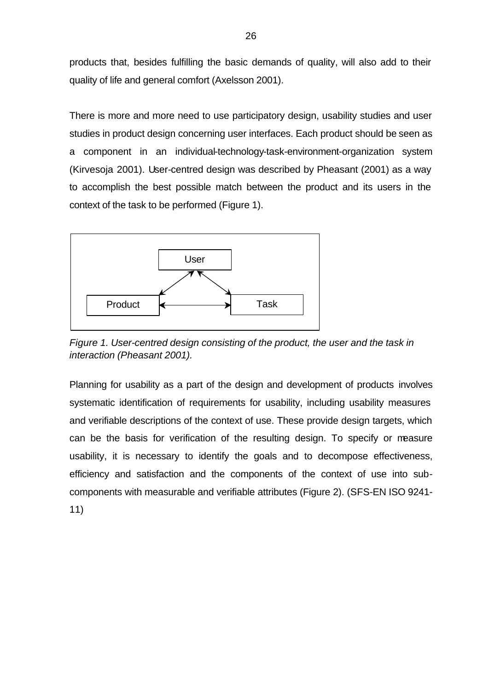products that, besides fulfilling the basic demands of quality, will also add to their quality of life and general comfort (Axelsson 2001).

There is more and more need to use participatory design, usability studies and user studies in product design concerning user interfaces. Each product should be seen as a component in an individual-technology-task-environment-organization system (Kirvesoja 2001). User-centred design was described by Pheasant (2001) as a way to accomplish the best possible match between the product and its users in the context of the task to be performed (Figure 1).



*Figure 1. User-centred design consisting of the product, the user and the task in interaction (Pheasant 2001).*

Planning for usability as a part of the design and development of products involves systematic identification of requirements for usability, including usability measures and verifiable descriptions of the context of use. These provide design targets, which can be the basis for verification of the resulting design. To specify or measure usability, it is necessary to identify the goals and to decompose effectiveness, efficiency and satisfaction and the components of the context of use into subcomponents with measurable and verifiable attributes (Figure 2). (SFS-EN ISO 9241-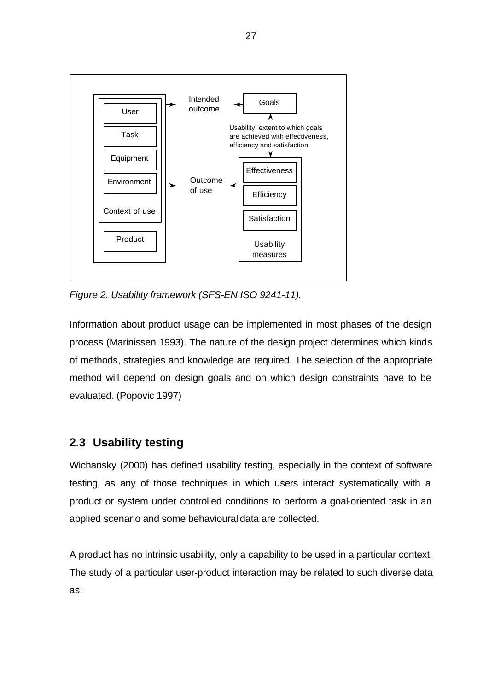

*Figure 2. Usability framework (SFS-EN ISO 9241-11).*

Information about product usage can be implemented in most phases of the design process (Marinissen 1993). The nature of the design project determines which kinds of methods, strategies and knowledge are required. The selection of the appropriate method will depend on design goals and on which design constraints have to be evaluated. (Popovic 1997)

## **2.3 Usability testing**

Wichansky (2000) has defined usability testing, especially in the context of software testing, as any of those techniques in which users interact systematically with a product or system under controlled conditions to perform a goal-oriented task in an applied scenario and some behavioural data are collected.

A product has no intrinsic usability, only a capability to be used in a particular context. The study of a particular user-product interaction may be related to such diverse data as: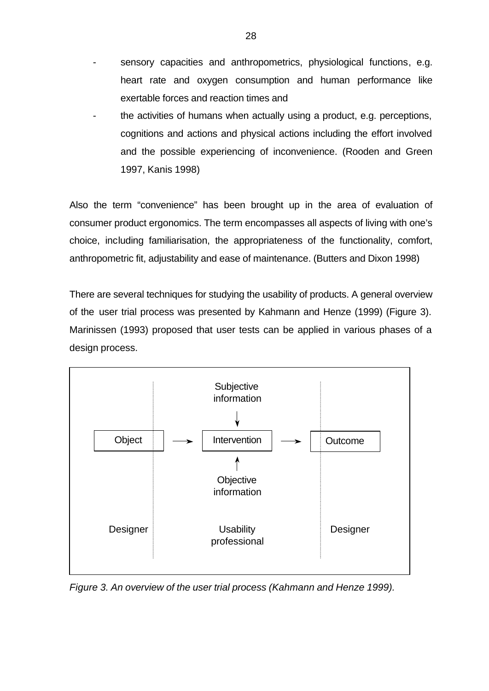- sensory capacities and anthropometrics, physiological functions, e.g. heart rate and oxygen consumption and human performance like exertable forces and reaction times and
- the activities of humans when actually using a product, e.g. perceptions, cognitions and actions and physical actions including the effort involved and the possible experiencing of inconvenience. (Rooden and Green 1997, Kanis 1998)

Also the term "convenience" has been brought up in the area of evaluation of consumer product ergonomics. The term encompasses all aspects of living with one's choice, including familiarisation, the appropriateness of the functionality, comfort, anthropometric fit, adjustability and ease of maintenance. (Butters and Dixon 1998)

There are several techniques for studying the usability of products. A general overview of the user trial process was presented by Kahmann and Henze (1999) (Figure 3). Marinissen (1993) proposed that user tests can be applied in various phases of a design process.



*Figure 3. An overview of the user trial process (Kahmann and Henze 1999).*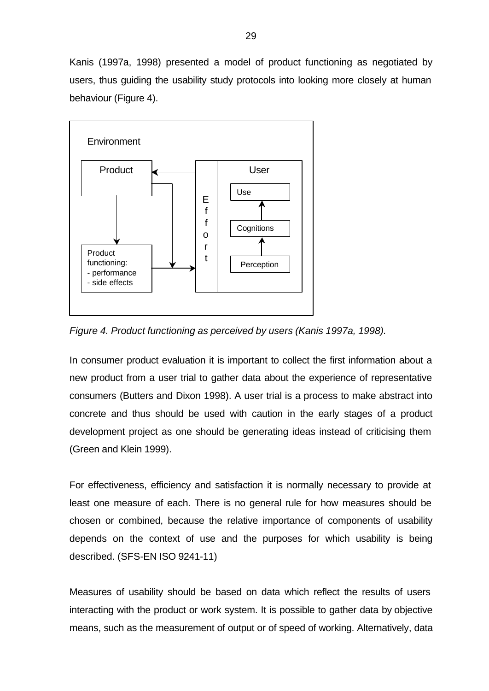Kanis (1997a, 1998) presented a model of product functioning as negotiated by users, thus guiding the usability study protocols into looking more closely at human behaviour (Figure 4).



*Figure 4. Product functioning as perceived by users (Kanis 1997a, 1998).*

In consumer product evaluation it is important to collect the first information about a new product from a user trial to gather data about the experience of representative consumers (Butters and Dixon 1998). A user trial is a process to make abstract into concrete and thus should be used with caution in the early stages of a product development project as one should be generating ideas instead of criticising them (Green and Klein 1999).

For effectiveness, efficiency and satisfaction it is normally necessary to provide at least one measure of each. There is no general rule for how measures should be chosen or combined, because the relative importance of components of usability depends on the context of use and the purposes for which usability is being described. (SFS-EN ISO 9241-11)

Measures of usability should be based on data which reflect the results of users interacting with the product or work system. It is possible to gather data by objective means, such as the measurement of output or of speed of working. Alternatively, data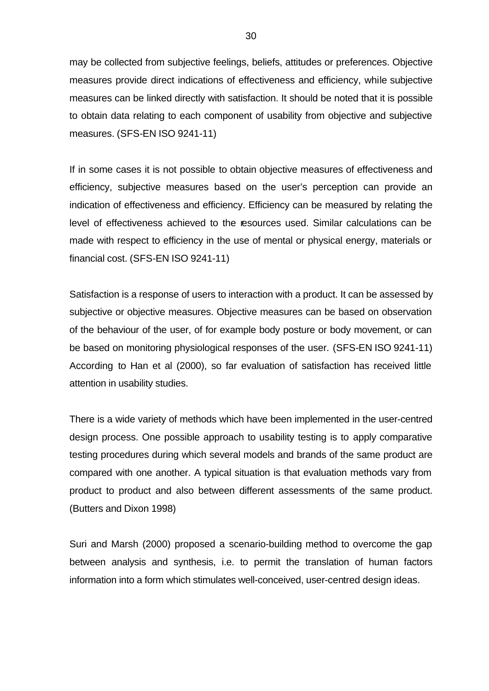may be collected from subjective feelings, beliefs, attitudes or preferences. Objective measures provide direct indications of effectiveness and efficiency, while subjective measures can be linked directly with satisfaction. It should be noted that it is possible to obtain data relating to each component of usability from objective and subjective measures. (SFS-EN ISO 9241-11)

If in some cases it is not possible to obtain objective measures of effectiveness and efficiency, subjective measures based on the user's perception can provide an indication of effectiveness and efficiency. Efficiency can be measured by relating the level of effectiveness achieved to the resources used. Similar calculations can be made with respect to efficiency in the use of mental or physical energy, materials or financial cost. (SFS-EN ISO 9241-11)

Satisfaction is a response of users to interaction with a product. It can be assessed by subjective or objective measures. Objective measures can be based on observation of the behaviour of the user, of for example body posture or body movement, or can be based on monitoring physiological responses of the user. (SFS-EN ISO 9241-11) According to Han et al (2000), so far evaluation of satisfaction has received little attention in usability studies.

There is a wide variety of methods which have been implemented in the user-centred design process. One possible approach to usability testing is to apply comparative testing procedures during which several models and brands of the same product are compared with one another. A typical situation is that evaluation methods vary from product to product and also between different assessments of the same product. (Butters and Dixon 1998)

Suri and Marsh (2000) proposed a scenario-building method to overcome the gap between analysis and synthesis, i.e. to permit the translation of human factors information into a form which stimulates well-conceived, user-centred design ideas.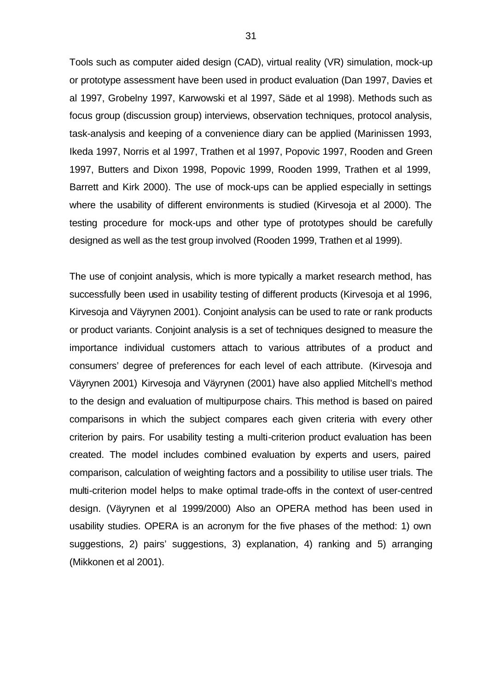Tools such as computer aided design (CAD), virtual reality (VR) simulation, mock-up or prototype assessment have been used in product evaluation (Dan 1997, Davies et al 1997, Grobelny 1997, Karwowski et al 1997, Säde et al 1998). Methods such as focus group (discussion group) interviews, observation techniques, protocol analysis, task-analysis and keeping of a convenience diary can be applied (Marinissen 1993, Ikeda 1997, Norris et al 1997, Trathen et al 1997, Popovic 1997, Rooden and Green 1997, Butters and Dixon 1998, Popovic 1999, Rooden 1999, Trathen et al 1999, Barrett and Kirk 2000). The use of mock-ups can be applied especially in settings where the usability of different environments is studied (Kirvesoja et al 2000). The testing procedure for mock-ups and other type of prototypes should be carefully designed as well as the test group involved (Rooden 1999, Trathen et al 1999).

The use of conjoint analysis, which is more typically a market research method, has successfully been used in usability testing of different products (Kirvesoja et al 1996, Kirvesoja and Väyrynen 2001). Conjoint analysis can be used to rate or rank products or product variants. Conjoint analysis is a set of techniques designed to measure the importance individual customers attach to various attributes of a product and consumers' degree of preferences for each level of each attribute. (Kirvesoja and Väyrynen 2001) Kirvesoja and Väyrynen (2001) have also applied Mitchell's method to the design and evaluation of multipurpose chairs. This method is based on paired comparisons in which the subject compares each given criteria with every other criterion by pairs. For usability testing a multi-criterion product evaluation has been created. The model includes combined evaluation by experts and users, paired comparison, calculation of weighting factors and a possibility to utilise user trials. The multi-criterion model helps to make optimal trade-offs in the context of user-centred design. (Väyrynen et al 1999/2000) Also an OPERA method has been used in usability studies. OPERA is an acronym for the five phases of the method: 1) own suggestions, 2) pairs' suggestions, 3) explanation, 4) ranking and 5) arranging (Mikkonen et al 2001).

31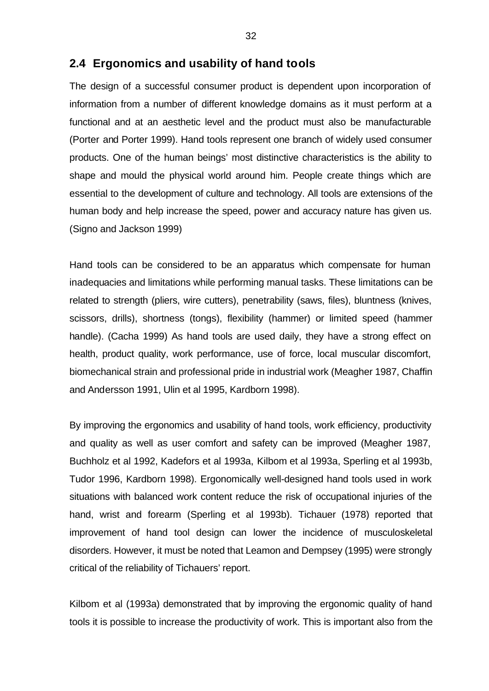#### **2.4 Ergonomics and usability of hand tools**

The design of a successful consumer product is dependent upon incorporation of information from a number of different knowledge domains as it must perform at a functional and at an aesthetic level and the product must also be manufacturable (Porter and Porter 1999). Hand tools represent one branch of widely used consumer products. One of the human beings' most distinctive characteristics is the ability to shape and mould the physical world around him. People create things which are essential to the development of culture and technology. All tools are extensions of the human body and help increase the speed, power and accuracy nature has given us. (Signo and Jackson 1999)

Hand tools can be considered to be an apparatus which compensate for human inadequacies and limitations while performing manual tasks. These limitations can be related to strength (pliers, wire cutters), penetrability (saws, files), bluntness (knives, scissors, drills), shortness (tongs), flexibility (hammer) or limited speed (hammer handle). (Cacha 1999) As hand tools are used daily, they have a strong effect on health, product quality, work performance, use of force, local muscular discomfort, biomechanical strain and professional pride in industrial work (Meagher 1987, Chaffin and Andersson 1991, Ulin et al 1995, Kardborn 1998).

By improving the ergonomics and usability of hand tools, work efficiency, productivity and quality as well as user comfort and safety can be improved (Meagher 1987, Buchholz et al 1992, Kadefors et al 1993a, Kilbom et al 1993a, Sperling et al 1993b, Tudor 1996, Kardborn 1998). Ergonomically well-designed hand tools used in work situations with balanced work content reduce the risk of occupational injuries of the hand, wrist and forearm (Sperling et al 1993b). Tichauer (1978) reported that improvement of hand tool design can lower the incidence of musculoskeletal disorders. However, it must be noted that Leamon and Dempsey (1995) were strongly critical of the reliability of Tichauers' report.

Kilbom et al (1993a) demonstrated that by improving the ergonomic quality of hand tools it is possible to increase the productivity of work. This is important also from the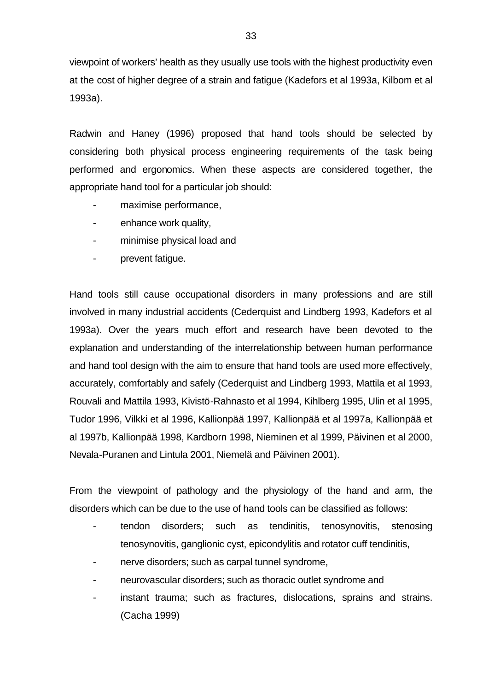viewpoint of workers' health as they usually use tools with the highest productivity even at the cost of higher degree of a strain and fatigue (Kadefors et al 1993a, Kilbom et al 1993a).

Radwin and Haney (1996) proposed that hand tools should be selected by considering both physical process engineering requirements of the task being performed and ergonomics. When these aspects are considered together, the appropriate hand tool for a particular job should:

- maximise performance,
- enhance work quality,
- minimise physical load and
- prevent fatigue.

Hand tools still cause occupational disorders in many professions and are still involved in many industrial accidents (Cederquist and Lindberg 1993, Kadefors et al 1993a). Over the years much effort and research have been devoted to the explanation and understanding of the interrelationship between human performance and hand tool design with the aim to ensure that hand tools are used more effectively, accurately, comfortably and safely (Cederquist and Lindberg 1993, Mattila et al 1993, Rouvali and Mattila 1993, Kivistö-Rahnasto et al 1994, Kihlberg 1995, Ulin et al 1995, Tudor 1996, Vilkki et al 1996, Kallionpää 1997, Kallionpää et al 1997a, Kallionpää et al 1997b, Kallionpää 1998, Kardborn 1998, Nieminen et al 1999, Päivinen et al 2000, Nevala-Puranen and Lintula 2001, Niemelä and Päivinen 2001).

From the viewpoint of pathology and the physiology of the hand and arm, the disorders which can be due to the use of hand tools can be classified as follows:

- tendon disorders; such as tendinitis, tenosynovitis, stenosing tenosynovitis, ganglionic cyst, epicondylitis and rotator cuff tendinitis,
- nerve disorders; such as carpal tunnel syndrome,
- neurovascular disorders; such as thoracic outlet syndrome and
- instant trauma; such as fractures, dislocations, sprains and strains. (Cacha 1999)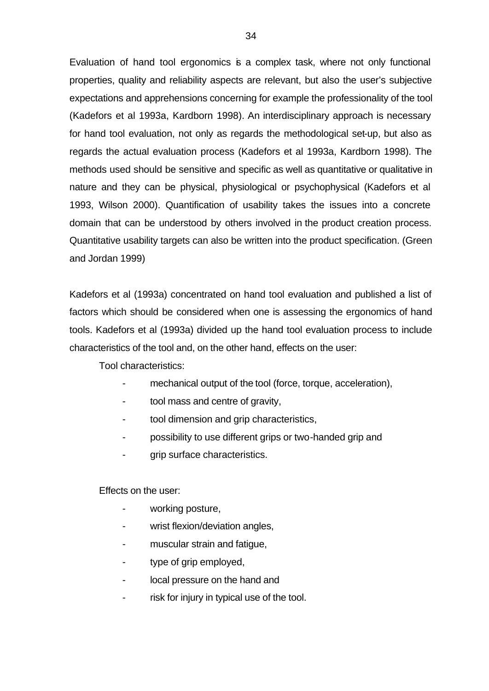Evaluation of hand tool ergonomics is a complex task, where not only functional properties, quality and reliability aspects are relevant, but also the user's subjective expectations and apprehensions concerning for example the professionality of the tool (Kadefors et al 1993a, Kardborn 1998). An interdisciplinary approach is necessary for hand tool evaluation, not only as regards the methodological set-up, but also as regards the actual evaluation process (Kadefors et al 1993a, Kardborn 1998). The methods used should be sensitive and specific as well as quantitative or qualitative in nature and they can be physical, physiological or psychophysical (Kadefors et al 1993, Wilson 2000). Quantification of usability takes the issues into a concrete domain that can be understood by others involved in the product creation process. Quantitative usability targets can also be written into the product specification. (Green and Jordan 1999)

Kadefors et al (1993a) concentrated on hand tool evaluation and published a list of factors which should be considered when one is assessing the ergonomics of hand tools. Kadefors et al (1993a) divided up the hand tool evaluation process to include characteristics of the tool and, on the other hand, effects on the user:

Tool characteristics:

- mechanical output of the tool (force, torque, acceleration),
- tool mass and centre of gravity,
- tool dimension and grip characteristics,
- possibility to use different grips or two-handed grip and
- grip surface characteristics.

Effects on the user:

- working posture,
- wrist flexion/deviation angles,
- muscular strain and fatigue,
- type of grip employed,
- local pressure on the hand and
- risk for injury in typical use of the tool.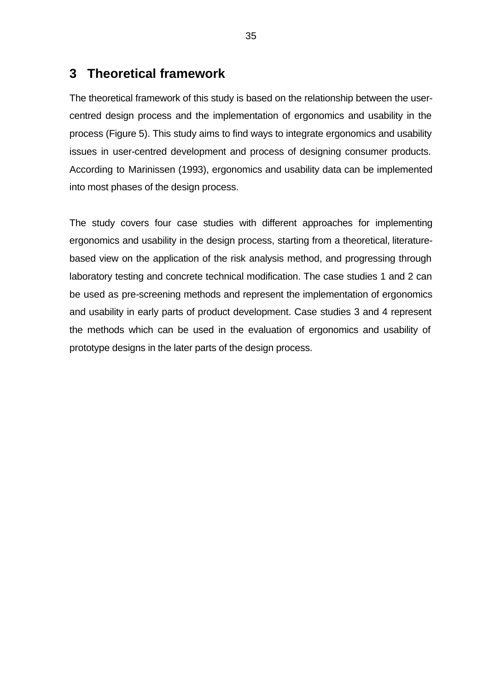# **3 Theoretical framework**

The theoretical framework of this study is based on the relationship between the usercentred design process and the implementation of ergonomics and usability in the process (Figure 5). This study aims to find ways to integrate ergonomics and usability issues in user-centred development and process of designing consumer products. According to Marinissen (1993), ergonomics and usability data can be implemented into most phases of the design process.

The study covers four case studies with different approaches for implementing ergonomics and usability in the design process, starting from a theoretical, literaturebased view on the application of the risk analysis method, and progressing through laboratory testing and concrete technical modification. The case studies 1 and 2 can be used as pre-screening methods and represent the implementation of ergonomics and usability in early parts of product development. Case studies 3 and 4 represent the methods which can be used in the evaluation of ergonomics and usability of prototype designs in the later parts of the design process.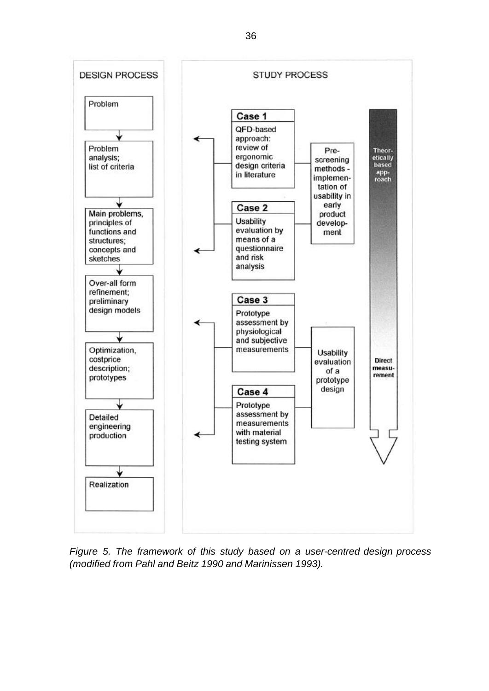

*Figure 5. The framework of this study based on a user-centred design process (modified from Pahl and Beitz 1990 and Marinissen 1993).*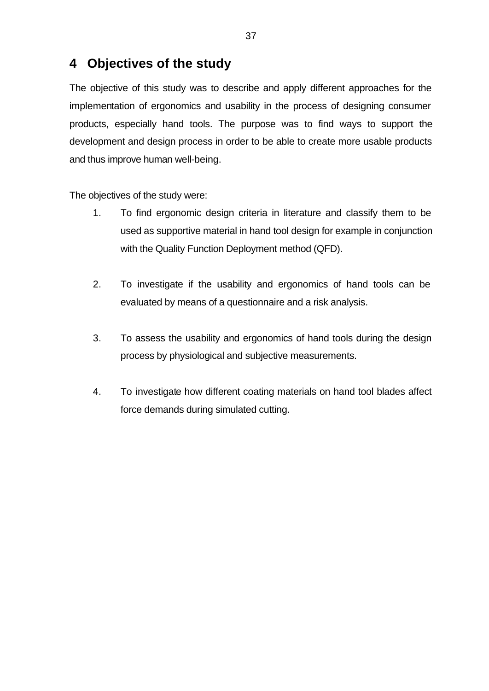# **4 Objectives of the study**

The objective of this study was to describe and apply different approaches for the implementation of ergonomics and usability in the process of designing consumer products, especially hand tools. The purpose was to find ways to support the development and design process in order to be able to create more usable products and thus improve human well-being.

The objectives of the study were:

- 1. To find ergonomic design criteria in literature and classify them to be used as supportive material in hand tool design for example in conjunction with the Quality Function Deployment method (QFD).
- 2. To investigate if the usability and ergonomics of hand tools can be evaluated by means of a questionnaire and a risk analysis.
- 3. To assess the usability and ergonomics of hand tools during the design process by physiological and subjective measurements.
- 4. To investigate how different coating materials on hand tool blades affect force demands during simulated cutting.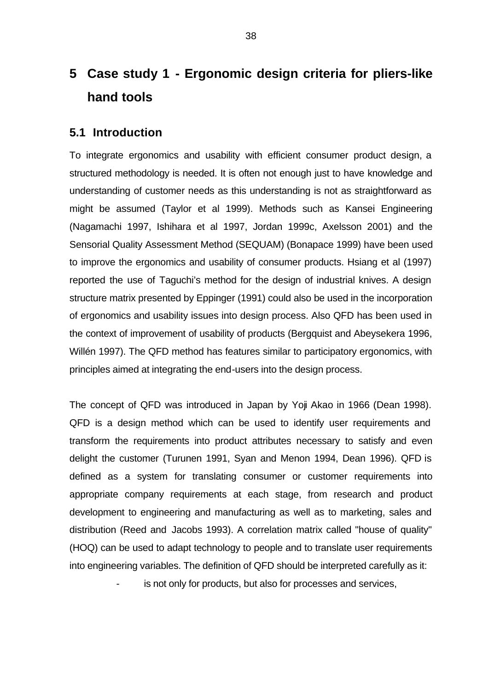# **5 Case study 1 - Ergonomic design criteria for pliers-like hand tools**

# **5.1 Introduction**

To integrate ergonomics and usability with efficient consumer product design, a structured methodology is needed. It is often not enough just to have knowledge and understanding of customer needs as this understanding is not as straightforward as might be assumed (Taylor et al 1999). Methods such as Kansei Engineering (Nagamachi 1997, Ishihara et al 1997, Jordan 1999c, Axelsson 2001) and the Sensorial Quality Assessment Method (SEQUAM) (Bonapace 1999) have been used to improve the ergonomics and usability of consumer products. Hsiang et al (1997) reported the use of Taguchi's method for the design of industrial knives. A design structure matrix presented by Eppinger (1991) could also be used in the incorporation of ergonomics and usability issues into design process. Also QFD has been used in the context of improvement of usability of products (Bergquist and Abeysekera 1996, Willén 1997). The QFD method has features similar to participatory ergonomics, with principles aimed at integrating the end-users into the design process.

The concept of QFD was introduced in Japan by Yoji Akao in 1966 (Dean 1998). QFD is a design method which can be used to identify user requirements and transform the requirements into product attributes necessary to satisfy and even delight the customer (Turunen 1991, Syan and Menon 1994, Dean 1996). QFD is defined as a system for translating consumer or customer requirements into appropriate company requirements at each stage, from research and product development to engineering and manufacturing as well as to marketing, sales and distribution (Reed and Jacobs 1993). A correlation matrix called "house of quality" (HOQ) can be used to adapt technology to people and to translate user requirements into engineering variables. The definition of QFD should be interpreted carefully as it:

is not only for products, but also for processes and services,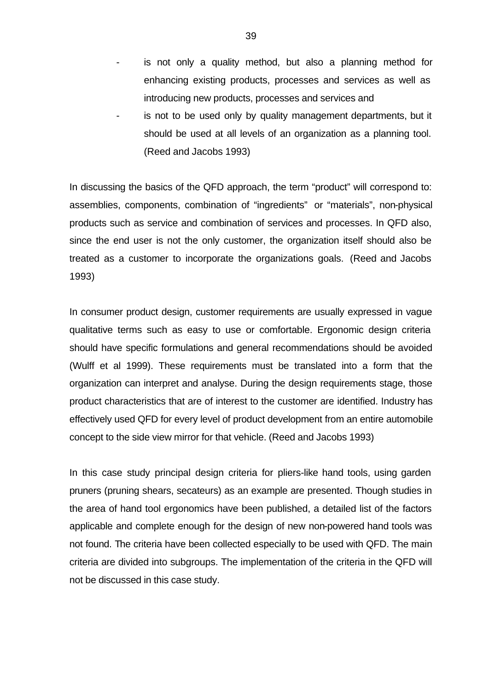- is not only a quality method, but also a planning method for enhancing existing products, processes and services as well as introducing new products, processes and services and
- is not to be used only by quality management departments, but it should be used at all levels of an organization as a planning tool. (Reed and Jacobs 1993)

In discussing the basics of the QFD approach, the term "product" will correspond to: assemblies, components, combination of "ingredients" or "materials", non-physical products such as service and combination of services and processes. In QFD also, since the end user is not the only customer, the organization itself should also be treated as a customer to incorporate the organizations goals. (Reed and Jacobs 1993)

In consumer product design, customer requirements are usually expressed in vague qualitative terms such as easy to use or comfortable. Ergonomic design criteria should have specific formulations and general recommendations should be avoided (Wulff et al 1999). These requirements must be translated into a form that the organization can interpret and analyse. During the design requirements stage, those product characteristics that are of interest to the customer are identified. Industry has effectively used QFD for every level of product development from an entire automobile concept to the side view mirror for that vehicle. (Reed and Jacobs 1993)

In this case study principal design criteria for pliers-like hand tools, using garden pruners (pruning shears, secateurs) as an example are presented. Though studies in the area of hand tool ergonomics have been published, a detailed list of the factors applicable and complete enough for the design of new non-powered hand tools was not found. The criteria have been collected especially to be used with QFD. The main criteria are divided into subgroups. The implementation of the criteria in the QFD will not be discussed in this case study.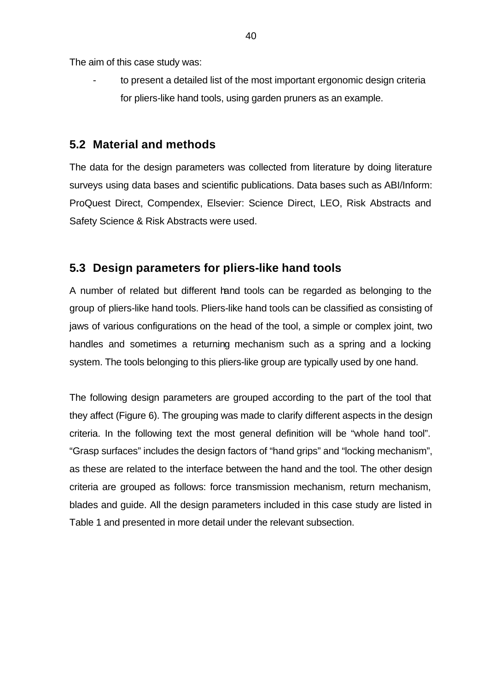The aim of this case study was:

to present a detailed list of the most important ergonomic design criteria for pliers-like hand tools, using garden pruners as an example.

# **5.2 Material and methods**

The data for the design parameters was collected from literature by doing literature surveys using data bases and scientific publications. Data bases such as ABI/Inform: ProQuest Direct, Compendex, Elsevier: Science Direct, LEO, Risk Abstracts and Safety Science & Risk Abstracts were used.

# **5.3 Design parameters for pliers-like hand tools**

A number of related but different hand tools can be regarded as belonging to the group of pliers-like hand tools. Pliers-like hand tools can be classified as consisting of jaws of various configurations on the head of the tool, a simple or complex joint, two handles and sometimes a returning mechanism such as a spring and a locking system. The tools belonging to this pliers-like group are typically used by one hand.

The following design parameters are grouped according to the part of the tool that they affect (Figure 6). The grouping was made to clarify different aspects in the design criteria. In the following text the most general definition will be "whole hand tool". "Grasp surfaces" includes the design factors of "hand grips" and "locking mechanism", as these are related to the interface between the hand and the tool. The other design criteria are grouped as follows: force transmission mechanism, return mechanism, blades and guide. All the design parameters included in this case study are listed in Table 1 and presented in more detail under the relevant subsection.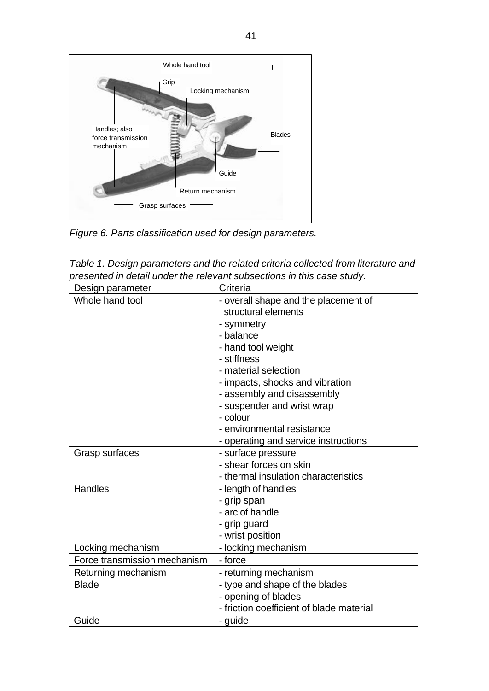

*Figure 6. Parts classification used for design parameters.*

| Table 1. Design parameters and the related criteria collected from literature and |
|-----------------------------------------------------------------------------------|
| presented in detail under the relevant subsections in this case study.            |

| Design parameter             | Criteria                                 |  |
|------------------------------|------------------------------------------|--|
| Whole hand tool              | - overall shape and the placement of     |  |
|                              | structural elements                      |  |
|                              | - symmetry                               |  |
|                              | - balance                                |  |
|                              | - hand tool weight                       |  |
|                              | - stiffness                              |  |
|                              | - material selection                     |  |
|                              | - impacts, shocks and vibration          |  |
|                              | - assembly and disassembly               |  |
|                              | - suspender and wrist wrap               |  |
|                              | - colour                                 |  |
|                              | - environmental resistance               |  |
|                              | - operating and service instructions     |  |
| Grasp surfaces               | - surface pressure                       |  |
|                              | - shear forces on skin                   |  |
|                              | - thermal insulation characteristics     |  |
| Handles                      | - length of handles                      |  |
|                              | - grip span                              |  |
|                              | - arc of handle                          |  |
|                              | - grip guard                             |  |
|                              | - wrist position                         |  |
| Locking mechanism            | - locking mechanism                      |  |
| Force transmission mechanism | - force                                  |  |
| Returning mechanism          | - returning mechanism                    |  |
| <b>Blade</b>                 | - type and shape of the blades           |  |
|                              | - opening of blades                      |  |
|                              | - friction coefficient of blade material |  |
| Guide                        | - guide                                  |  |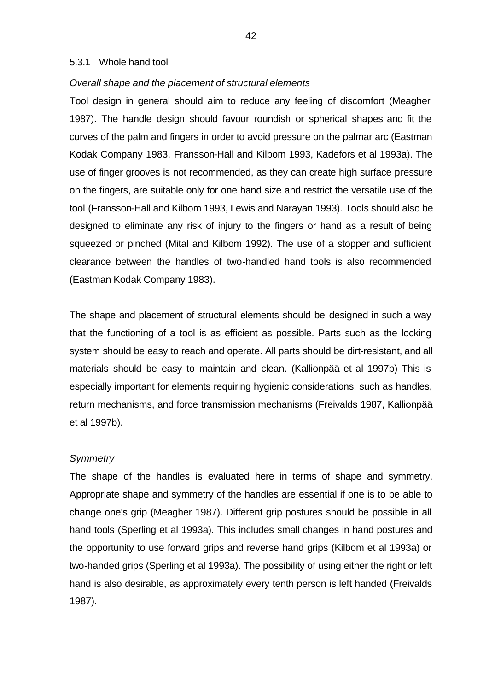#### 5.3.1 Whole hand tool

#### *Overall shape and the placement of structural elements*

Tool design in general should aim to reduce any feeling of discomfort (Meagher 1987). The handle design should favour roundish or spherical shapes and fit the curves of the palm and fingers in order to avoid pressure on the palmar arc (Eastman Kodak Company 1983, Fransson-Hall and Kilbom 1993, Kadefors et al 1993a). The use of finger grooves is not recommended, as they can create high surface pressure on the fingers, are suitable only for one hand size and restrict the versatile use of the tool (Fransson-Hall and Kilbom 1993, Lewis and Narayan 1993). Tools should also be designed to eliminate any risk of injury to the fingers or hand as a result of being squeezed or pinched (Mital and Kilbom 1992). The use of a stopper and sufficient clearance between the handles of two-handled hand tools is also recommended (Eastman Kodak Company 1983).

The shape and placement of structural elements should be designed in such a way that the functioning of a tool is as efficient as possible. Parts such as the locking system should be easy to reach and operate. All parts should be dirt-resistant, and all materials should be easy to maintain and clean. (Kallionpää et al 1997b) This is especially important for elements requiring hygienic considerations, such as handles, return mechanisms, and force transmission mechanisms (Freivalds 1987, Kallionpää et al 1997b).

#### *Symmetry*

The shape of the handles is evaluated here in terms of shape and symmetry. Appropriate shape and symmetry of the handles are essential if one is to be able to change one's grip (Meagher 1987). Different grip postures should be possible in all hand tools (Sperling et al 1993a). This includes small changes in hand postures and the opportunity to use forward grips and reverse hand grips (Kilbom et al 1993a) or two-handed grips (Sperling et al 1993a). The possibility of using either the right or left hand is also desirable, as approximately every tenth person is left handed (Freivalds 1987).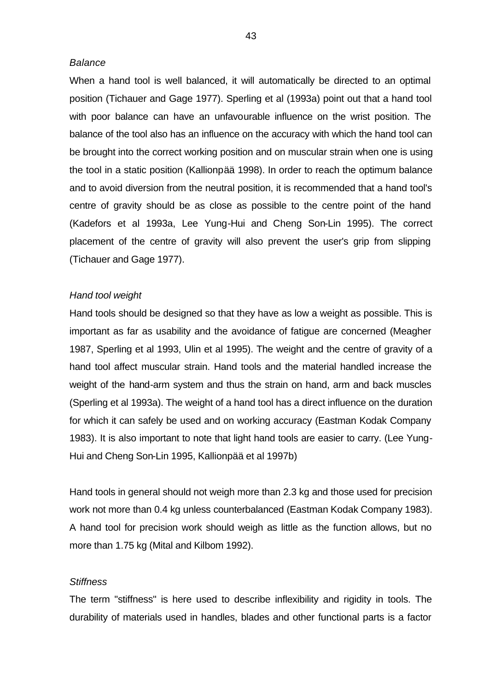# *Balance*

When a hand tool is well balanced, it will automatically be directed to an optimal position (Tichauer and Gage 1977). Sperling et al (1993a) point out that a hand tool with poor balance can have an unfavourable influence on the wrist position. The balance of the tool also has an influence on the accuracy with which the hand tool can be brought into the correct working position and on muscular strain when one is using the tool in a static position (Kallionpää 1998). In order to reach the optimum balance and to avoid diversion from the neutral position, it is recommended that a hand tool's centre of gravity should be as close as possible to the centre point of the hand (Kadefors et al 1993a, Lee Yung-Hui and Cheng Son-Lin 1995). The correct placement of the centre of gravity will also prevent the user's grip from slipping (Tichauer and Gage 1977).

#### *Hand tool weight*

Hand tools should be designed so that they have as low a weight as possible. This is important as far as usability and the avoidance of fatigue are concerned (Meagher 1987, Sperling et al 1993, Ulin et al 1995). The weight and the centre of gravity of a hand tool affect muscular strain. Hand tools and the material handled increase the weight of the hand-arm system and thus the strain on hand, arm and back muscles (Sperling et al 1993a). The weight of a hand tool has a direct influence on the duration for which it can safely be used and on working accuracy (Eastman Kodak Company 1983). It is also important to note that light hand tools are easier to carry. (Lee Yung-Hui and Cheng Son-Lin 1995, Kallionpää et al 1997b)

Hand tools in general should not weigh more than 2.3 kg and those used for precision work not more than 0.4 kg unless counterbalanced (Eastman Kodak Company 1983). A hand tool for precision work should weigh as little as the function allows, but no more than 1.75 kg (Mital and Kilbom 1992).

#### *Stiffness*

The term "stiffness" is here used to describe inflexibility and rigidity in tools. The durability of materials used in handles, blades and other functional parts is a factor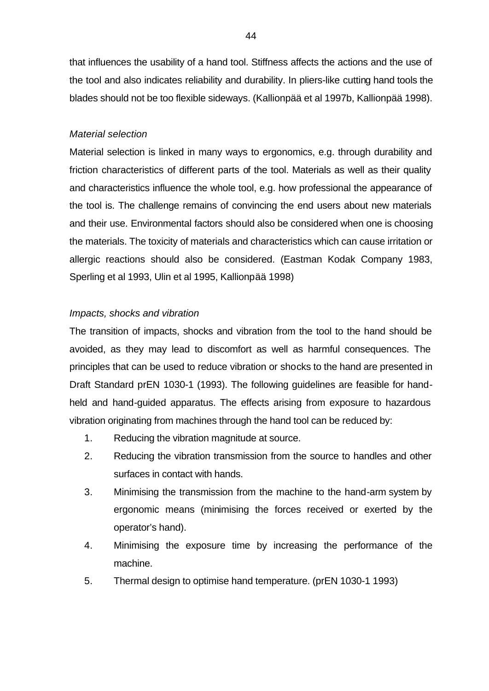that influences the usability of a hand tool. Stiffness affects the actions and the use of the tool and also indicates reliability and durability. In pliers-like cutting hand tools the blades should not be too flexible sideways. (Kallionpää et al 1997b, Kallionpää 1998).

# *Material selection*

Material selection is linked in many ways to ergonomics, e.g. through durability and friction characteristics of different parts of the tool. Materials as well as their quality and characteristics influence the whole tool, e.g. how professional the appearance of the tool is. The challenge remains of convincing the end users about new materials and their use. Environmental factors should also be considered when one is choosing the materials. The toxicity of materials and characteristics which can cause irritation or allergic reactions should also be considered. (Eastman Kodak Company 1983, Sperling et al 1993, Ulin et al 1995, Kallionpää 1998)

# *Impacts, shocks and vibration*

The transition of impacts, shocks and vibration from the tool to the hand should be avoided, as they may lead to discomfort as well as harmful consequences. The principles that can be used to reduce vibration or shocks to the hand are presented in Draft Standard prEN 1030-1 (1993). The following guidelines are feasible for handheld and hand-guided apparatus. The effects arising from exposure to hazardous vibration originating from machines through the hand tool can be reduced by:

- 1. Reducing the vibration magnitude at source.
- 2. Reducing the vibration transmission from the source to handles and other surfaces in contact with hands.
- 3. Minimising the transmission from the machine to the hand-arm system by ergonomic means (minimising the forces received or exerted by the operator's hand).
- 4. Minimising the exposure time by increasing the performance of the machine.
- 5. Thermal design to optimise hand temperature. (prEN 1030-1 1993)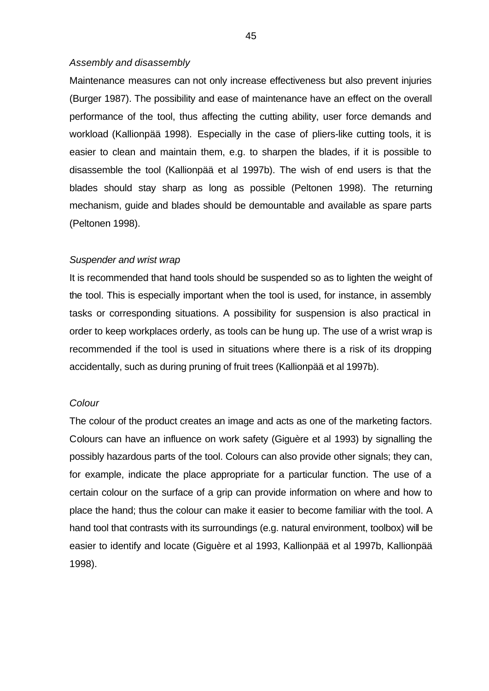#### *Assembly and disassembly*

Maintenance measures can not only increase effectiveness but also prevent injuries (Burger 1987). The possibility and ease of maintenance have an effect on the overall performance of the tool, thus affecting the cutting ability, user force demands and workload (Kallionpää 1998). Especially in the case of pliers-like cutting tools, it is easier to clean and maintain them, e.g. to sharpen the blades, if it is possible to disassemble the tool (Kallionpää et al 1997b). The wish of end users is that the blades should stay sharp as long as possible (Peltonen 1998). The returning mechanism, guide and blades should be demountable and available as spare parts (Peltonen 1998).

#### *Suspender and wrist wrap*

It is recommended that hand tools should be suspended so as to lighten the weight of the tool. This is especially important when the tool is used, for instance, in assembly tasks or corresponding situations. A possibility for suspension is also practical in order to keep workplaces orderly, as tools can be hung up. The use of a wrist wrap is recommended if the tool is used in situations where there is a risk of its dropping accidentally, such as during pruning of fruit trees (Kallionpää et al 1997b).

#### *Colour*

The colour of the product creates an image and acts as one of the marketing factors. Colours can have an influence on work safety (Giguère et al 1993) by signalling the possibly hazardous parts of the tool. Colours can also provide other signals; they can, for example, indicate the place appropriate for a particular function. The use of a certain colour on the surface of a grip can provide information on where and how to place the hand; thus the colour can make it easier to become familiar with the tool. A hand tool that contrasts with its surroundings (e.g. natural environment, toolbox) will be easier to identify and locate (Giguère et al 1993, Kallionpää et al 1997b, Kallionpää 1998).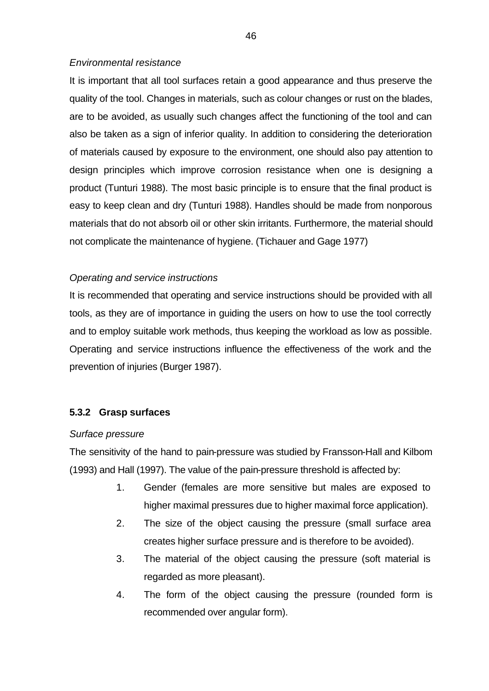# *Environmental resistance*

It is important that all tool surfaces retain a good appearance and thus preserve the quality of the tool. Changes in materials, such as colour changes or rust on the blades, are to be avoided, as usually such changes affect the functioning of the tool and can also be taken as a sign of inferior quality. In addition to considering the deterioration of materials caused by exposure to the environment, one should also pay attention to design principles which improve corrosion resistance when one is designing a product (Tunturi 1988). The most basic principle is to ensure that the final product is easy to keep clean and dry (Tunturi 1988). Handles should be made from nonporous materials that do not absorb oil or other skin irritants. Furthermore, the material should not complicate the maintenance of hygiene. (Tichauer and Gage 1977)

# *Operating and service instructions*

It is recommended that operating and service instructions should be provided with all tools, as they are of importance in guiding the users on how to use the tool correctly and to employ suitable work methods, thus keeping the workload as low as possible. Operating and service instructions influence the effectiveness of the work and the prevention of injuries (Burger 1987).

# **5.3.2 Grasp surfaces**

# *Surface pressure*

The sensitivity of the hand to pain-pressure was studied by Fransson-Hall and Kilbom (1993) and Hall (1997). The value of the pain-pressure threshold is affected by:

- 1. Gender (females are more sensitive but males are exposed to higher maximal pressures due to higher maximal force application).
- 2. The size of the object causing the pressure (small surface area creates higher surface pressure and is therefore to be avoided).
- 3. The material of the object causing the pressure (soft material is regarded as more pleasant).
- 4. The form of the object causing the pressure (rounded form is recommended over angular form).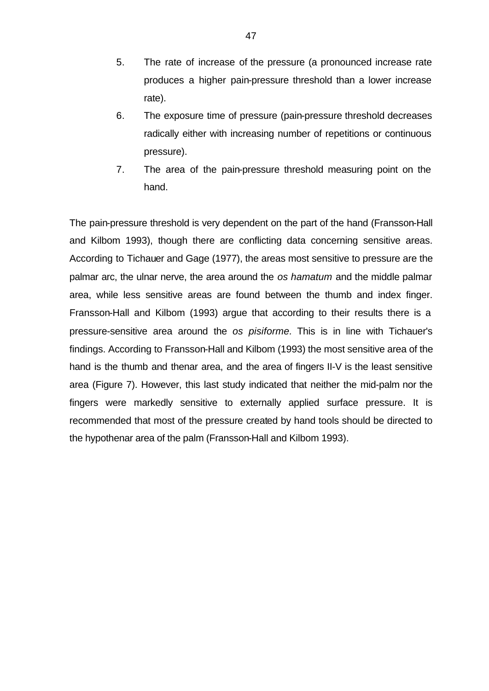- 5. The rate of increase of the pressure (a pronounced increase rate produces a higher pain-pressure threshold than a lower increase rate).
- 6. The exposure time of pressure (pain-pressure threshold decreases radically either with increasing number of repetitions or continuous pressure).
- 7. The area of the pain-pressure threshold measuring point on the hand.

The pain-pressure threshold is very dependent on the part of the hand (Fransson-Hall and Kilbom 1993), though there are conflicting data concerning sensitive areas. According to Tichauer and Gage (1977), the areas most sensitive to pressure are the palmar arc, the ulnar nerve, the area around the *os hamatum* and the middle palmar area, while less sensitive areas are found between the thumb and index finger. Fransson-Hall and Kilbom (1993) argue that according to their results there is a pressure-sensitive area around the *os pisiforme.* This is in line with Tichauer's findings. According to Fransson-Hall and Kilbom (1993) the most sensitive area of the hand is the thumb and thenar area, and the area of fingers II-V is the least sensitive area (Figure 7). However, this last study indicated that neither the mid-palm nor the fingers were markedly sensitive to externally applied surface pressure. It is recommended that most of the pressure created by hand tools should be directed to the hypothenar area of the palm (Fransson-Hall and Kilbom 1993).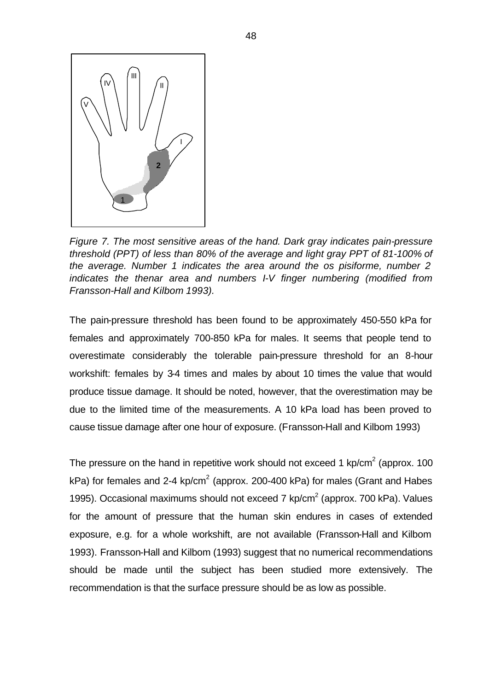

*Figure 7. The most sensitive areas of the hand. Dark gray indicates pain-pressure threshold (PPT) of less than 80% of the average and light gray PPT of 81-100% of the average. Number 1 indicates the area around the os pisiforme, number 2 indicates the thenar area and numbers I-V finger numbering (modified from Fransson-Hall and Kilbom 1993).*

The pain-pressure threshold has been found to be approximately 450-550 kPa for females and approximately 700-850 kPa for males. It seems that people tend to overestimate considerably the tolerable pain-pressure threshold for an 8-hour workshift: females by 3-4 times and males by about 10 times the value that would produce tissue damage. It should be noted, however, that the overestimation may be due to the limited time of the measurements. A 10 kPa load has been proved to cause tissue damage after one hour of exposure. (Fransson-Hall and Kilbom 1993)

The pressure on the hand in repetitive work should not exceed 1 kp/cm<sup>2</sup> (approx. 100 kPa) for females and 2-4 kp/cm<sup>2</sup> (approx. 200-400 kPa) for males (Grant and Habes 1995). Occasional maximums should not exceed  $7 \text{ kp/cm}^2$  (approx. 700 kPa). Values for the amount of pressure that the human skin endures in cases of extended exposure, e.g. for a whole workshift, are not available (Fransson-Hall and Kilbom 1993). Fransson-Hall and Kilbom (1993) suggest that no numerical recommendations should be made until the subject has been studied more extensively. The recommendation is that the surface pressure should be as low as possible.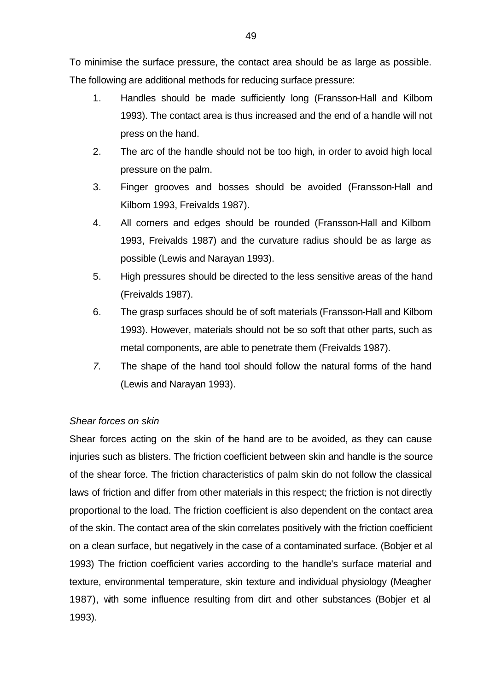To minimise the surface pressure, the contact area should be as large as possible. The following are additional methods for reducing surface pressure:

- 1. Handles should be made sufficiently long (Fransson-Hall and Kilbom 1993). The contact area is thus increased and the end of a handle will not press on the hand.
- 2. The arc of the handle should not be too high, in order to avoid high local pressure on the palm.
- 3. Finger grooves and bosses should be avoided (Fransson-Hall and Kilbom 1993, Freivalds 1987).
- 4. All corners and edges should be rounded (Fransson-Hall and Kilbom 1993, Freivalds 1987) and the curvature radius should be as large as possible (Lewis and Narayan 1993).
- 5. High pressures should be directed to the less sensitive areas of the hand (Freivalds 1987).
- 6. The grasp surfaces should be of soft materials (Fransson-Hall and Kilbom 1993). However, materials should not be so soft that other parts, such as metal components, are able to penetrate them (Freivalds 1987).
- *7.* The shape of the hand tool should follow the natural forms of the hand (Lewis and Narayan 1993).

# *Shear forces on skin*

Shear forces acting on the skin of the hand are to be avoided, as they can cause injuries such as blisters. The friction coefficient between skin and handle is the source of the shear force. The friction characteristics of palm skin do not follow the classical laws of friction and differ from other materials in this respect; the friction is not directly proportional to the load. The friction coefficient is also dependent on the contact area of the skin. The contact area of the skin correlates positively with the friction coefficient on a clean surface, but negatively in the case of a contaminated surface. (Bobjer et al 1993) The friction coefficient varies according to the handle's surface material and texture, environmental temperature, skin texture and individual physiology (Meagher 1987), with some influence resulting from dirt and other substances (Bobjer et al 1993).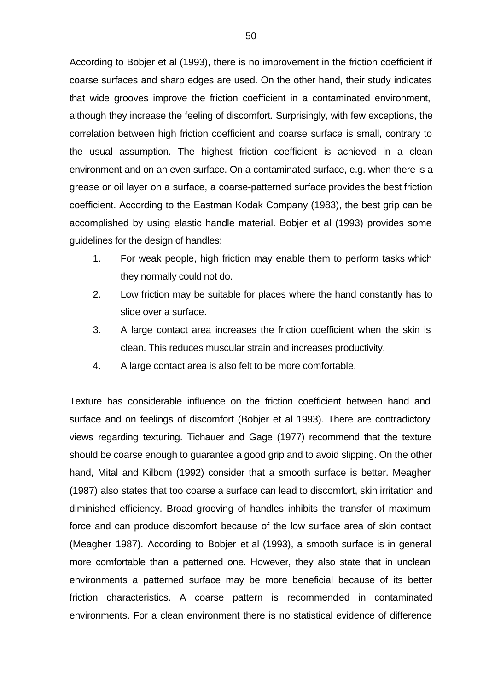According to Bobjer et al (1993), there is no improvement in the friction coefficient if coarse surfaces and sharp edges are used. On the other hand, their study indicates that wide grooves improve the friction coefficient in a contaminated environment, although they increase the feeling of discomfort. Surprisingly, with few exceptions, the correlation between high friction coefficient and coarse surface is small, contrary to the usual assumption. The highest friction coefficient is achieved in a clean environment and on an even surface. On a contaminated surface, e.g. when there is a grease or oil layer on a surface, a coarse-patterned surface provides the best friction coefficient. According to the Eastman Kodak Company (1983), the best grip can be accomplished by using elastic handle material. Bobjer et al (1993) provides some guidelines for the design of handles:

- 1. For weak people, high friction may enable them to perform tasks which they normally could not do.
- 2. Low friction may be suitable for places where the hand constantly has to slide over a surface.
- 3. A large contact area increases the friction coefficient when the skin is clean. This reduces muscular strain and increases productivity.
- 4. A large contact area is also felt to be more comfortable.

Texture has considerable influence on the friction coefficient between hand and surface and on feelings of discomfort (Bobjer et al 1993). There are contradictory views regarding texturing. Tichauer and Gage (1977) recommend that the texture should be coarse enough to guarantee a good grip and to avoid slipping. On the other hand, Mital and Kilbom (1992) consider that a smooth surface is better. Meagher (1987) also states that too coarse a surface can lead to discomfort, skin irritation and diminished efficiency. Broad grooving of handles inhibits the transfer of maximum force and can produce discomfort because of the low surface area of skin contact (Meagher 1987). According to Bobjer et al (1993), a smooth surface is in general more comfortable than a patterned one. However, they also state that in unclean environments a patterned surface may be more beneficial because of its better friction characteristics. A coarse pattern is recommended in contaminated environments. For a clean environment there is no statistical evidence of difference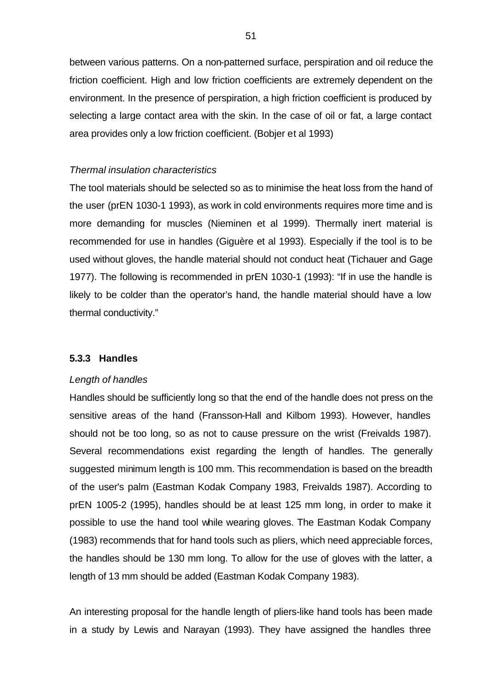between various patterns. On a non-patterned surface, perspiration and oil reduce the friction coefficient. High and low friction coefficients are extremely dependent on the environment. In the presence of perspiration, a high friction coefficient is produced by selecting a large contact area with the skin. In the case of oil or fat, a large contact area provides only a low friction coefficient. (Bobjer et al 1993)

# *Thermal insulation characteristics*

The tool materials should be selected so as to minimise the heat loss from the hand of the user (prEN 1030-1 1993), as work in cold environments requires more time and is more demanding for muscles (Nieminen et al 1999). Thermally inert material is recommended for use in handles (Giguère et al 1993). Especially if the tool is to be used without gloves, the handle material should not conduct heat (Tichauer and Gage 1977). The following is recommended in prEN 1030-1 (1993): "If in use the handle is likely to be colder than the operator's hand, the handle material should have a low thermal conductivity."

# **5.3.3 Handles**

# *Length of handles*

Handles should be sufficiently long so that the end of the handle does not press on the sensitive areas of the hand (Fransson-Hall and Kilbom 1993). However, handles should not be too long, so as not to cause pressure on the wrist (Freivalds 1987). Several recommendations exist regarding the length of handles. The generally suggested minimum length is 100 mm. This recommendation is based on the breadth of the user's palm (Eastman Kodak Company 1983, Freivalds 1987). According to prEN 1005-2 (1995), handles should be at least 125 mm long, in order to make it possible to use the hand tool while wearing gloves. The Eastman Kodak Company (1983) recommends that for hand tools such as pliers, which need appreciable forces, the handles should be 130 mm long. To allow for the use of gloves with the latter, a length of 13 mm should be added (Eastman Kodak Company 1983).

An interesting proposal for the handle length of pliers-like hand tools has been made in a study by Lewis and Narayan (1993). They have assigned the handles three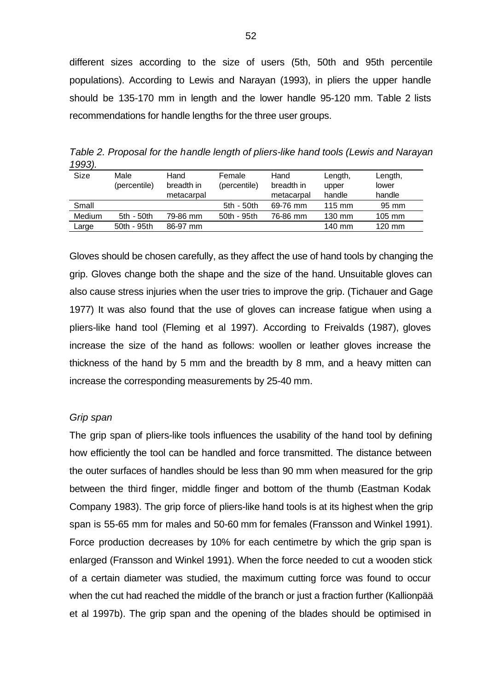different sizes according to the size of users (5th, 50th and 95th percentile populations). According to Lewis and Narayan (1993), in pliers the upper handle should be 135-170 mm in length and the lower handle 95-120 mm. Table 2 lists recommendations for handle lengths for the three user groups.

*Table 2. Proposal for the handle length of pliers-like hand tools (Lewis and Narayan 1993).*

| Size   | Male         | Hand       | Female       | Hand       | Length,          | Length,          |
|--------|--------------|------------|--------------|------------|------------------|------------------|
|        | (percentile) | breadth in | (percentile) | breadth in | upper            | lower            |
|        |              | metacarpal |              | metacarpal | handle           | handle           |
| Small  |              |            | 5th - 50th   | 69-76 mm   | $115 \text{ mm}$ | 95 mm            |
| Medium | 5th - 50th   | 79-86 mm   | 50th - 95th  | 76-86 mm   | 130 mm           | $105 \text{ mm}$ |
| Large  | 50th - 95th  | 86-97 mm   |              |            | 140 mm           | $120 \text{ mm}$ |

Gloves should be chosen carefully, as they affect the use of hand tools by changing the grip. Gloves change both the shape and the size of the hand. Unsuitable gloves can also cause stress injuries when the user tries to improve the grip. (Tichauer and Gage 1977) It was also found that the use of gloves can increase fatigue when using a pliers-like hand tool (Fleming et al 1997). According to Freivalds (1987), gloves increase the size of the hand as follows: woollen or leather gloves increase the thickness of the hand by 5 mm and the breadth by 8 mm, and a heavy mitten can increase the corresponding measurements by 25-40 mm.

# *Grip span*

The grip span of pliers-like tools influences the usability of the hand tool by defining how efficiently the tool can be handled and force transmitted. The distance between the outer surfaces of handles should be less than 90 mm when measured for the grip between the third finger, middle finger and bottom of the thumb (Eastman Kodak Company 1983). The grip force of pliers-like hand tools is at its highest when the grip span is 55-65 mm for males and 50-60 mm for females (Fransson and Winkel 1991). Force production decreases by 10% for each centimetre by which the grip span is enlarged (Fransson and Winkel 1991). When the force needed to cut a wooden stick of a certain diameter was studied, the maximum cutting force was found to occur when the cut had reached the middle of the branch or just a fraction further (Kallionpää et al 1997b). The grip span and the opening of the blades should be optimised in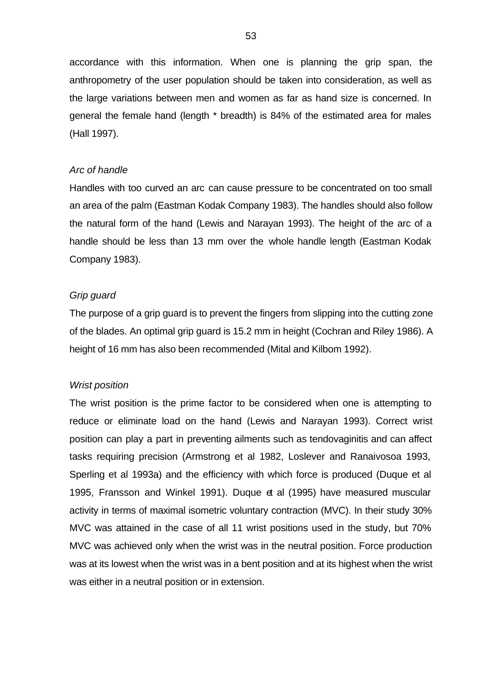accordance with this information. When one is planning the grip span, the anthropometry of the user population should be taken into consideration, as well as the large variations between men and women as far as hand size is concerned. In general the female hand (length \* breadth) is 84% of the estimated area for males (Hall 1997).

#### *Arc of handle*

Handles with too curved an arc can cause pressure to be concentrated on too small an area of the palm (Eastman Kodak Company 1983). The handles should also follow the natural form of the hand (Lewis and Narayan 1993). The height of the arc of a handle should be less than 13 mm over the whole handle length (Eastman Kodak Company 1983).

# *Grip guard*

The purpose of a grip guard is to prevent the fingers from slipping into the cutting zone of the blades. An optimal grip guard is 15.2 mm in height (Cochran and Riley 1986). A height of 16 mm has also been recommended (Mital and Kilbom 1992).

#### *Wrist position*

The wrist position is the prime factor to be considered when one is attempting to reduce or eliminate load on the hand (Lewis and Narayan 1993). Correct wrist position can play a part in preventing ailments such as tendovaginitis and can affect tasks requiring precision (Armstrong et al 1982, Loslever and Ranaivosoa 1993, Sperling et al 1993a) and the efficiency with which force is produced (Duque et al 1995, Fransson and Winkel 1991). Duque et al (1995) have measured muscular activity in terms of maximal isometric voluntary contraction (MVC). In their study 30% MVC was attained in the case of all 11 wrist positions used in the study, but 70% MVC was achieved only when the wrist was in the neutral position. Force production was at its lowest when the wrist was in a bent position and at its highest when the wrist was either in a neutral position or in extension.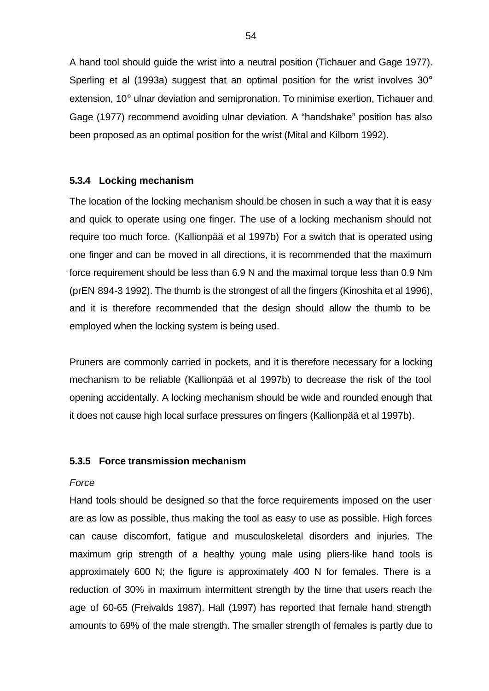A hand tool should guide the wrist into a neutral position (Tichauer and Gage 1977). Sperling et al (1993a) suggest that an optimal position for the wrist involves 30° extension, 10° ulnar deviation and semipronation. To minimise exertion, Tichauer and Gage (1977) recommend avoiding ulnar deviation. A "handshake" position has also been proposed as an optimal position for the wrist (Mital and Kilbom 1992).

# **5.3.4 Locking mechanism**

The location of the locking mechanism should be chosen in such a way that it is easy and quick to operate using one finger. The use of a locking mechanism should not require too much force. (Kallionpää et al 1997b) For a switch that is operated using one finger and can be moved in all directions, it is recommended that the maximum force requirement should be less than 6.9 N and the maximal torque less than 0.9 Nm (prEN 894-3 1992). The thumb is the strongest of all the fingers (Kinoshita et al 1996), and it is therefore recommended that the design should allow the thumb to be employed when the locking system is being used.

Pruners are commonly carried in pockets, and it is therefore necessary for a locking mechanism to be reliable (Kallionpää et al 1997b) to decrease the risk of the tool opening accidentally. A locking mechanism should be wide and rounded enough that it does not cause high local surface pressures on fingers (Kallionpää et al 1997b).

# **5.3.5 Force transmission mechanism**

# *Force*

Hand tools should be designed so that the force requirements imposed on the user are as low as possible, thus making the tool as easy to use as possible. High forces can cause discomfort, fatigue and musculoskeletal disorders and injuries. The maximum grip strength of a healthy young male using pliers-like hand tools is approximately 600 N; the figure is approximately 400 N for females. There is a reduction of 30% in maximum intermittent strength by the time that users reach the age of 60-65 (Freivalds 1987). Hall (1997) has reported that female hand strength amounts to 69% of the male strength. The smaller strength of females is partly due to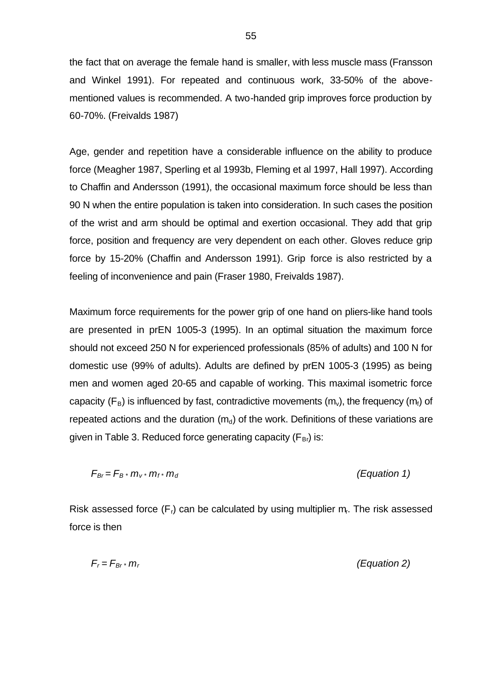the fact that on average the female hand is smaller, with less muscle mass (Fransson and Winkel 1991). For repeated and continuous work, 33-50% of the abovementioned values is recommended. A two-handed grip improves force production by 60-70%. (Freivalds 1987)

Age, gender and repetition have a considerable influence on the ability to produce force (Meagher 1987, Sperling et al 1993b, Fleming et al 1997, Hall 1997). According to Chaffin and Andersson (1991), the occasional maximum force should be less than 90 N when the entire population is taken into consideration. In such cases the position of the wrist and arm should be optimal and exertion occasional. They add that grip force, position and frequency are very dependent on each other. Gloves reduce grip force by 15-20% (Chaffin and Andersson 1991). Grip force is also restricted by a feeling of inconvenience and pain (Fraser 1980, Freivalds 1987).

Maximum force requirements for the power grip of one hand on pliers-like hand tools are presented in prEN 1005-3 (1995). In an optimal situation the maximum force should not exceed 250 N for experienced professionals (85% of adults) and 100 N for domestic use (99% of adults). Adults are defined by prEN 1005-3 (1995) as being men and women aged 20-65 and capable of working. This maximal isometric force capacity ( $F_B$ ) is influenced by fast, contradictive movements (m<sub>v</sub>), the frequency (m<sub>f</sub>) of repeated actions and the duration  $(m_d)$  of the work. Definitions of these variations are given in Table 3. Reduced force generating capacity  $(F_{\text{Br}})$  is:

$$
F_{Br} = F_B \cdot m_v \cdot m_f \cdot m_d \tag{Equation 1}
$$

Risk assessed force  $(F<sub>i</sub>)$  can be calculated by using multiplier  $m<sub>i</sub>$ . The risk assessed force is then

$$
F_r = F_{Br} \cdot m_r \tag{Equation 2}
$$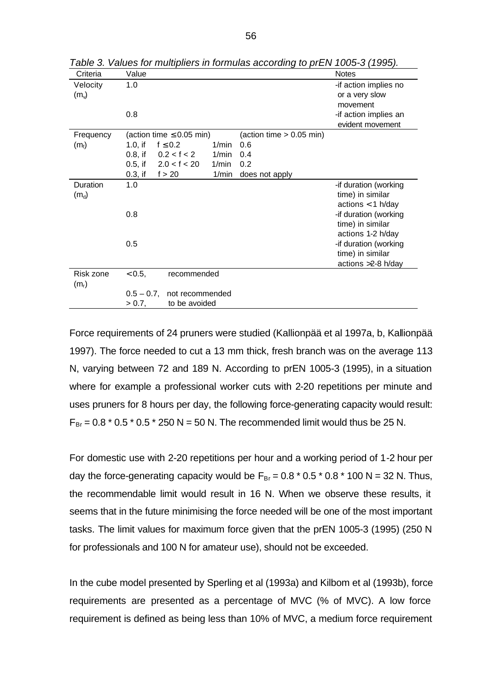| Criteria                      | Value                                                          | <b>Notes</b>                                                      |
|-------------------------------|----------------------------------------------------------------|-------------------------------------------------------------------|
| Velocity<br>(m <sub>v</sub> ) | 1.0                                                            | -if action implies no<br>or a very slow<br>movement               |
|                               | 0.8                                                            | -if action implies an<br>evident movement                         |
| Frequency                     | (action time $\leq 0.05$ min)<br>(action time $> 0.05$ min)    |                                                                   |
| $(m_f)$                       | $1.0$ , if<br>$f \leq 0.2$<br>1/min<br>0.6                     |                                                                   |
|                               | $0.8$ , if<br>0.2 < f < 2<br>1/min<br>0.4                      |                                                                   |
|                               | $0.5$ , if<br>2.0 < f < 20<br>1/min<br>0.2                     |                                                                   |
|                               | $0.3$ , if<br>1/min<br>f > 20<br>does not apply                |                                                                   |
| Duration<br>$(m_d)$           | 1.0                                                            | -if duration (working<br>time) in similar<br>$actions < 1$ h/day  |
|                               | 0.8                                                            | -if duration (working<br>time) in similar<br>actions 1-2 h/day    |
|                               | 0.5                                                            | -if duration (working<br>time) in similar<br>actions $>2-8$ h/day |
| Risk zone<br>$(m_r)$          | < 0.5,<br>recommended                                          |                                                                   |
|                               | $0.5 - 0.7$ ,<br>not recommended<br>to be avoided<br>$> 0.7$ , |                                                                   |

*Table 3. Values for multipliers in formulas according to prEN 1005-3 (1995).*

Force requirements of 24 pruners were studied (Kallionpää et al 1997a, b, Kallionpää 1997). The force needed to cut a 13 mm thick, fresh branch was on the average 113 N, varying between 72 and 189 N. According to prEN 1005-3 (1995), in a situation where for example a professional worker cuts with 2-20 repetitions per minute and uses pruners for 8 hours per day, the following force-generating capacity would result:  $F_{\text{Br}} = 0.8 * 0.5 * 0.5 * 250 \text{ N} = 50 \text{ N}$ . The recommended limit would thus be 25 N.

For domestic use with 2-20 repetitions per hour and a working period of 1-2 hour per day the force-generating capacity would be  $F_{\text{Br}} = 0.8 * 0.5 * 0.8 * 100 \text{ N} = 32 \text{ N}$ . Thus, the recommendable limit would result in 16 N. When we observe these results, it seems that in the future minimising the force needed will be one of the most important tasks. The limit values for maximum force given that the prEN 1005-3 (1995) (250 N for professionals and 100 N for amateur use), should not be exceeded.

In the cube model presented by Sperling et al (1993a) and Kilbom et al (1993b), force requirements are presented as a percentage of MVC (% of MVC). A low force requirement is defined as being less than 10% of MVC, a medium force requirement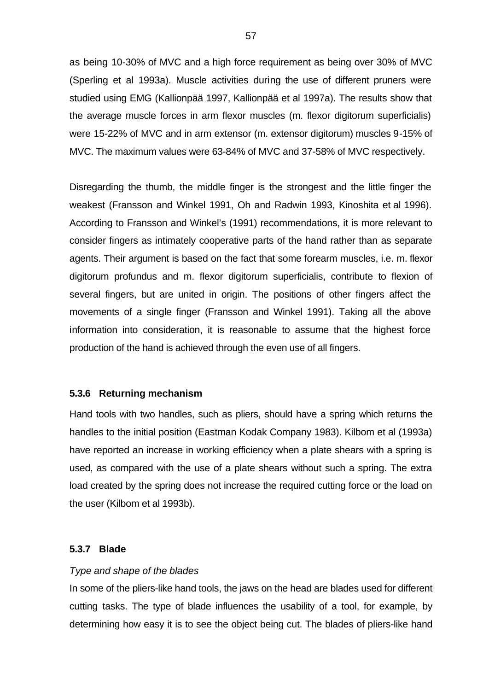as being 10-30% of MVC and a high force requirement as being over 30% of MVC (Sperling et al 1993a). Muscle activities during the use of different pruners were studied using EMG (Kallionpää 1997, Kallionpää et al 1997a). The results show that the average muscle forces in arm flexor muscles (m. flexor digitorum superficialis) were 15-22% of MVC and in arm extensor (m. extensor digitorum) muscles 9-15% of MVC. The maximum values were 63-84% of MVC and 37-58% of MVC respectively.

Disregarding the thumb, the middle finger is the strongest and the little finger the weakest (Fransson and Winkel 1991, Oh and Radwin 1993, Kinoshita et al 1996). According to Fransson and Winkel's (1991) recommendations, it is more relevant to consider fingers as intimately cooperative parts of the hand rather than as separate agents. Their argument is based on the fact that some forearm muscles, i.e. m. flexor digitorum profundus and m. flexor digitorum superficialis, contribute to flexion of several fingers, but are united in origin. The positions of other fingers affect the movements of a single finger (Fransson and Winkel 1991). Taking all the above information into consideration, it is reasonable to assume that the highest force production of the hand is achieved through the even use of all fingers.

# **5.3.6 Returning mechanism**

Hand tools with two handles, such as pliers, should have a spring which returns the handles to the initial position (Eastman Kodak Company 1983). Kilbom et al (1993a) have reported an increase in working efficiency when a plate shears with a spring is used, as compared with the use of a plate shears without such a spring. The extra load created by the spring does not increase the required cutting force or the load on the user (Kilbom et al 1993b).

# **5.3.7 Blade**

#### *Type and shape of the blades*

In some of the pliers-like hand tools, the jaws on the head are blades used for different cutting tasks. The type of blade influences the usability of a tool, for example, by determining how easy it is to see the object being cut. The blades of pliers-like hand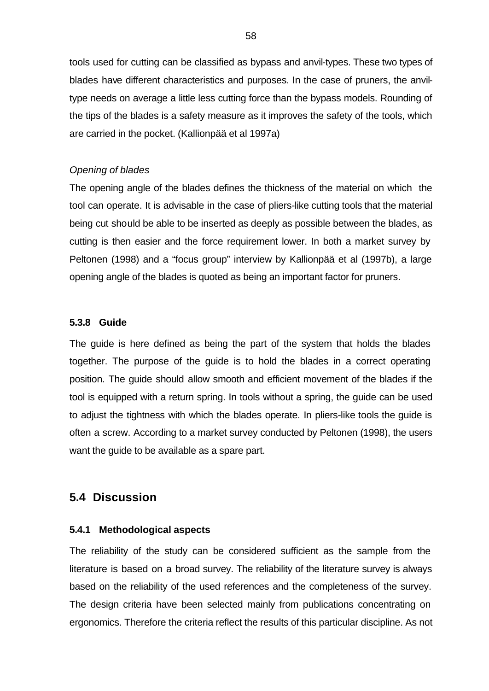tools used for cutting can be classified as bypass and anvil-types. These two types of blades have different characteristics and purposes. In the case of pruners, the anviltype needs on average a little less cutting force than the bypass models. Rounding of the tips of the blades is a safety measure as it improves the safety of the tools, which are carried in the pocket. (Kallionpää et al 1997a)

# *Opening of blades*

The opening angle of the blades defines the thickness of the material on which the tool can operate. It is advisable in the case of pliers-like cutting tools that the material being cut should be able to be inserted as deeply as possible between the blades, as cutting is then easier and the force requirement lower. In both a market survey by Peltonen (1998) and a "focus group" interview by Kallionpää et al (1997b), a large opening angle of the blades is quoted as being an important factor for pruners.

# **5.3.8 Guide**

The guide is here defined as being the part of the system that holds the blades together. The purpose of the guide is to hold the blades in a correct operating position. The guide should allow smooth and efficient movement of the blades if the tool is equipped with a return spring. In tools without a spring, the guide can be used to adjust the tightness with which the blades operate. In pliers-like tools the guide is often a screw. According to a market survey conducted by Peltonen (1998), the users want the guide to be available as a spare part.

# **5.4 Discussion**

# **5.4.1 Methodological aspects**

The reliability of the study can be considered sufficient as the sample from the literature is based on a broad survey. The reliability of the literature survey is always based on the reliability of the used references and the completeness of the survey. The design criteria have been selected mainly from publications concentrating on ergonomics. Therefore the criteria reflect the results of this particular discipline. As not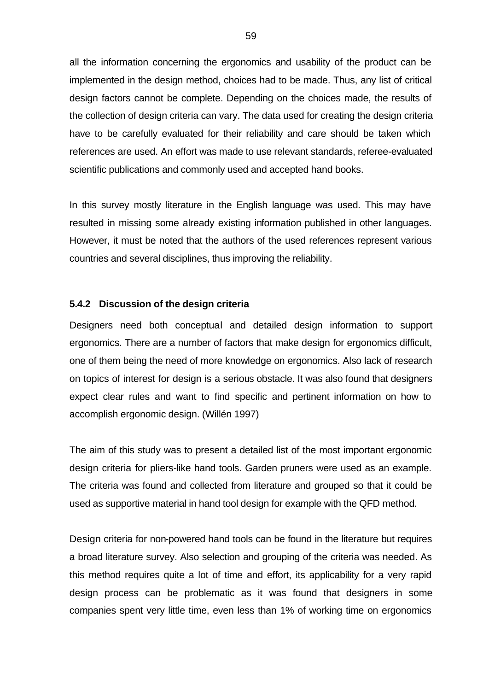all the information concerning the ergonomics and usability of the product can be implemented in the design method, choices had to be made. Thus, any list of critical design factors cannot be complete. Depending on the choices made, the results of the collection of design criteria can vary. The data used for creating the design criteria have to be carefully evaluated for their reliability and care should be taken which references are used. An effort was made to use relevant standards, referee-evaluated scientific publications and commonly used and accepted hand books.

In this survey mostly literature in the English language was used. This may have resulted in missing some already existing information published in other languages. However, it must be noted that the authors of the used references represent various countries and several disciplines, thus improving the reliability.

#### **5.4.2 Discussion of the design criteria**

Designers need both conceptual and detailed design information to support ergonomics. There are a number of factors that make design for ergonomics difficult, one of them being the need of more knowledge on ergonomics. Also lack of research on topics of interest for design is a serious obstacle. It was also found that designers expect clear rules and want to find specific and pertinent information on how to accomplish ergonomic design. (Willén 1997)

The aim of this study was to present a detailed list of the most important ergonomic design criteria for pliers-like hand tools. Garden pruners were used as an example. The criteria was found and collected from literature and grouped so that it could be used as supportive material in hand tool design for example with the QFD method.

Design criteria for non-powered hand tools can be found in the literature but requires a broad literature survey. Also selection and grouping of the criteria was needed. As this method requires quite a lot of time and effort, its applicability for a very rapid design process can be problematic as it was found that designers in some companies spent very little time, even less than 1% of working time on ergonomics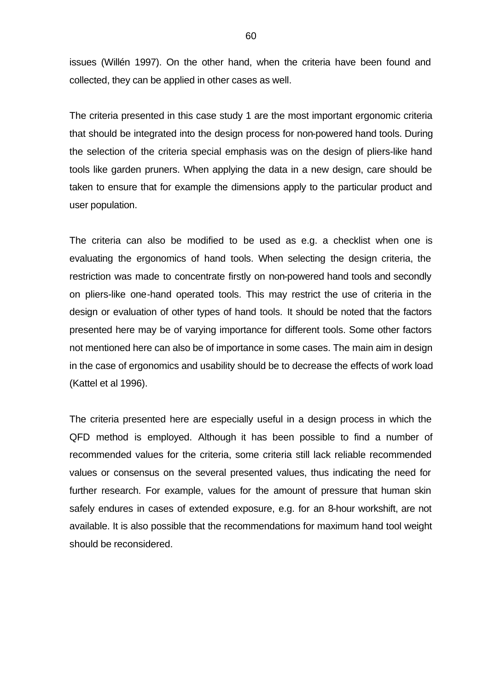issues (Willén 1997). On the other hand, when the criteria have been found and collected, they can be applied in other cases as well.

The criteria presented in this case study 1 are the most important ergonomic criteria that should be integrated into the design process for non-powered hand tools. During the selection of the criteria special emphasis was on the design of pliers-like hand tools like garden pruners. When applying the data in a new design, care should be taken to ensure that for example the dimensions apply to the particular product and user population.

The criteria can also be modified to be used as e.g. a checklist when one is evaluating the ergonomics of hand tools. When selecting the design criteria, the restriction was made to concentrate firstly on non-powered hand tools and secondly on pliers-like one-hand operated tools. This may restrict the use of criteria in the design or evaluation of other types of hand tools. It should be noted that the factors presented here may be of varying importance for different tools. Some other factors not mentioned here can also be of importance in some cases. The main aim in design in the case of ergonomics and usability should be to decrease the effects of work load (Kattel et al 1996).

The criteria presented here are especially useful in a design process in which the QFD method is employed. Although it has been possible to find a number of recommended values for the criteria, some criteria still lack reliable recommended values or consensus on the several presented values, thus indicating the need for further research. For example, values for the amount of pressure that human skin safely endures in cases of extended exposure, e.g. for an 8-hour workshift, are not available. It is also possible that the recommendations for maximum hand tool weight should be reconsidered.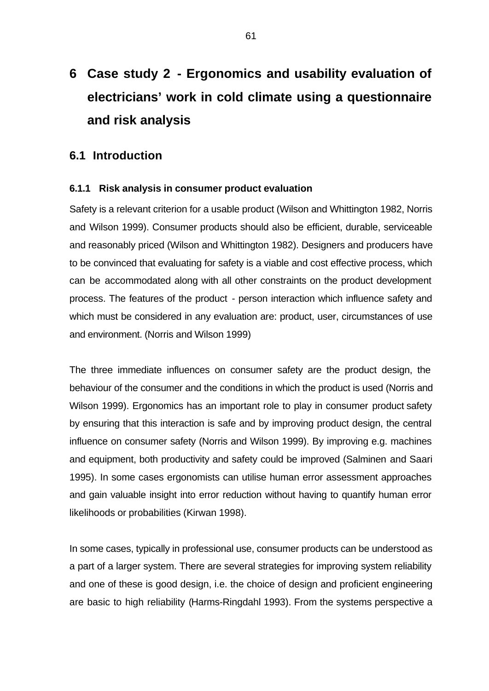# **6 Case study 2 - Ergonomics and usability evaluation of electricians' work in cold climate using a questionnaire and risk analysis**

# **6.1 Introduction**

# **6.1.1 Risk analysis in consumer product evaluation**

Safety is a relevant criterion for a usable product (Wilson and Whittington 1982, Norris and Wilson 1999). Consumer products should also be efficient, durable, serviceable and reasonably priced (Wilson and Whittington 1982). Designers and producers have to be convinced that evaluating for safety is a viable and cost effective process, which can be accommodated along with all other constraints on the product development process. The features of the product - person interaction which influence safety and which must be considered in any evaluation are: product, user, circumstances of use and environment. (Norris and Wilson 1999)

The three immediate influences on consumer safety are the product design, the behaviour of the consumer and the conditions in which the product is used (Norris and Wilson 1999). Ergonomics has an important role to play in consumer product safety by ensuring that this interaction is safe and by improving product design, the central influence on consumer safety (Norris and Wilson 1999). By improving e.g. machines and equipment, both productivity and safety could be improved (Salminen and Saari 1995). In some cases ergonomists can utilise human error assessment approaches and gain valuable insight into error reduction without having to quantify human error likelihoods or probabilities (Kirwan 1998).

In some cases, typically in professional use, consumer products can be understood as a part of a larger system. There are several strategies for improving system reliability and one of these is good design, i.e. the choice of design and proficient engineering are basic to high reliability (Harms-Ringdahl 1993). From the systems perspective a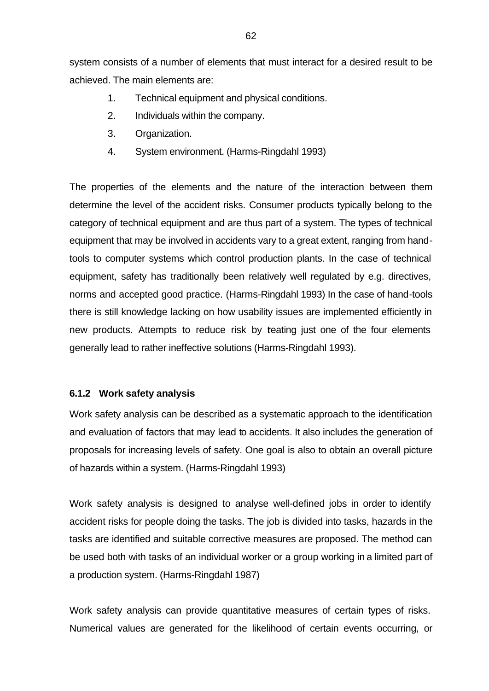system consists of a number of elements that must interact for a desired result to be achieved. The main elements are:

- 1. Technical equipment and physical conditions.
- 2. Individuals within the company.
- 3. Organization.
- 4. System environment. (Harms-Ringdahl 1993)

The properties of the elements and the nature of the interaction between them determine the level of the accident risks. Consumer products typically belong to the category of technical equipment and are thus part of a system. The types of technical equipment that may be involved in accidents vary to a great extent, ranging from handtools to computer systems which control production plants. In the case of technical equipment, safety has traditionally been relatively well regulated by e.g. directives, norms and accepted good practice. (Harms-Ringdahl 1993) In the case of hand-tools there is still knowledge lacking on how usability issues are implemented efficiently in new products. Attempts to reduce risk by teating just one of the four elements generally lead to rather ineffective solutions (Harms-Ringdahl 1993).

# **6.1.2 Work safety analysis**

Work safety analysis can be described as a systematic approach to the identification and evaluation of factors that may lead to accidents. It also includes the generation of proposals for increasing levels of safety. One goal is also to obtain an overall picture of hazards within a system. (Harms-Ringdahl 1993)

Work safety analysis is designed to analyse well-defined jobs in order to identify accident risks for people doing the tasks. The job is divided into tasks, hazards in the tasks are identified and suitable corrective measures are proposed. The method can be used both with tasks of an individual worker or a group working in a limited part of a production system. (Harms-Ringdahl 1987)

Work safety analysis can provide quantitative measures of certain types of risks. Numerical values are generated for the likelihood of certain events occurring, or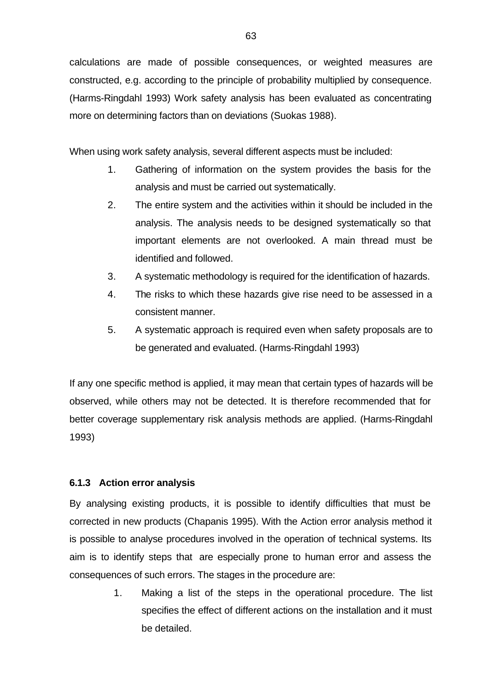calculations are made of possible consequences, or weighted measures are constructed, e.g. according to the principle of probability multiplied by consequence. (Harms-Ringdahl 1993) Work safety analysis has been evaluated as concentrating more on determining factors than on deviations (Suokas 1988).

When using work safety analysis, several different aspects must be included:

- 1. Gathering of information on the system provides the basis for the analysis and must be carried out systematically.
- 2. The entire system and the activities within it should be included in the analysis. The analysis needs to be designed systematically so that important elements are not overlooked. A main thread must be identified and followed.
- 3. A systematic methodology is required for the identification of hazards.
- 4. The risks to which these hazards give rise need to be assessed in a consistent manner.
- 5. A systematic approach is required even when safety proposals are to be generated and evaluated. (Harms-Ringdahl 1993)

If any one specific method is applied, it may mean that certain types of hazards will be observed, while others may not be detected. It is therefore recommended that for better coverage supplementary risk analysis methods are applied. (Harms-Ringdahl 1993)

# **6.1.3 Action error analysis**

By analysing existing products, it is possible to identify difficulties that must be corrected in new products (Chapanis 1995). With the Action error analysis method it is possible to analyse procedures involved in the operation of technical systems. Its aim is to identify steps that are especially prone to human error and assess the consequences of such errors. The stages in the procedure are:

> 1. Making a list of the steps in the operational procedure. The list specifies the effect of different actions on the installation and it must be detailed.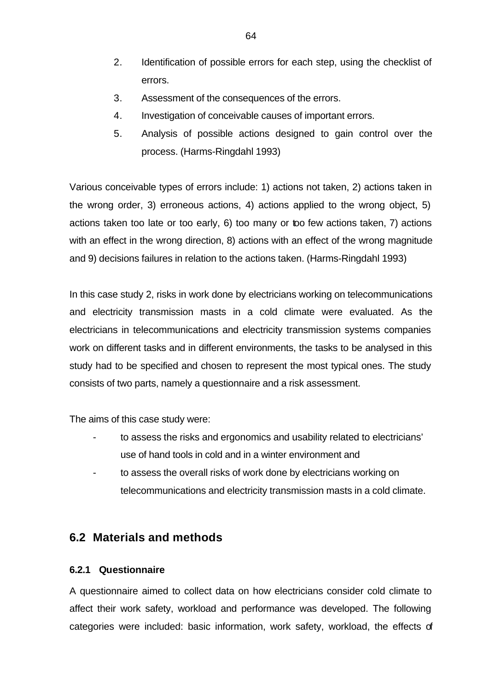- 2. Identification of possible errors for each step, using the checklist of errors.
- 3. Assessment of the consequences of the errors.
- 4. Investigation of conceivable causes of important errors.
- 5. Analysis of possible actions designed to gain control over the process. (Harms-Ringdahl 1993)

Various conceivable types of errors include: 1) actions not taken, 2) actions taken in the wrong order, 3) erroneous actions, 4) actions applied to the wrong object, 5) actions taken too late or too early, 6) too many or too few actions taken, 7) actions with an effect in the wrong direction, 8) actions with an effect of the wrong magnitude and 9) decisions failures in relation to the actions taken. (Harms-Ringdahl 1993)

In this case study 2, risks in work done by electricians working on telecommunications and electricity transmission masts in a cold climate were evaluated. As the electricians in telecommunications and electricity transmission systems companies work on different tasks and in different environments, the tasks to be analysed in this study had to be specified and chosen to represent the most typical ones. The study consists of two parts, namely a questionnaire and a risk assessment.

The aims of this case study were:

- to assess the risks and ergonomics and usability related to electricians' use of hand tools in cold and in a winter environment and
- to assess the overall risks of work done by electricians working on telecommunications and electricity transmission masts in a cold climate.

# **6.2 Materials and methods**

# **6.2.1 Questionnaire**

A questionnaire aimed to collect data on how electricians consider cold climate to affect their work safety, workload and performance was developed. The following categories were included: basic information, work safety, workload, the effects of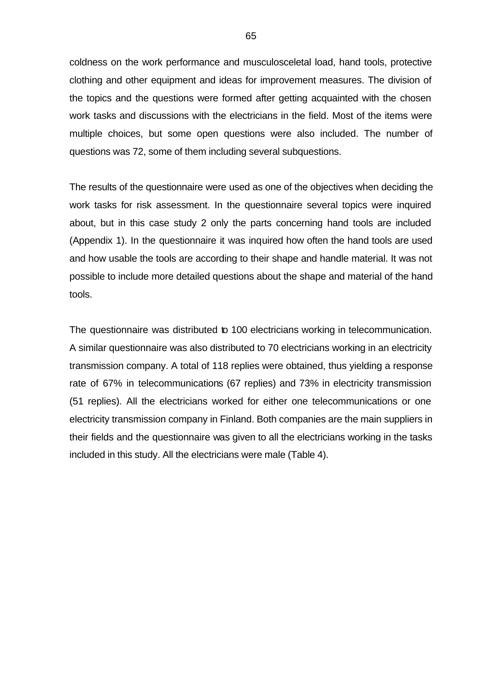coldness on the work performance and musculosceletal load, hand tools, protective clothing and other equipment and ideas for improvement measures. The division of the topics and the questions were formed after getting acquainted with the chosen work tasks and discussions with the electricians in the field. Most of the items were multiple choices, but some open questions were also included. The number of questions was 72, some of them including several subquestions.

The results of the questionnaire were used as one of the objectives when deciding the work tasks for risk assessment. In the questionnaire several topics were inquired about, but in this case study 2 only the parts concerning hand tools are included (Appendix 1). In the questionnaire it was inquired how often the hand tools are used and how usable the tools are according to their shape and handle material. It was not possible to include more detailed questions about the shape and material of the hand tools.

The questionnaire was distributed to 100 electricians working in telecommunication. A similar questionnaire was also distributed to 70 electricians working in an electricity transmission company. A total of 118 replies were obtained, thus yielding a response rate of 67% in telecommunications (67 replies) and 73% in electricity transmission (51 replies). All the electricians worked for either one telecommunications or one electricity transmission company in Finland. Both companies are the main suppliers in their fields and the questionnaire was given to all the electricians working in the tasks included in this study. All the electricians were male (Table 4).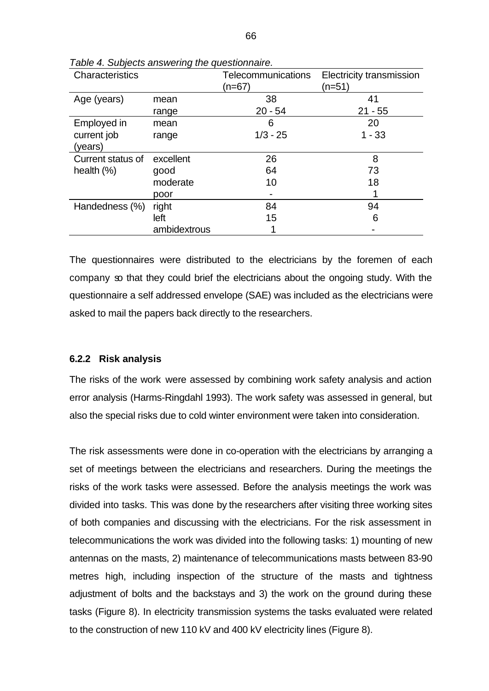| Characteristics   |              | <b>Telecommunications</b><br>(n=67) | <b>Electricity transmission</b><br>(n=51) |
|-------------------|--------------|-------------------------------------|-------------------------------------------|
| Age (years)       | mean         | 38                                  | 41                                        |
|                   | range        | $20 - 54$                           | $21 - 55$                                 |
| Employed in       | mean         | 6                                   | 20                                        |
| current job       | range        | $1/3 - 25$                          | $1 - 33$                                  |
| (years)           |              |                                     |                                           |
| Current status of | excellent    | 26                                  | 8                                         |
| health $(\%)$     | good         | 64                                  | 73                                        |
|                   | moderate     | 10                                  | 18                                        |
|                   | poor         |                                     |                                           |
| Handedness (%)    | right        | 84                                  | 94                                        |
|                   | left         | 15                                  | 6                                         |
|                   | ambidextrous |                                     |                                           |

*Table 4. Subjects answering the questionnaire.*

The questionnaires were distributed to the electricians by the foremen of each company so that they could brief the electricians about the ongoing study. With the questionnaire a self addressed envelope (SAE) was included as the electricians were asked to mail the papers back directly to the researchers.

#### **6.2.2 Risk analysis**

The risks of the work were assessed by combining work safety analysis and action error analysis (Harms-Ringdahl 1993). The work safety was assessed in general, but also the special risks due to cold winter environment were taken into consideration.

The risk assessments were done in co-operation with the electricians by arranging a set of meetings between the electricians and researchers. During the meetings the risks of the work tasks were assessed. Before the analysis meetings the work was divided into tasks. This was done by the researchers after visiting three working sites of both companies and discussing with the electricians. For the risk assessment in telecommunications the work was divided into the following tasks: 1) mounting of new antennas on the masts, 2) maintenance of telecommunications masts between 83-90 metres high, including inspection of the structure of the masts and tightness adjustment of bolts and the backstays and 3) the work on the ground during these tasks (Figure 8). In electricity transmission systems the tasks evaluated were related to the construction of new 110 kV and 400 kV electricity lines (Figure 8).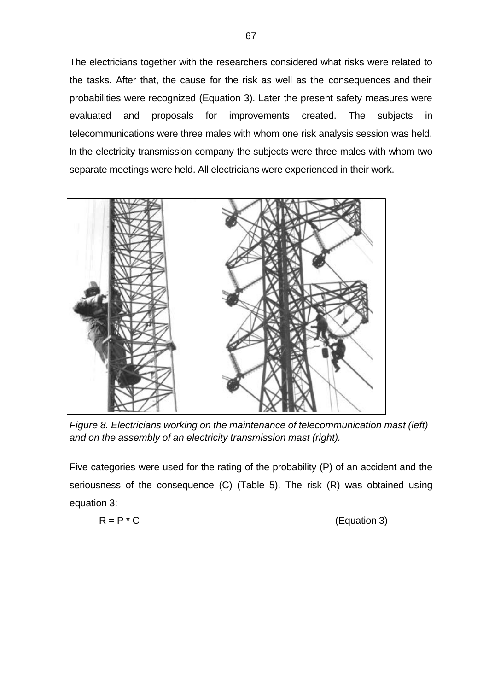The electricians together with the researchers considered what risks were related to the tasks. After that, the cause for the risk as well as the consequences and their probabilities were recognized (Equation 3). Later the present safety measures were evaluated and proposals for improvements created. The subjects in telecommunications were three males with whom one risk analysis session was held. In the electricity transmission company the subjects were three males with whom two separate meetings were held. All electricians were experienced in their work.



*Figure 8. Electricians working on the maintenance of telecommunication mast (left) and on the assembly of an electricity transmission mast (right).*

Five categories were used for the rating of the probability (P) of an accident and the seriousness of the consequence (C) (Table 5). The risk (R) was obtained using equation 3:

$$
R = P^* C
$$

(Equation 3)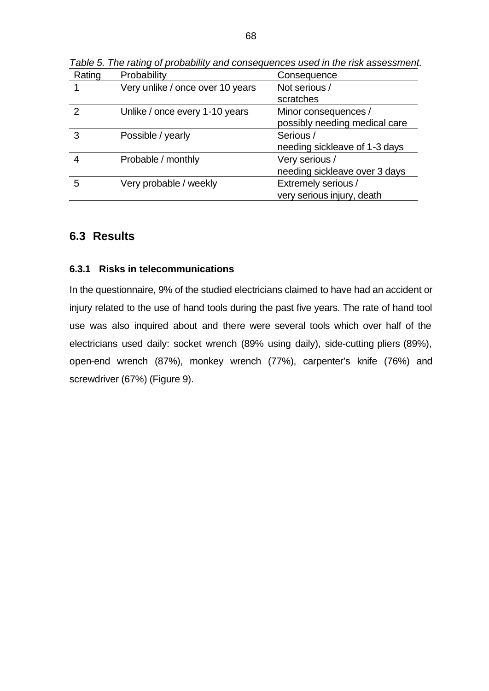| Rating | Probability                      | Consequence                   |  |
|--------|----------------------------------|-------------------------------|--|
|        | Very unlike / once over 10 years | Not serious /                 |  |
|        |                                  | scratches                     |  |
| 2      | Unlike / once every 1-10 years   | Minor consequences /          |  |
|        |                                  | possibly needing medical care |  |
| 3      | Possible / yearly                | Serious /                     |  |
|        |                                  | needing sickleave of 1-3 days |  |
|        | Probable / monthly               | Very serious /                |  |
|        |                                  | needing sickleave over 3 days |  |
| 5      | Very probable / weekly           | Extremely serious /           |  |
|        |                                  | very serious injury, death    |  |

*Table 5. The rating of probability and consequences used in the risk assessment.*

# **6.3 Results**

# **6.3.1 Risks in telecommunications**

In the questionnaire, 9% of the studied electricians claimed to have had an accident or injury related to the use of hand tools during the past five years. The rate of hand tool use was also inquired about and there were several tools which over half of the electricians used daily: socket wrench (89% using daily), side-cutting pliers (89%), open-end wrench (87%), monkey wrench (77%), carpenter's knife (76%) and screwdriver (67%) (Figure 9).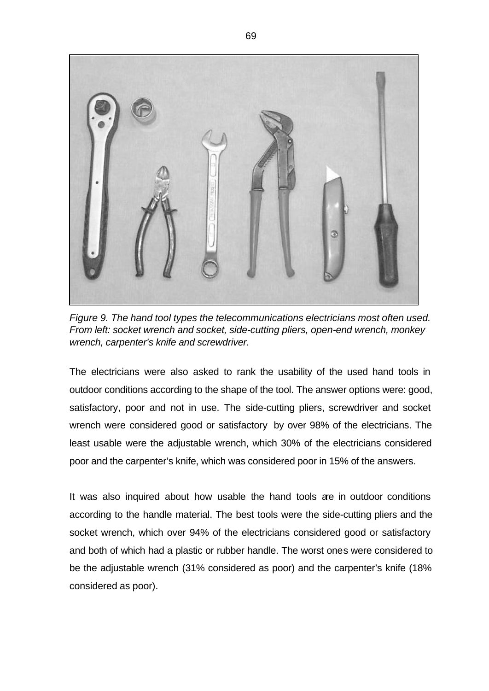

*Figure 9. The hand tool types the telecommunications electricians most often used. From left: socket wrench and socket, side-cutting pliers, open-end wrench, monkey wrench, carpenter's knife and screwdriver.* 

The electricians were also asked to rank the usability of the used hand tools in outdoor conditions according to the shape of the tool. The answer options were: good, satisfactory, poor and not in use. The side-cutting pliers, screwdriver and socket wrench were considered good or satisfactory by over 98% of the electricians. The least usable were the adjustable wrench, which 30% of the electricians considered poor and the carpenter's knife, which was considered poor in 15% of the answers.

It was also inquired about how usable the hand tools are in outdoor conditions according to the handle material. The best tools were the side-cutting pliers and the socket wrench, which over 94% of the electricians considered good or satisfactory and both of which had a plastic or rubber handle. The worst ones were considered to be the adjustable wrench (31% considered as poor) and the carpenter's knife (18% considered as poor).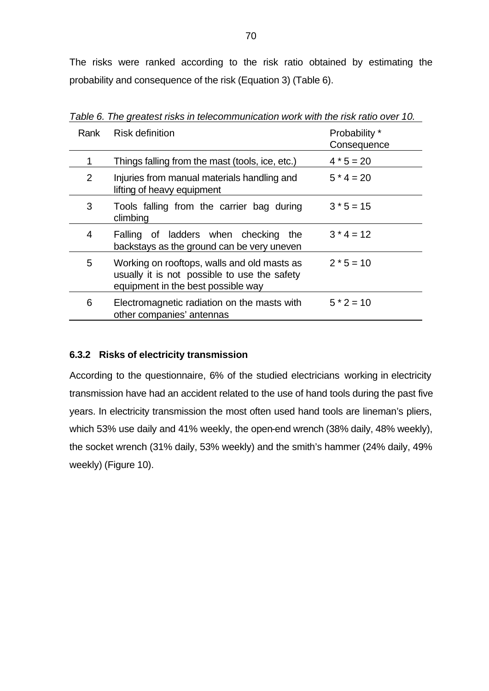The risks were ranked according to the risk ratio obtained by estimating the probability and consequence of the risk (Equation 3) (Table 6).

| Rank | Risk definition                                                                                                                   | Probability *<br>Consequence |
|------|-----------------------------------------------------------------------------------------------------------------------------------|------------------------------|
|      | Things falling from the mast (tools, ice, etc.)                                                                                   | $4 * 5 = 20$                 |
| 2    | Injuries from manual materials handling and<br>lifting of heavy equipment                                                         | $5 * 4 = 20$                 |
| 3    | Tools falling from the carrier bag during<br>climbing                                                                             | $3 * 5 = 15$                 |
| 4    | Falling of ladders when checking the<br>backstays as the ground can be very uneven                                                | $3 * 4 = 12$                 |
| 5    | Working on rooftops, walls and old masts as<br>usually it is not possible to use the safety<br>equipment in the best possible way | $2 * 5 = 10$                 |
| 6    | Electromagnetic radiation on the masts with<br>other companies' antennas                                                          | $5 * 2 = 10$                 |

*Table 6. The greatest risks in telecommunication work with the risk ratio over 10.*

# **6.3.2 Risks of electricity transmission**

According to the questionnaire, 6% of the studied electricians working in electricity transmission have had an accident related to the use of hand tools during the past five years. In electricity transmission the most often used hand tools are lineman's pliers, which 53% use daily and 41% weekly, the open-end wrench (38% daily, 48% weekly), the socket wrench (31% daily, 53% weekly) and the smith's hammer (24% daily, 49% weekly) (Figure 10).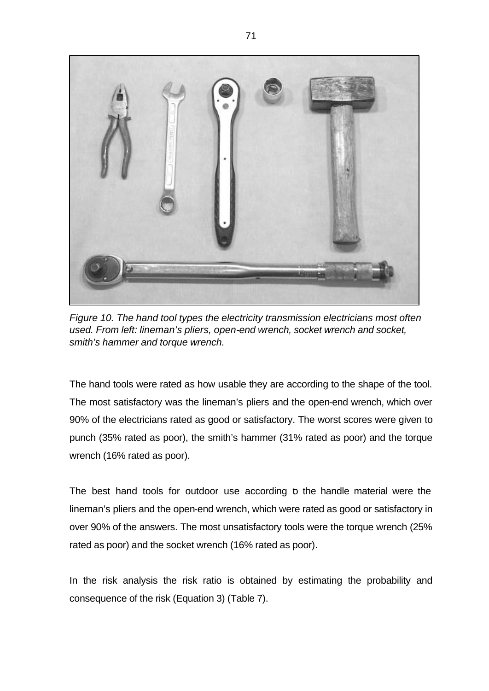

*Figure 10. The hand tool types the electricity transmission electricians most often used. From left: lineman's pliers, open-end wrench, socket wrench and socket, smith's hammer and torque wrench.* 

The hand tools were rated as how usable they are according to the shape of the tool. The most satisfactory was the lineman's pliers and the open-end wrench, which over 90% of the electricians rated as good or satisfactory. The worst scores were given to punch (35% rated as poor), the smith's hammer (31% rated as poor) and the torque wrench (16% rated as poor).

The best hand tools for outdoor use according b the handle material were the lineman's pliers and the open-end wrench, which were rated as good or satisfactory in over 90% of the answers. The most unsatisfactory tools were the torque wrench (25% rated as poor) and the socket wrench (16% rated as poor).

In the risk analysis the risk ratio is obtained by estimating the probability and consequence of the risk (Equation 3) (Table 7).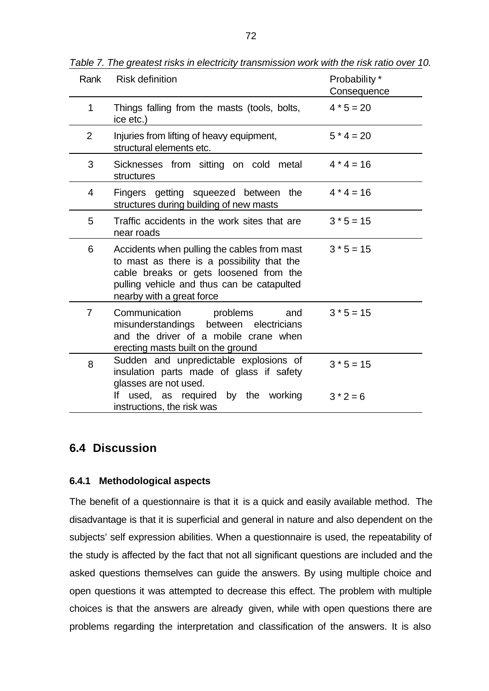| Rank           | <b>Risk definition</b>                                                                                                                                                                                         | Probability *<br>Consequence |
|----------------|----------------------------------------------------------------------------------------------------------------------------------------------------------------------------------------------------------------|------------------------------|
| $\mathbf{1}$   | Things falling from the masts (tools, bolts,<br>ice etc.)                                                                                                                                                      | $4 * 5 = 20$                 |
| 2              | Injuries from lifting of heavy equipment,<br>structural elements etc.                                                                                                                                          | $5 * 4 = 20$                 |
| 3              | Sicknesses from sitting on cold metal<br>structures                                                                                                                                                            | $4 * 4 = 16$                 |
| 4              | Fingers getting squeezed between the<br>structures during building of new masts                                                                                                                                | $4*4=16$                     |
| 5              | Traffic accidents in the work sites that are<br>near roads                                                                                                                                                     | $3 * 5 = 15$                 |
| 6              | Accidents when pulling the cables from mast<br>to mast as there is a possibility that the<br>cable breaks or gets loosened from the<br>pulling vehicle and thus can be catapulted<br>nearby with a great force | $3 * 5 = 15$                 |
| $\overline{7}$ | Communication problems<br>and<br>misunderstandings between electricians<br>and the driver of a mobile crane when<br>erecting masts built on the ground                                                         | $3 * 5 = 15$                 |
| 8              | Sudden and unpredictable explosions of<br>insulation parts made of glass if safety<br>glasses are not used.                                                                                                    | $3 * 5 = 15$                 |
|                | If used, as required by the working<br>instructions, the risk was                                                                                                                                              | $3 * 2 = 6$                  |

*Table 7. The greatest risks in electricity transmission work with the risk ratio over 10.*

## **6.4 Discussion**

#### **6.4.1 Methodological aspects**

The benefit of a questionnaire is that it is a quick and easily available method. The disadvantage is that it is superficial and general in nature and also dependent on the subjects' self expression abilities. When a questionnaire is used, the repeatability of the study is affected by the fact that not all significant questions are included and the asked questions themselves can guide the answers. By using multiple choice and open questions it was attempted to decrease this effect. The problem with multiple choices is that the answers are already given, while with open questions there are problems regarding the interpretation and classification of the answers. It is also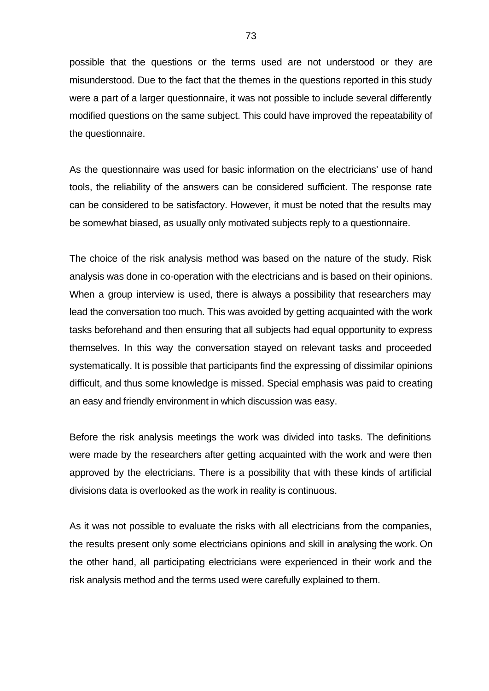possible that the questions or the terms used are not understood or they are misunderstood. Due to the fact that the themes in the questions reported in this study were a part of a larger questionnaire, it was not possible to include several differently modified questions on the same subject. This could have improved the repeatability of the questionnaire.

As the questionnaire was used for basic information on the electricians' use of hand tools, the reliability of the answers can be considered sufficient. The response rate can be considered to be satisfactory. However, it must be noted that the results may be somewhat biased, as usually only motivated subjects reply to a questionnaire.

The choice of the risk analysis method was based on the nature of the study. Risk analysis was done in co-operation with the electricians and is based on their opinions. When a group interview is used, there is always a possibility that researchers may lead the conversation too much. This was avoided by getting acquainted with the work tasks beforehand and then ensuring that all subjects had equal opportunity to express themselves. In this way the conversation stayed on relevant tasks and proceeded systematically. It is possible that participants find the expressing of dissimilar opinions difficult, and thus some knowledge is missed. Special emphasis was paid to creating an easy and friendly environment in which discussion was easy.

Before the risk analysis meetings the work was divided into tasks. The definitions were made by the researchers after getting acquainted with the work and were then approved by the electricians. There is a possibility that with these kinds of artificial divisions data is overlooked as the work in reality is continuous.

As it was not possible to evaluate the risks with all electricians from the companies, the results present only some electricians opinions and skill in analysing the work. On the other hand, all participating electricians were experienced in their work and the risk analysis method and the terms used were carefully explained to them.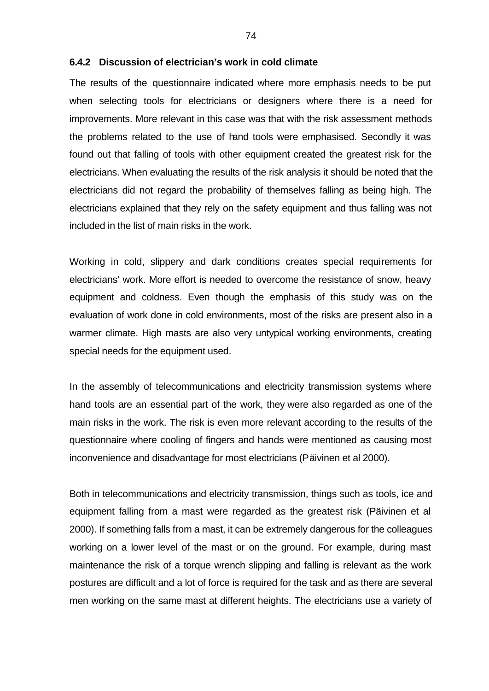#### **6.4.2 Discussion of electrician's work in cold climate**

The results of the questionnaire indicated where more emphasis needs to be put when selecting tools for electricians or designers where there is a need for improvements. More relevant in this case was that with the risk assessment methods the problems related to the use of hand tools were emphasised. Secondly it was found out that falling of tools with other equipment created the greatest risk for the electricians. When evaluating the results of the risk analysis it should be noted that the electricians did not regard the probability of themselves falling as being high. The electricians explained that they rely on the safety equipment and thus falling was not included in the list of main risks in the work.

Working in cold, slippery and dark conditions creates special requirements for electricians' work. More effort is needed to overcome the resistance of snow, heavy equipment and coldness. Even though the emphasis of this study was on the evaluation of work done in cold environments, most of the risks are present also in a warmer climate. High masts are also very untypical working environments, creating special needs for the equipment used.

In the assembly of telecommunications and electricity transmission systems where hand tools are an essential part of the work, they were also regarded as one of the main risks in the work. The risk is even more relevant according to the results of the questionnaire where cooling of fingers and hands were mentioned as causing most inconvenience and disadvantage for most electricians (Päivinen et al 2000).

Both in telecommunications and electricity transmission, things such as tools, ice and equipment falling from a mast were regarded as the greatest risk (Päivinen et al 2000). If something falls from a mast, it can be extremely dangerous for the colleagues working on a lower level of the mast or on the ground. For example, during mast maintenance the risk of a torque wrench slipping and falling is relevant as the work postures are difficult and a lot of force is required for the task and as there are several men working on the same mast at different heights. The electricians use a variety of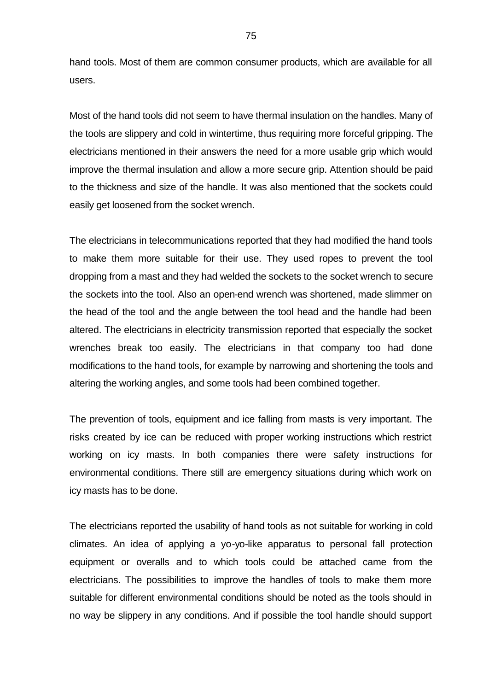hand tools. Most of them are common consumer products, which are available for all users.

Most of the hand tools did not seem to have thermal insulation on the handles. Many of the tools are slippery and cold in wintertime, thus requiring more forceful gripping. The electricians mentioned in their answers the need for a more usable grip which would improve the thermal insulation and allow a more secure grip. Attention should be paid to the thickness and size of the handle. It was also mentioned that the sockets could easily get loosened from the socket wrench.

The electricians in telecommunications reported that they had modified the hand tools to make them more suitable for their use. They used ropes to prevent the tool dropping from a mast and they had welded the sockets to the socket wrench to secure the sockets into the tool. Also an open-end wrench was shortened, made slimmer on the head of the tool and the angle between the tool head and the handle had been altered. The electricians in electricity transmission reported that especially the socket wrenches break too easily. The electricians in that company too had done modifications to the hand tools, for example by narrowing and shortening the tools and altering the working angles, and some tools had been combined together.

The prevention of tools, equipment and ice falling from masts is very important. The risks created by ice can be reduced with proper working instructions which restrict working on icy masts. In both companies there were safety instructions for environmental conditions. There still are emergency situations during which work on icy masts has to be done.

The electricians reported the usability of hand tools as not suitable for working in cold climates. An idea of applying a yo-yo-like apparatus to personal fall protection equipment or overalls and to which tools could be attached came from the electricians. The possibilities to improve the handles of tools to make them more suitable for different environmental conditions should be noted as the tools should in no way be slippery in any conditions. And if possible the tool handle should support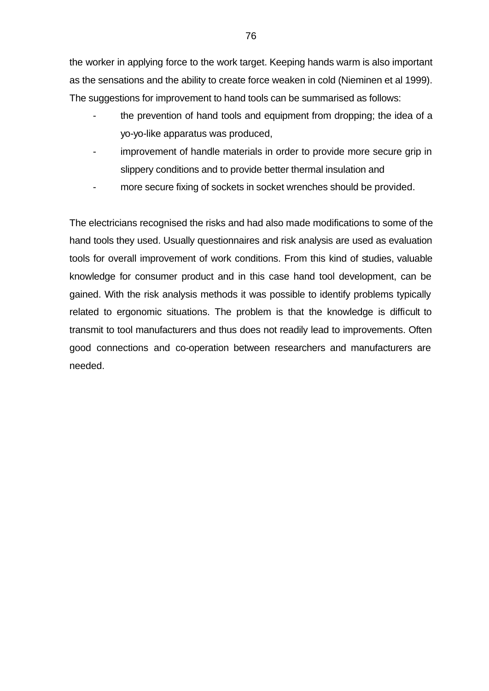the worker in applying force to the work target. Keeping hands warm is also important as the sensations and the ability to create force weaken in cold (Nieminen et al 1999). The suggestions for improvement to hand tools can be summarised as follows:

- the prevention of hand tools and equipment from dropping; the idea of a yo-yo-like apparatus was produced,
- improvement of handle materials in order to provide more secure grip in slippery conditions and to provide better thermal insulation and
- more secure fixing of sockets in socket wrenches should be provided.

The electricians recognised the risks and had also made modifications to some of the hand tools they used. Usually questionnaires and risk analysis are used as evaluation tools for overall improvement of work conditions. From this kind of studies, valuable knowledge for consumer product and in this case hand tool development, can be gained. With the risk analysis methods it was possible to identify problems typically related to ergonomic situations. The problem is that the knowledge is difficult to transmit to tool manufacturers and thus does not readily lead to improvements. Often good connections and co-operation between researchers and manufacturers are needed.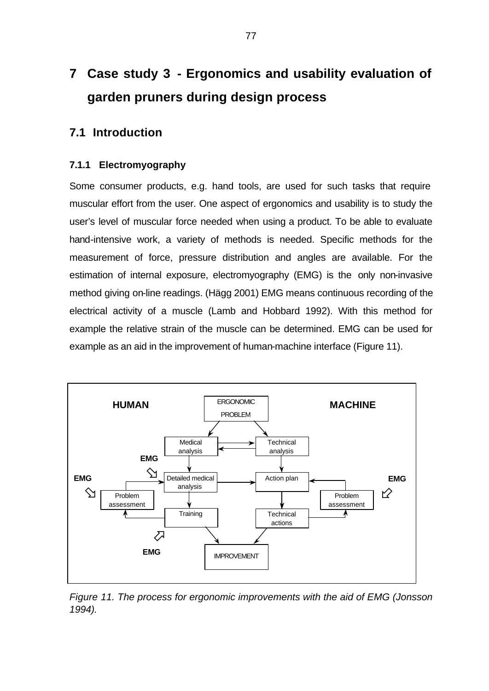# **7 Case study 3 - Ergonomics and usability evaluation of garden pruners during design process**

# **7.1 Introduction**

#### **7.1.1 Electromyography**

Some consumer products, e.g. hand tools, are used for such tasks that require muscular effort from the user. One aspect of ergonomics and usability is to study the user's level of muscular force needed when using a product. To be able to evaluate hand-intensive work, a variety of methods is needed. Specific methods for the measurement of force, pressure distribution and angles are available. For the estimation of internal exposure, electromyography (EMG) is the only non-invasive method giving on-line readings. (Hägg 2001) EMG means continuous recording of the electrical activity of a muscle (Lamb and Hobbard 1992). With this method for example the relative strain of the muscle can be determined. EMG can be used for example as an aid in the improvement of human-machine interface (Figure 11).



*Figure 11. The process for ergonomic improvements with the aid of EMG (Jonsson 1994).*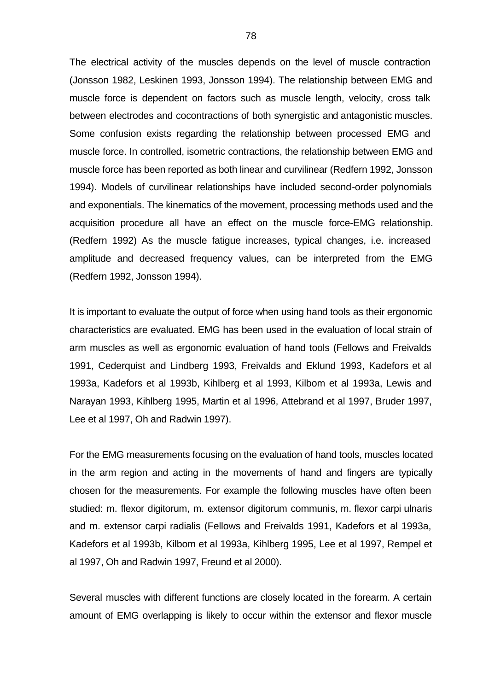The electrical activity of the muscles depends on the level of muscle contraction (Jonsson 1982, Leskinen 1993, Jonsson 1994). The relationship between EMG and muscle force is dependent on factors such as muscle length, velocity, cross talk between electrodes and cocontractions of both synergistic and antagonistic muscles. Some confusion exists regarding the relationship between processed EMG and muscle force. In controlled, isometric contractions, the relationship between EMG and muscle force has been reported as both linear and curvilinear (Redfern 1992, Jonsson 1994). Models of curvilinear relationships have included second-order polynomials and exponentials. The kinematics of the movement, processing methods used and the acquisition procedure all have an effect on the muscle force-EMG relationship. (Redfern 1992) As the muscle fatigue increases, typical changes, i.e. increased amplitude and decreased frequency values, can be interpreted from the EMG (Redfern 1992, Jonsson 1994).

It is important to evaluate the output of force when using hand tools as their ergonomic characteristics are evaluated. EMG has been used in the evaluation of local strain of arm muscles as well as ergonomic evaluation of hand tools (Fellows and Freivalds 1991, Cederquist and Lindberg 1993, Freivalds and Eklund 1993, Kadefors et al 1993a, Kadefors et al 1993b, Kihlberg et al 1993, Kilbom et al 1993a, Lewis and Narayan 1993, Kihlberg 1995, Martin et al 1996, Attebrand et al 1997, Bruder 1997, Lee et al 1997, Oh and Radwin 1997).

For the EMG measurements focusing on the evaluation of hand tools, muscles located in the arm region and acting in the movements of hand and fingers are typically chosen for the measurements. For example the following muscles have often been studied: m. flexor digitorum, m. extensor digitorum communis, m. flexor carpi ulnaris and m. extensor carpi radialis (Fellows and Freivalds 1991, Kadefors et al 1993a, Kadefors et al 1993b, Kilbom et al 1993a, Kihlberg 1995, Lee et al 1997, Rempel et al 1997, Oh and Radwin 1997, Freund et al 2000).

Several muscles with different functions are closely located in the forearm. A certain amount of EMG overlapping is likely to occur within the extensor and flexor muscle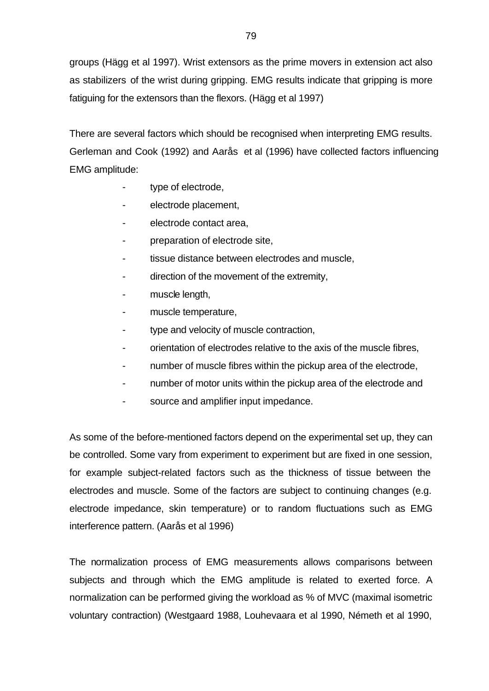groups (Hägg et al 1997). Wrist extensors as the prime movers in extension act also as stabilizers of the wrist during gripping. EMG results indicate that gripping is more fatiguing for the extensors than the flexors. (Hägg et al 1997)

There are several factors which should be recognised when interpreting EMG results. Gerleman and Cook (1992) and Aarås et al (1996) have collected factors influencing EMG amplitude:

- type of electrode,
- electrode placement,
- electrode contact area,
- preparation of electrode site,
- tissue distance between electrodes and muscle,
- direction of the movement of the extremity,
- muscle length,
- muscle temperature,
- type and velocity of muscle contraction,
- orientation of electrodes relative to the axis of the muscle fibres,
- number of muscle fibres within the pickup area of the electrode,
- number of motor units within the pickup area of the electrode and
- source and amplifier input impedance.

As some of the before-mentioned factors depend on the experimental set up, they can be controlled. Some vary from experiment to experiment but are fixed in one session, for example subject-related factors such as the thickness of tissue between the electrodes and muscle. Some of the factors are subject to continuing changes (e.g. electrode impedance, skin temperature) or to random fluctuations such as EMG interference pattern. (Aarås et al 1996)

The normalization process of EMG measurements allows comparisons between subjects and through which the EMG amplitude is related to exerted force. A normalization can be performed giving the workload as % of MVC (maximal isometric voluntary contraction) (Westgaard 1988, Louhevaara et al 1990, Németh et al 1990,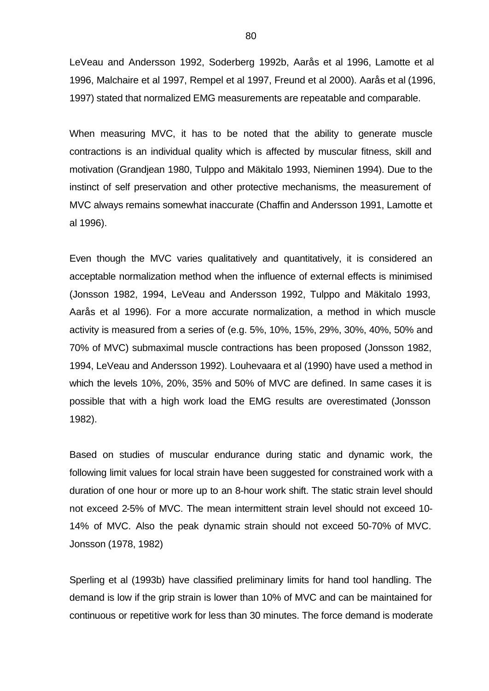LeVeau and Andersson 1992, Soderberg 1992b, Aarås et al 1996, Lamotte et al 1996, Malchaire et al 1997, Rempel et al 1997, Freund et al 2000). Aarås et al (1996, 1997) stated that normalized EMG measurements are repeatable and comparable.

When measuring MVC, it has to be noted that the ability to generate muscle contractions is an individual quality which is affected by muscular fitness, skill and motivation (Grandjean 1980, Tulppo and Mäkitalo 1993, Nieminen 1994). Due to the instinct of self preservation and other protective mechanisms, the measurement of MVC always remains somewhat inaccurate (Chaffin and Andersson 1991, Lamotte et al 1996).

Even though the MVC varies qualitatively and quantitatively, it is considered an acceptable normalization method when the influence of external effects is minimised (Jonsson 1982, 1994, LeVeau and Andersson 1992, Tulppo and Mäkitalo 1993, Aarås et al 1996). For a more accurate normalization, a method in which muscle activity is measured from a series of (e.g. 5%, 10%, 15%, 29%, 30%, 40%, 50% and 70% of MVC) submaximal muscle contractions has been proposed (Jonsson 1982, 1994, LeVeau and Andersson 1992). Louhevaara et al (1990) have used a method in which the levels 10%, 20%, 35% and 50% of MVC are defined. In same cases it is possible that with a high work load the EMG results are overestimated (Jonsson 1982).

Based on studies of muscular endurance during static and dynamic work, the following limit values for local strain have been suggested for constrained work with a duration of one hour or more up to an 8-hour work shift. The static strain level should not exceed 2-5% of MVC. The mean intermittent strain level should not exceed 10- 14% of MVC. Also the peak dynamic strain should not exceed 50-70% of MVC. Jonsson (1978, 1982)

Sperling et al (1993b) have classified preliminary limits for hand tool handling. The demand is low if the grip strain is lower than 10% of MVC and can be maintained for continuous or repetitive work for less than 30 minutes. The force demand is moderate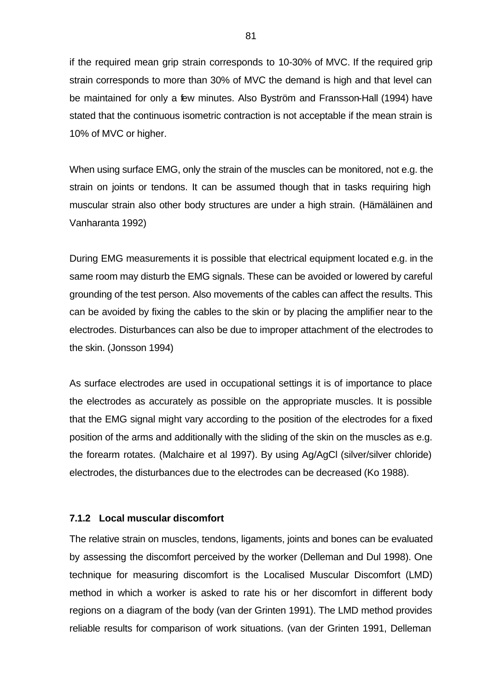if the required mean grip strain corresponds to 10-30% of MVC. If the required grip strain corresponds to more than 30% of MVC the demand is high and that level can be maintained for only a few minutes. Also Byström and Fransson-Hall (1994) have stated that the continuous isometric contraction is not acceptable if the mean strain is 10% of MVC or higher.

When using surface EMG, only the strain of the muscles can be monitored, not e.g. the strain on joints or tendons. It can be assumed though that in tasks requiring high muscular strain also other body structures are under a high strain. (Hämäläinen and Vanharanta 1992)

During EMG measurements it is possible that electrical equipment located e.g. in the same room may disturb the EMG signals. These can be avoided or lowered by careful grounding of the test person. Also movements of the cables can affect the results. This can be avoided by fixing the cables to the skin or by placing the amplifier near to the electrodes. Disturbances can also be due to improper attachment of the electrodes to the skin. (Jonsson 1994)

As surface electrodes are used in occupational settings it is of importance to place the electrodes as accurately as possible on the appropriate muscles. It is possible that the EMG signal might vary according to the position of the electrodes for a fixed position of the arms and additionally with the sliding of the skin on the muscles as e.g. the forearm rotates. (Malchaire et al 1997). By using Ag/AgCl (silver/silver chloride) electrodes, the disturbances due to the electrodes can be decreased (Ko 1988).

#### **7.1.2 Local muscular discomfort**

The relative strain on muscles, tendons, ligaments, joints and bones can be evaluated by assessing the discomfort perceived by the worker (Delleman and Dul 1998). One technique for measuring discomfort is the Localised Muscular Discomfort (LMD) method in which a worker is asked to rate his or her discomfort in different body regions on a diagram of the body (van der Grinten 1991). The LMD method provides reliable results for comparison of work situations. (van der Grinten 1991, Delleman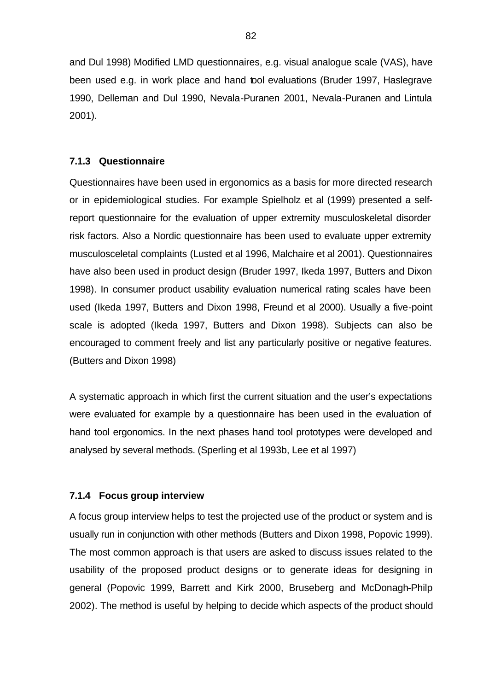and Dul 1998) Modified LMD questionnaires, e.g. visual analogue scale (VAS), have been used e.g. in work place and hand tool evaluations (Bruder 1997, Haslegrave 1990, Delleman and Dul 1990, Nevala-Puranen 2001, Nevala-Puranen and Lintula 2001).

#### **7.1.3 Questionnaire**

Questionnaires have been used in ergonomics as a basis for more directed research or in epidemiological studies. For example Spielholz et al (1999) presented a selfreport questionnaire for the evaluation of upper extremity musculoskeletal disorder risk factors. Also a Nordic questionnaire has been used to evaluate upper extremity musculosceletal complaints (Lusted et al 1996, Malchaire et al 2001). Questionnaires have also been used in product design (Bruder 1997, Ikeda 1997, Butters and Dixon 1998). In consumer product usability evaluation numerical rating scales have been used (Ikeda 1997, Butters and Dixon 1998, Freund et al 2000). Usually a five-point scale is adopted (Ikeda 1997, Butters and Dixon 1998). Subjects can also be encouraged to comment freely and list any particularly positive or negative features. (Butters and Dixon 1998)

A systematic approach in which first the current situation and the user's expectations were evaluated for example by a questionnaire has been used in the evaluation of hand tool ergonomics. In the next phases hand tool prototypes were developed and analysed by several methods. (Sperling et al 1993b, Lee et al 1997)

#### **7.1.4 Focus group interview**

A focus group interview helps to test the projected use of the product or system and is usually run in conjunction with other methods (Butters and Dixon 1998, Popovic 1999). The most common approach is that users are asked to discuss issues related to the usability of the proposed product designs or to generate ideas for designing in general (Popovic 1999, Barrett and Kirk 2000, Bruseberg and McDonagh-Philp 2002). The method is useful by helping to decide which aspects of the product should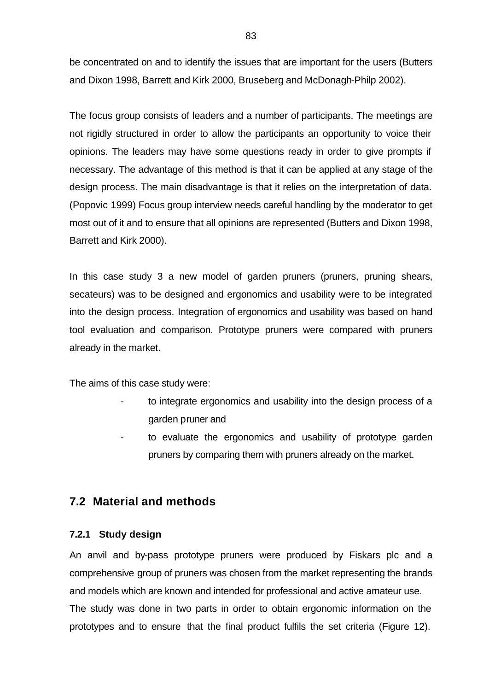be concentrated on and to identify the issues that are important for the users (Butters and Dixon 1998, Barrett and Kirk 2000, Bruseberg and McDonagh-Philp 2002).

The focus group consists of leaders and a number of participants. The meetings are not rigidly structured in order to allow the participants an opportunity to voice their opinions. The leaders may have some questions ready in order to give prompts if necessary. The advantage of this method is that it can be applied at any stage of the design process. The main disadvantage is that it relies on the interpretation of data. (Popovic 1999) Focus group interview needs careful handling by the moderator to get most out of it and to ensure that all opinions are represented (Butters and Dixon 1998, Barrett and Kirk 2000).

In this case study 3 a new model of garden pruners (pruners, pruning shears, secateurs) was to be designed and ergonomics and usability were to be integrated into the design process. Integration of ergonomics and usability was based on hand tool evaluation and comparison. Prototype pruners were compared with pruners already in the market.

The aims of this case study were:

- to integrate ergonomics and usability into the design process of a garden pruner and
- to evaluate the ergonomics and usability of prototype garden pruners by comparing them with pruners already on the market.

# **7.2 Material and methods**

#### **7.2.1 Study design**

An anvil and by-pass prototype pruners were produced by Fiskars plc and a comprehensive group of pruners was chosen from the market representing the brands and models which are known and intended for professional and active amateur use. The study was done in two parts in order to obtain ergonomic information on the prototypes and to ensure that the final product fulfils the set criteria (Figure 12).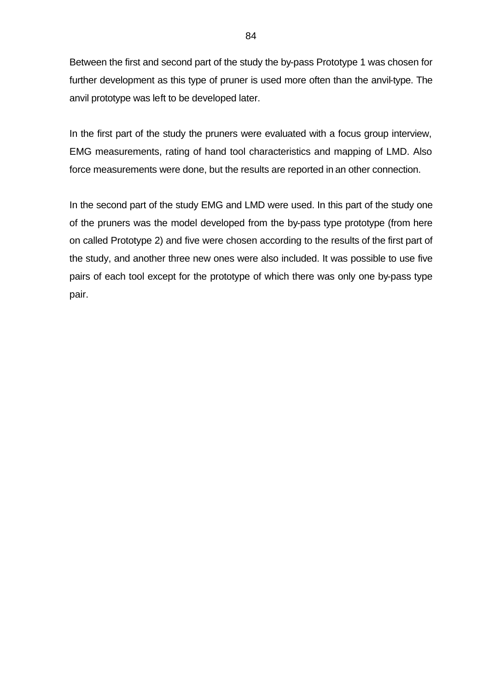Between the first and second part of the study the by-pass Prototype 1 was chosen for further development as this type of pruner is used more often than the anvil-type. The anvil prototype was left to be developed later.

In the first part of the study the pruners were evaluated with a focus group interview, EMG measurements, rating of hand tool characteristics and mapping of LMD. Also force measurements were done, but the results are reported in an other connection.

In the second part of the study EMG and LMD were used. In this part of the study one of the pruners was the model developed from the by-pass type prototype (from here on called Prototype 2) and five were chosen according to the results of the first part of the study, and another three new ones were also included. It was possible to use five pairs of each tool except for the prototype of which there was only one by-pass type pair.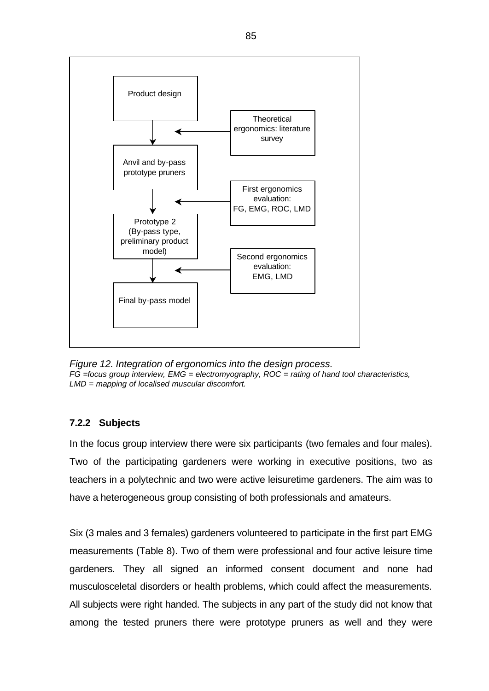

*Figure 12. Integration of ergonomics into the design process. FG =focus group interview, EMG = electromyography, ROC = rating of hand tool characteristics, LMD = mapping of localised muscular discomfort.* 

### **7.2.2 Subjects**

In the focus group interview there were six participants (two females and four males). Two of the participating gardeners were working in executive positions, two as teachers in a polytechnic and two were active leisuretime gardeners. The aim was to have a heterogeneous group consisting of both professionals and amateurs.

Six (3 males and 3 females) gardeners volunteered to participate in the first part EMG measurements (Table 8). Two of them were professional and four active leisure time gardeners. They all signed an informed consent document and none had musculosceletal disorders or health problems, which could affect the measurements. All subjects were right handed. The subjects in any part of the study did not know that among the tested pruners there were prototype pruners as well and they were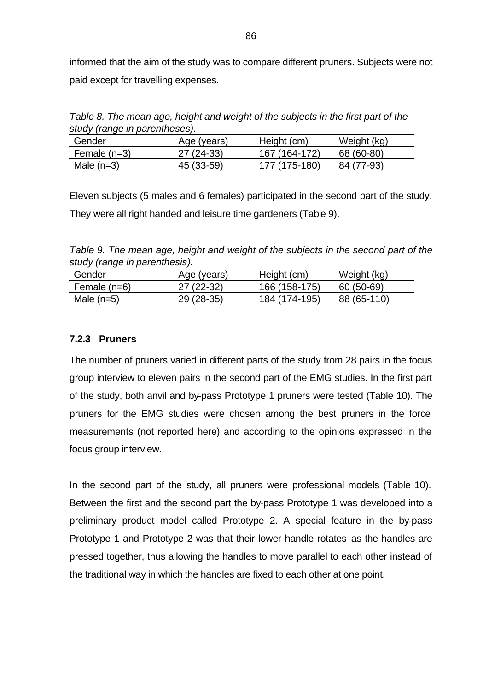informed that the aim of the study was to compare different pruners. Subjects were not paid except for travelling expenses.

*Table 8. The mean age, height and weight of the subjects in the first part of the study (range in parentheses).*

| Gender         | Age (years) | Height (cm)   | Weight (kg) |
|----------------|-------------|---------------|-------------|
| Female $(n=3)$ | $27(24-33)$ | 167 (164-172) | 68 (60-80)  |
| Male $(n=3)$   | 45 (33-59)  | 177 (175-180) | 84 (77-93)  |

Eleven subjects (5 males and 6 females) participated in the second part of the study. They were all right handed and leisure time gardeners (Table 9).

*Table 9. The mean age, height and weight of the subjects in the second part of the study (range in parenthesis).*

| Gender       | Age (years) | Height (cm)   | Weight (kg) |
|--------------|-------------|---------------|-------------|
| Female (n=6) | $27(22-32)$ | 166 (158-175) | 60 (50-69)  |
| Male $(n=5)$ | $29(28-35)$ | 184 (174-195) | 88 (65-110) |

#### **7.2.3 Pruners**

The number of pruners varied in different parts of the study from 28 pairs in the focus group interview to eleven pairs in the second part of the EMG studies. In the first part of the study, both anvil and by-pass Prototype 1 pruners were tested (Table 10). The pruners for the EMG studies were chosen among the best pruners in the force measurements (not reported here) and according to the opinions expressed in the focus group interview.

In the second part of the study, all pruners were professional models (Table 10). Between the first and the second part the by-pass Prototype 1 was developed into a preliminary product model called Prototype 2. A special feature in the by-pass Prototype 1 and Prototype 2 was that their lower handle rotates as the handles are pressed together, thus allowing the handles to move parallel to each other instead of the traditional way in which the handles are fixed to each other at one point.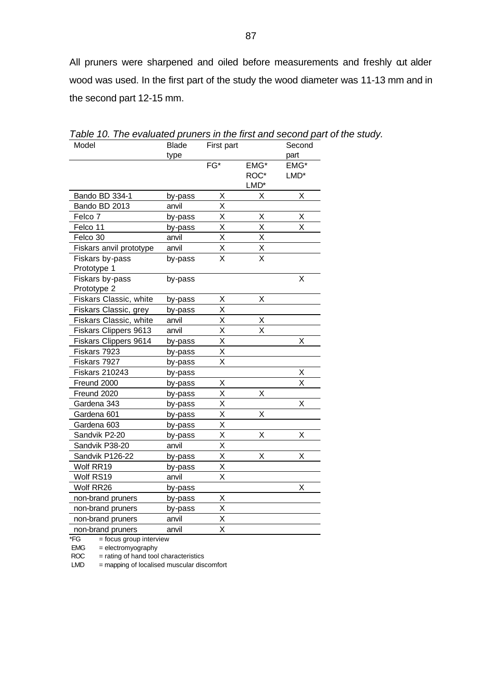All pruners were sharpened and oiled before measurements and freshly  $aut$  alder wood was used. In the first part of the study the wood diameter was 11-13 mm and in the second part 12-15 mm.

| Model                          | <b>Blade</b> | First part    |               | Second |
|--------------------------------|--------------|---------------|---------------|--------|
|                                | type         |               |               | part   |
|                                |              | FG*           | EMG*          | EMG*   |
|                                |              |               | ROC*          | LMD*   |
|                                |              |               | $LMD*$        |        |
| Bando BD 334-1                 | by-pass      | Χ             | X             | Χ      |
| Bando BD 2013                  | anvil        | Χ             |               |        |
| Felco 7                        | by-pass      | X             | Χ             | Χ      |
| Felco 11                       | by-pass      | X             | X             | X      |
| Felco 30                       | anvil        | X             | X             |        |
| Fiskars anvil prototype        | anvil        | $\frac{X}{X}$ | $\frac{x}{x}$ |        |
| Fiskars by-pass<br>Prototype 1 | by-pass      |               |               |        |
| Fiskars by-pass                | by-pass      |               |               | X      |
| Prototype 2                    |              |               |               |        |
| Fiskars Classic, white         | by-pass      | Χ             | X             |        |
| Fiskars Classic, grey          | by-pass      | X             |               |        |
| Fiskars Classic, white         | anvil        | Χ             | Χ             |        |
| Fiskars Clippers 9613          | anvil        | Χ             | X             |        |
| Fiskars Clippers 9614          | by-pass      | X             |               | Χ      |
| Fiskars 7923                   | by-pass      | Χ             |               |        |
| Fiskars 7927                   | by-pass      | X             |               |        |
| <b>Fiskars 210243</b>          | by-pass      |               |               | Χ      |
| Freund 2000                    | by-pass      | Χ             |               | X      |
| Freund 2020                    | by-pass      | X             | Χ             |        |
| Gardena 343                    | by-pass      | Χ             |               | X      |
| Gardena 601                    | by-pass      | X             | X             |        |
| Gardena 603                    | by-pass      | X             |               |        |
| Sandvik P2-20                  | by-pass      | X             | Χ             | X      |
| Sandvik P38-20                 | anvil        | Χ             |               |        |
| Sandvik P126-22                | by-pass      | Χ             | Χ             | X      |
| Wolf RR19                      | by-pass      | X             |               |        |
| Wolf RS19                      | anvil        | X             |               |        |
| Wolf RR26                      | by-pass      |               |               | Χ      |
| non-brand pruners              | by-pass      | X             |               |        |
| non-brand pruners              | by-pass      | Χ             |               |        |
| non-brand pruners              | anvil        | Χ             |               |        |
| non-brand pruners              | anvil        | X             |               |        |
|                                |              |               |               |        |

*Table 10. The evaluated pruners in the first and second part of the study.*

 $*FG = focus group$  interview

 $EMG =$  electromyography

 $ROC = rating of hand tool characteristics$ 

 $LMD$  = mapping of localised muscular discomfort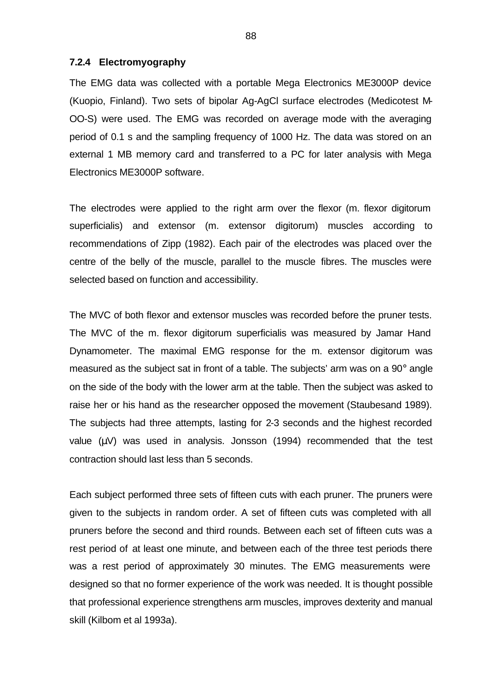#### **7.2.4 Electromyography**

The EMG data was collected with a portable Mega Electronics ME3000P device (Kuopio, Finland). Two sets of bipolar Ag-AgCl surface electrodes (Medicotest M-OO-S) were used. The EMG was recorded on average mode with the averaging period of 0.1 s and the sampling frequency of 1000 Hz. The data was stored on an external 1 MB memory card and transferred to a PC for later analysis with Mega Electronics ME3000P software.

The electrodes were applied to the right arm over the flexor (m. flexor digitorum superficialis) and extensor (m. extensor digitorum) muscles according to recommendations of Zipp (1982). Each pair of the electrodes was placed over the centre of the belly of the muscle, parallel to the muscle fibres. The muscles were selected based on function and accessibility.

The MVC of both flexor and extensor muscles was recorded before the pruner tests. The MVC of the m. flexor digitorum superficialis was measured by Jamar Hand Dynamometer. The maximal EMG response for the m. extensor digitorum was measured as the subject sat in front of a table. The subjects' arm was on a 90° angle on the side of the body with the lower arm at the table. Then the subject was asked to raise her or his hand as the researcher opposed the movement (Staubesand 1989). The subjects had three attempts, lasting for 2-3 seconds and the highest recorded value (μV) was used in analysis. Jonsson (1994) recommended that the test contraction should last less than 5 seconds.

Each subject performed three sets of fifteen cuts with each pruner. The pruners were given to the subjects in random order. A set of fifteen cuts was completed with all pruners before the second and third rounds. Between each set of fifteen cuts was a rest period of at least one minute, and between each of the three test periods there was a rest period of approximately 30 minutes. The EMG measurements were designed so that no former experience of the work was needed. It is thought possible that professional experience strengthens arm muscles, improves dexterity and manual skill (Kilbom et al 1993a).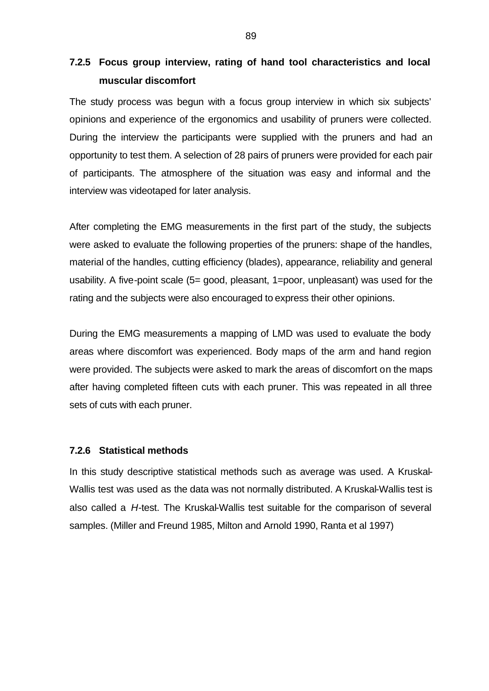# **7.2.5 Focus group interview, rating of hand tool characteristics and local muscular discomfort**

The study process was begun with a focus group interview in which six subjects' opinions and experience of the ergonomics and usability of pruners were collected. During the interview the participants were supplied with the pruners and had an opportunity to test them. A selection of 28 pairs of pruners were provided for each pair of participants. The atmosphere of the situation was easy and informal and the interview was videotaped for later analysis.

After completing the EMG measurements in the first part of the study, the subjects were asked to evaluate the following properties of the pruners: shape of the handles, material of the handles, cutting efficiency (blades), appearance, reliability and general usability. A five-point scale (5= good, pleasant, 1=poor, unpleasant) was used for the rating and the subjects were also encouraged to express their other opinions.

During the EMG measurements a mapping of LMD was used to evaluate the body areas where discomfort was experienced. Body maps of the arm and hand region were provided. The subjects were asked to mark the areas of discomfort on the maps after having completed fifteen cuts with each pruner. This was repeated in all three sets of cuts with each pruner.

#### **7.2.6 Statistical methods**

In this study descriptive statistical methods such as average was used. A Kruskal-Wallis test was used as the data was not normally distributed. A Kruskal-Wallis test is also called a *H*-test. The Kruskal-Wallis test suitable for the comparison of several samples. (Miller and Freund 1985, Milton and Arnold 1990, Ranta et al 1997)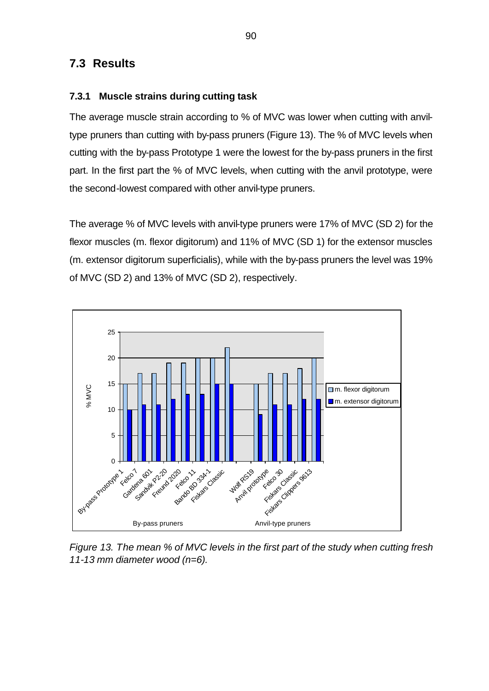## **7.3 Results**

#### **7.3.1 Muscle strains during cutting task**

The average muscle strain according to % of MVC was lower when cutting with anviltype pruners than cutting with by-pass pruners (Figure 13). The % of MVC levels when cutting with the by-pass Prototype 1 were the lowest for the by-pass pruners in the first part. In the first part the % of MVC levels, when cutting with the anvil prototype, were the second-lowest compared with other anvil-type pruners.

The average % of MVC levels with anvil-type pruners were 17% of MVC (SD 2) for the flexor muscles (m. flexor digitorum) and 11% of MVC (SD 1) for the extensor muscles (m. extensor digitorum superficialis), while with the by-pass pruners the level was 19% of MVC (SD 2) and 13% of MVC (SD 2), respectively.



*Figure 13. The mean % of MVC levels in the first part of the study when cutting fresh 11-13 mm diameter wood (n=6).*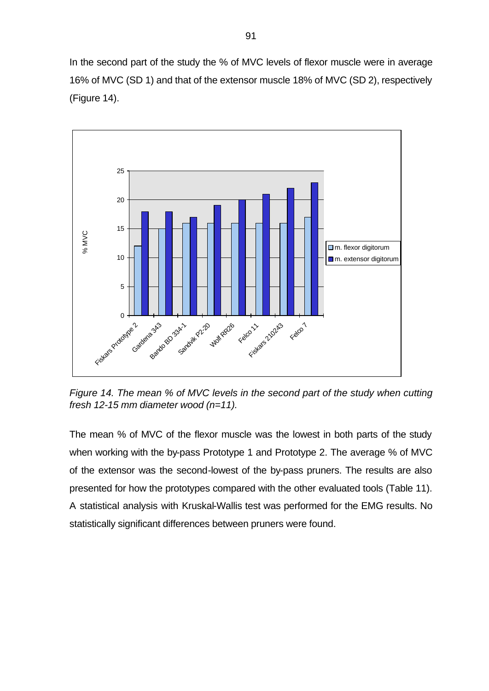In the second part of the study the % of MVC levels of flexor muscle were in average 16% of MVC (SD 1) and that of the extensor muscle 18% of MVC (SD 2), respectively (Figure 14).



*Figure 14. The mean % of MVC levels in the second part of the study when cutting fresh 12-15 mm diameter wood (n=11).* 

The mean % of MVC of the flexor muscle was the lowest in both parts of the study when working with the by-pass Prototype 1 and Prototype 2. The average % of MVC of the extensor was the second-lowest of the by-pass pruners. The results are also presented for how the prototypes compared with the other evaluated tools (Table 11). A statistical analysis with Kruskal-Wallis test was performed for the EMG results. No statistically significant differences between pruners were found.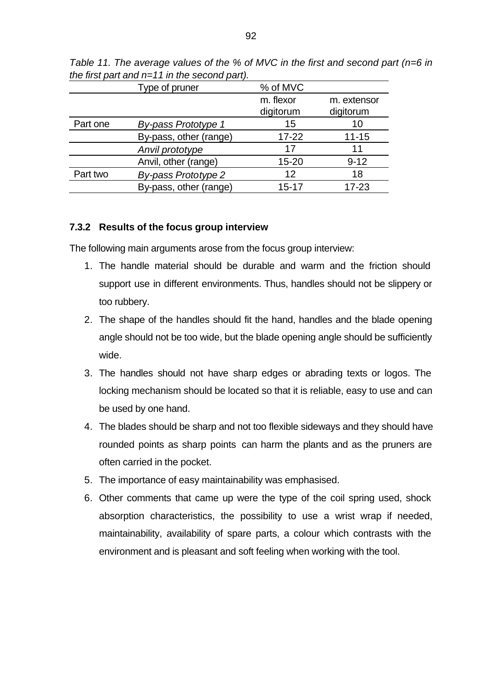|          | Type of pruner             | % of MVC               |                          |
|----------|----------------------------|------------------------|--------------------------|
|          |                            | m. flexor<br>digitorum | m. extensor<br>digitorum |
| Part one | <b>By-pass Prototype 1</b> | 15                     | 10                       |
|          | By-pass, other (range)     | $17 - 22$              | $11 - 15$                |
|          | Anvil prototype            | 17                     | 11                       |
|          | Anvil, other (range)       | 15-20                  | $9 - 12$                 |
| Part two | By-pass Prototype 2        | 12                     | 18                       |
|          | By-pass, other (range)     | $15 - 17$              | $17 - 23$                |

*Table 11. The average values of the % of MVC in the first and second part (n=6 in the first part and n=11 in the second part).* 

#### **7.3.2 Results of the focus group interview**

The following main arguments arose from the focus group interview:

- 1. The handle material should be durable and warm and the friction should support use in different environments. Thus, handles should not be slippery or too rubbery.
- 2. The shape of the handles should fit the hand, handles and the blade opening angle should not be too wide, but the blade opening angle should be sufficiently wide.
- 3. The handles should not have sharp edges or abrading texts or logos. The locking mechanism should be located so that it is reliable, easy to use and can be used by one hand.
- 4. The blades should be sharp and not too flexible sideways and they should have rounded points as sharp points can harm the plants and as the pruners are often carried in the pocket.
- 5. The importance of easy maintainability was emphasised.
- 6. Other comments that came up were the type of the coil spring used, shock absorption characteristics, the possibility to use a wrist wrap if needed, maintainability, availability of spare parts, a colour which contrasts with the environment and is pleasant and soft feeling when working with the tool.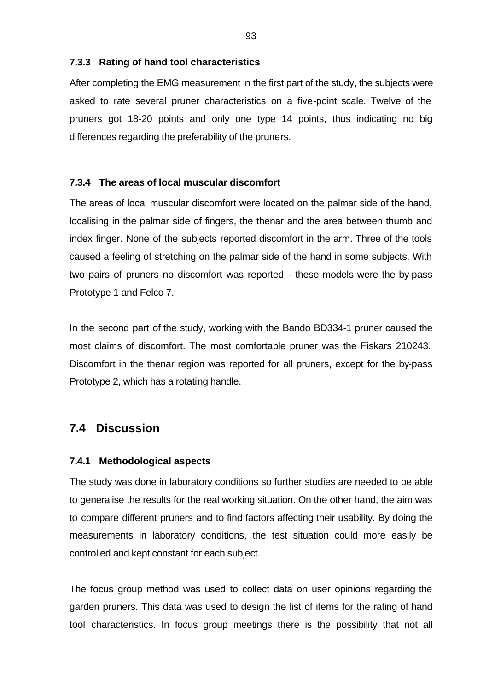#### **7.3.3 Rating of hand tool characteristics**

After completing the EMG measurement in the first part of the study, the subjects were asked to rate several pruner characteristics on a five-point scale. Twelve of the pruners got 18-20 points and only one type 14 points, thus indicating no big differences regarding the preferability of the pruners.

#### **7.3.4 The areas of local muscular discomfort**

The areas of local muscular discomfort were located on the palmar side of the hand, localising in the palmar side of fingers, the thenar and the area between thumb and index finger. None of the subjects reported discomfort in the arm. Three of the tools caused a feeling of stretching on the palmar side of the hand in some subjects. With two pairs of pruners no discomfort was reported - these models were the by-pass Prototype 1 and Felco 7.

In the second part of the study, working with the Bando BD334-1 pruner caused the most claims of discomfort. The most comfortable pruner was the Fiskars 210243. Discomfort in the thenar region was reported for all pruners, except for the by-pass Prototype 2, which has a rotating handle.

# **7.4 Discussion**

#### **7.4.1 Methodological aspects**

The study was done in laboratory conditions so further studies are needed to be able to generalise the results for the real working situation. On the other hand, the aim was to compare different pruners and to find factors affecting their usability. By doing the measurements in laboratory conditions, the test situation could more easily be controlled and kept constant for each subject.

The focus group method was used to collect data on user opinions regarding the garden pruners. This data was used to design the list of items for the rating of hand tool characteristics. In focus group meetings there is the possibility that not all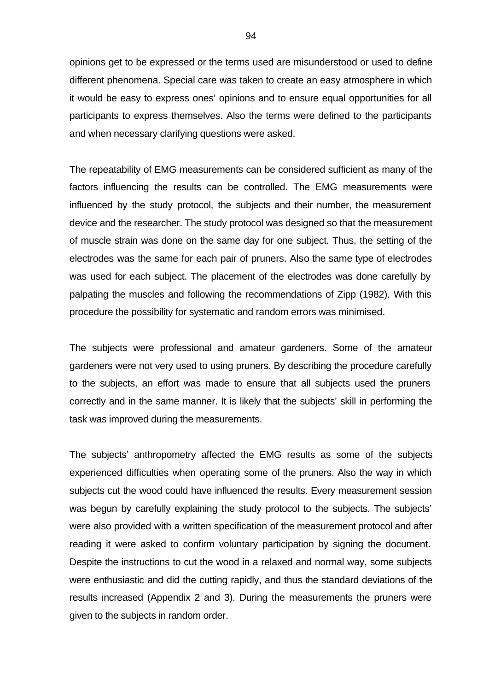opinions get to be expressed or the terms used are misunderstood or used to define different phenomena. Special care was taken to create an easy atmosphere in which it would be easy to express ones' opinions and to ensure equal opportunities for all participants to express themselves. Also the terms were defined to the participants and when necessary clarifying questions were asked.

The repeatability of EMG measurements can be considered sufficient as many of the factors influencing the results can be controlled. The EMG measurements were influenced by the study protocol, the subjects and their number, the measurement device and the researcher. The study protocol was designed so that the measurement of muscle strain was done on the same day for one subject. Thus, the setting of the electrodes was the same for each pair of pruners. Also the same type of electrodes was used for each subject. The placement of the electrodes was done carefully by palpating the muscles and following the recommendations of Zipp (1982). With this procedure the possibility for systematic and random errors was minimised.

The subjects were professional and amateur gardeners. Some of the amateur gardeners were not very used to using pruners. By describing the procedure carefully to the subjects, an effort was made to ensure that all subjects used the pruners correctly and in the same manner. It is likely that the subjects' skill in performing the task was improved during the measurements.

The subjects' anthropometry affected the EMG results as some of the subjects experienced difficulties when operating some of the pruners. Also the way in which subjects cut the wood could have influenced the results. Every measurement session was begun by carefully explaining the study protocol to the subjects. The subjects' were also provided with a written specification of the measurement protocol and after reading it were asked to confirm voluntary participation by signing the document. Despite the instructions to cut the wood in a relaxed and normal way, some subjects were enthusiastic and did the cutting rapidly, and thus the standard deviations of the results increased (Appendix 2 and 3). During the measurements the pruners were given to the subjects in random order.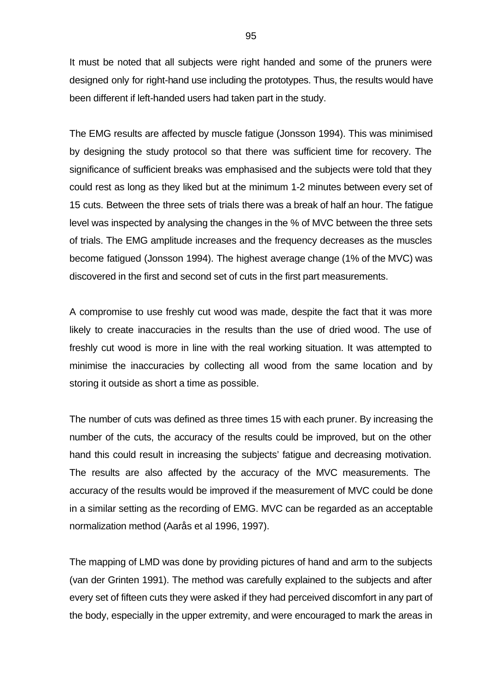It must be noted that all subjects were right handed and some of the pruners were designed only for right-hand use including the prototypes. Thus, the results would have been different if left-handed users had taken part in the study.

The EMG results are affected by muscle fatigue (Jonsson 1994). This was minimised by designing the study protocol so that there was sufficient time for recovery. The significance of sufficient breaks was emphasised and the subjects were told that they could rest as long as they liked but at the minimum 1-2 minutes between every set of 15 cuts. Between the three sets of trials there was a break of half an hour. The fatigue level was inspected by analysing the changes in the % of MVC between the three sets of trials. The EMG amplitude increases and the frequency decreases as the muscles become fatigued (Jonsson 1994). The highest average change (1% of the MVC) was discovered in the first and second set of cuts in the first part measurements.

A compromise to use freshly cut wood was made, despite the fact that it was more likely to create inaccuracies in the results than the use of dried wood. The use of freshly cut wood is more in line with the real working situation. It was attempted to minimise the inaccuracies by collecting all wood from the same location and by storing it outside as short a time as possible.

The number of cuts was defined as three times 15 with each pruner. By increasing the number of the cuts, the accuracy of the results could be improved, but on the other hand this could result in increasing the subjects' fatigue and decreasing motivation. The results are also affected by the accuracy of the MVC measurements. The accuracy of the results would be improved if the measurement of MVC could be done in a similar setting as the recording of EMG. MVC can be regarded as an acceptable normalization method (Aarås et al 1996, 1997).

The mapping of LMD was done by providing pictures of hand and arm to the subjects (van der Grinten 1991). The method was carefully explained to the subjects and after every set of fifteen cuts they were asked if they had perceived discomfort in any part of the body, especially in the upper extremity, and were encouraged to mark the areas in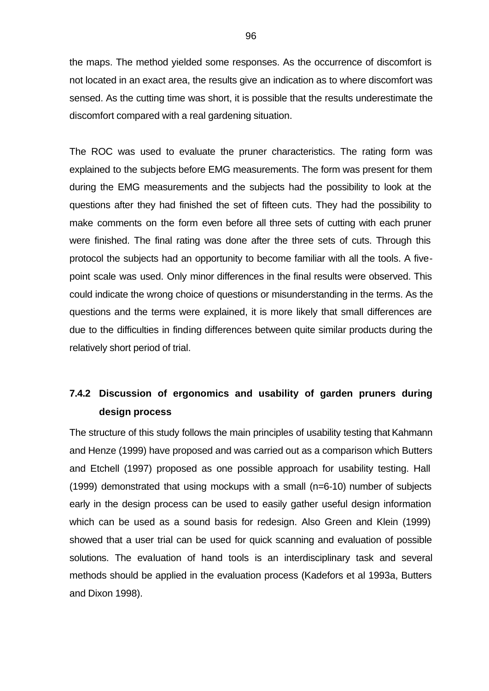the maps. The method yielded some responses. As the occurrence of discomfort is not located in an exact area, the results give an indication as to where discomfort was sensed. As the cutting time was short, it is possible that the results underestimate the discomfort compared with a real gardening situation.

The ROC was used to evaluate the pruner characteristics. The rating form was explained to the subjects before EMG measurements. The form was present for them during the EMG measurements and the subjects had the possibility to look at the questions after they had finished the set of fifteen cuts. They had the possibility to make comments on the form even before all three sets of cutting with each pruner were finished. The final rating was done after the three sets of cuts. Through this protocol the subjects had an opportunity to become familiar with all the tools. A fivepoint scale was used. Only minor differences in the final results were observed. This could indicate the wrong choice of questions or misunderstanding in the terms. As the questions and the terms were explained, it is more likely that small differences are due to the difficulties in finding differences between quite similar products during the relatively short period of trial.

# **7.4.2 Discussion of ergonomics and usability of garden pruners during design process**

The structure of this study follows the main principles of usability testing that Kahmann and Henze (1999) have proposed and was carried out as a comparison which Butters and Etchell (1997) proposed as one possible approach for usability testing. Hall (1999) demonstrated that using mockups with a small (n=6-10) number of subjects early in the design process can be used to easily gather useful design information which can be used as a sound basis for redesign. Also Green and Klein (1999) showed that a user trial can be used for quick scanning and evaluation of possible solutions. The evaluation of hand tools is an interdisciplinary task and several methods should be applied in the evaluation process (Kadefors et al 1993a, Butters and Dixon 1998).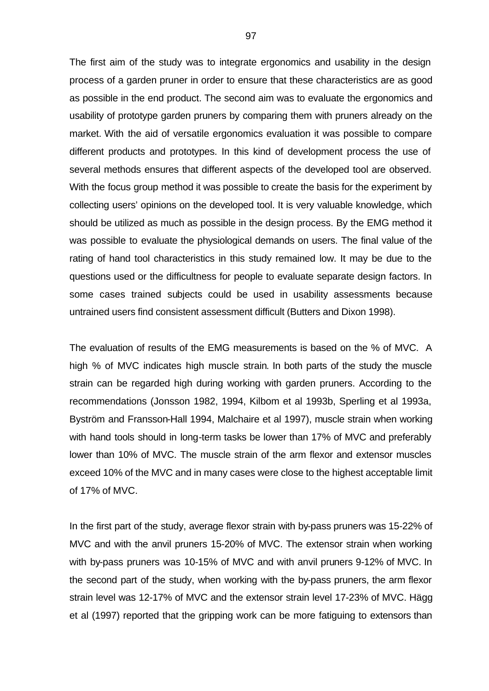The first aim of the study was to integrate ergonomics and usability in the design process of a garden pruner in order to ensure that these characteristics are as good as possible in the end product. The second aim was to evaluate the ergonomics and usability of prototype garden pruners by comparing them with pruners already on the market. With the aid of versatile ergonomics evaluation it was possible to compare different products and prototypes. In this kind of development process the use of several methods ensures that different aspects of the developed tool are observed. With the focus group method it was possible to create the basis for the experiment by collecting users' opinions on the developed tool. It is very valuable knowledge, which should be utilized as much as possible in the design process. By the EMG method it was possible to evaluate the physiological demands on users. The final value of the rating of hand tool characteristics in this study remained low. It may be due to the questions used or the difficultness for people to evaluate separate design factors. In some cases trained subjects could be used in usability assessments because untrained users find consistent assessment difficult (Butters and Dixon 1998).

The evaluation of results of the EMG measurements is based on the % of MVC. A high % of MVC indicates high muscle strain. In both parts of the study the muscle strain can be regarded high during working with garden pruners. According to the recommendations (Jonsson 1982, 1994, Kilbom et al 1993b, Sperling et al 1993a, Byström and Fransson-Hall 1994, Malchaire et al 1997), muscle strain when working with hand tools should in long-term tasks be lower than 17% of MVC and preferably lower than 10% of MVC. The muscle strain of the arm flexor and extensor muscles exceed 10% of the MVC and in many cases were close to the highest acceptable limit of 17% of MVC.

In the first part of the study, average flexor strain with by-pass pruners was 15-22% of MVC and with the anvil pruners 15-20% of MVC. The extensor strain when working with by-pass pruners was 10-15% of MVC and with anvil pruners 9-12% of MVC. In the second part of the study, when working with the by-pass pruners, the arm flexor strain level was 12-17% of MVC and the extensor strain level 17-23% of MVC. Hägg et al (1997) reported that the gripping work can be more fatiguing to extensors than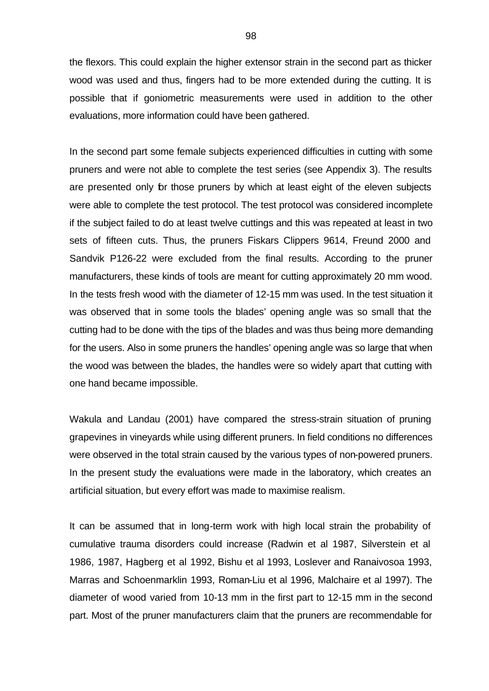the flexors. This could explain the higher extensor strain in the second part as thicker wood was used and thus, fingers had to be more extended during the cutting. It is possible that if goniometric measurements were used in addition to the other evaluations, more information could have been gathered.

In the second part some female subjects experienced difficulties in cutting with some pruners and were not able to complete the test series (see Appendix 3). The results are presented only for those pruners by which at least eight of the eleven subjects were able to complete the test protocol. The test protocol was considered incomplete if the subject failed to do at least twelve cuttings and this was repeated at least in two sets of fifteen cuts. Thus, the pruners Fiskars Clippers 9614, Freund 2000 and Sandvik P126-22 were excluded from the final results. According to the pruner manufacturers, these kinds of tools are meant for cutting approximately 20 mm wood. In the tests fresh wood with the diameter of 12-15 mm was used. In the test situation it was observed that in some tools the blades' opening angle was so small that the cutting had to be done with the tips of the blades and was thus being more demanding for the users. Also in some pruners the handles' opening angle was so large that when the wood was between the blades, the handles were so widely apart that cutting with one hand became impossible.

Wakula and Landau (2001) have compared the stress-strain situation of pruning grapevines in vineyards while using different pruners. In field conditions no differences were observed in the total strain caused by the various types of non-powered pruners. In the present study the evaluations were made in the laboratory, which creates an artificial situation, but every effort was made to maximise realism.

It can be assumed that in long-term work with high local strain the probability of cumulative trauma disorders could increase (Radwin et al 1987, Silverstein et al 1986, 1987, Hagberg et al 1992, Bishu et al 1993, Loslever and Ranaivosoa 1993, Marras and Schoenmarklin 1993, Roman-Liu et al 1996, Malchaire et al 1997). The diameter of wood varied from 10-13 mm in the first part to 12-15 mm in the second part. Most of the pruner manufacturers claim that the pruners are recommendable for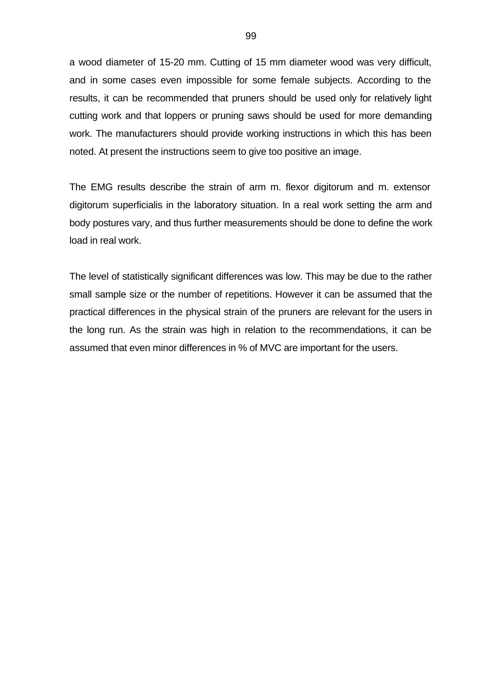a wood diameter of 15-20 mm. Cutting of 15 mm diameter wood was very difficult, and in some cases even impossible for some female subjects. According to the results, it can be recommended that pruners should be used only for relatively light cutting work and that loppers or pruning saws should be used for more demanding work. The manufacturers should provide working instructions in which this has been noted. At present the instructions seem to give too positive an image.

The EMG results describe the strain of arm m. flexor digitorum and m. extensor digitorum superficialis in the laboratory situation. In a real work setting the arm and body postures vary, and thus further measurements should be done to define the work load in real work.

The level of statistically significant differences was low. This may be due to the rather small sample size or the number of repetitions. However it can be assumed that the practical differences in the physical strain of the pruners are relevant for the users in the long run. As the strain was high in relation to the recommendations, it can be assumed that even minor differences in % of MVC are important for the users.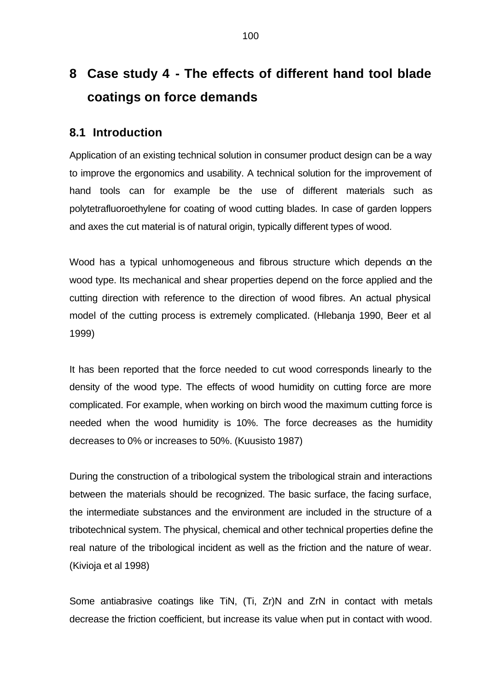# **8 Case study 4 - The effects of different hand tool blade coatings on force demands**

## **8.1 Introduction**

Application of an existing technical solution in consumer product design can be a way to improve the ergonomics and usability. A technical solution for the improvement of hand tools can for example be the use of different materials such as polytetrafluoroethylene for coating of wood cutting blades. In case of garden loppers and axes the cut material is of natural origin, typically different types of wood.

Wood has a typical unhomogeneous and fibrous structure which depends on the wood type. Its mechanical and shear properties depend on the force applied and the cutting direction with reference to the direction of wood fibres. An actual physical model of the cutting process is extremely complicated. (Hlebanja 1990, Beer et al 1999)

It has been reported that the force needed to cut wood corresponds linearly to the density of the wood type. The effects of wood humidity on cutting force are more complicated. For example, when working on birch wood the maximum cutting force is needed when the wood humidity is 10%. The force decreases as the humidity decreases to 0% or increases to 50%. (Kuusisto 1987)

During the construction of a tribological system the tribological strain and interactions between the materials should be recognized. The basic surface, the facing surface, the intermediate substances and the environment are included in the structure of a tribotechnical system. The physical, chemical and other technical properties define the real nature of the tribological incident as well as the friction and the nature of wear. (Kivioja et al 1998)

Some antiabrasive coatings like TiN, (Ti, Zr)N and ZrN in contact with metals decrease the friction coefficient, but increase its value when put in contact with wood.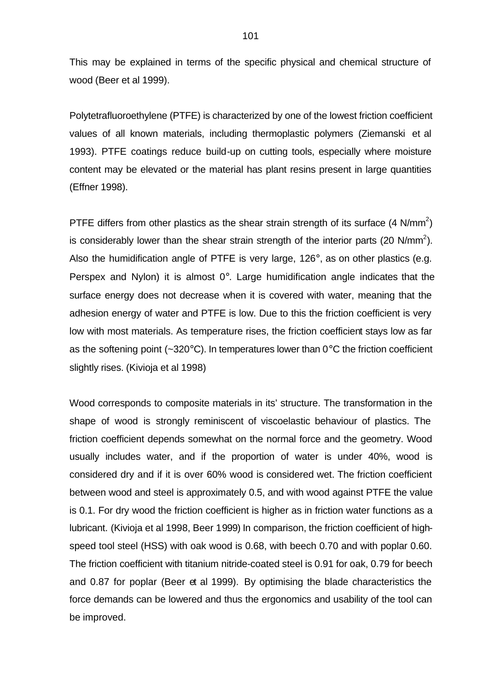This may be explained in terms of the specific physical and chemical structure of wood (Beer et al 1999).

Polytetrafluoroethylene (PTFE) is characterized by one of the lowest friction coefficient values of all known materials, including thermoplastic polymers (Ziemanski et al 1993). PTFE coatings reduce build-up on cutting tools, especially where moisture content may be elevated or the material has plant resins present in large quantities (Effner 1998).

PTFE differs from other plastics as the shear strain strength of its surface (4 N/mm<sup>2</sup>) is considerably lower than the shear strain strength of the interior parts (20 N/mm<sup>2</sup>). Also the humidification angle of PTFE is very large, 126°, as on other plastics (e.g. Perspex and Nylon) it is almost 0°. Large humidification angle indicates that the surface energy does not decrease when it is covered with water, meaning that the adhesion energy of water and PTFE is low. Due to this the friction coefficient is very low with most materials. As temperature rises, the friction coefficient stays low as far as the softening point ( $\sim$ 320 $\degree$ C). In temperatures lower than 0 $\degree$ C the friction coefficient slightly rises. (Kivioja et al 1998)

Wood corresponds to composite materials in its' structure. The transformation in the shape of wood is strongly reminiscent of viscoelastic behaviour of plastics. The friction coefficient depends somewhat on the normal force and the geometry. Wood usually includes water, and if the proportion of water is under 40%, wood is considered dry and if it is over 60% wood is considered wet. The friction coefficient between wood and steel is approximately 0.5, and with wood against PTFE the value is 0.1. For dry wood the friction coefficient is higher as in friction water functions as a lubricant. (Kivioja et al 1998, Beer 1999) In comparison, the friction coefficient of highspeed tool steel (HSS) with oak wood is 0.68, with beech 0.70 and with poplar 0.60. The friction coefficient with titanium nitride-coated steel is 0.91 for oak, 0.79 for beech and 0.87 for poplar (Beer et al 1999). By optimising the blade characteristics the force demands can be lowered and thus the ergonomics and usability of the tool can be improved.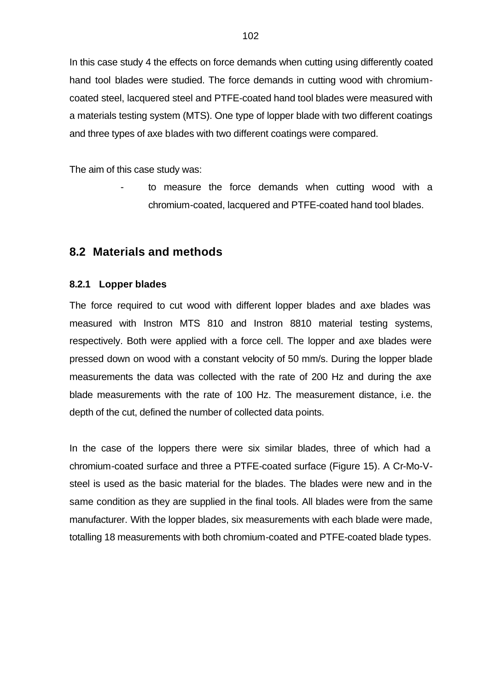In this case study 4 the effects on force demands when cutting using differently coated hand tool blades were studied. The force demands in cutting wood with chromiumcoated steel, lacquered steel and PTFE-coated hand tool blades were measured with a materials testing system (MTS). One type of lopper blade with two different coatings and three types of axe blades with two different coatings were compared.

The aim of this case study was:

to measure the force demands when cutting wood with a chromium-coated, lacquered and PTFE-coated hand tool blades.

#### **8.2 Materials and methods**

#### **8.2.1 Lopper blades**

The force required to cut wood with different lopper blades and axe blades was measured with Instron MTS 810 and Instron 8810 material testing systems, respectively. Both were applied with a force cell. The lopper and axe blades were pressed down on wood with a constant velocity of 50 mm/s. During the lopper blade measurements the data was collected with the rate of 200 Hz and during the axe blade measurements with the rate of 100 Hz. The measurement distance, i.e. the depth of the cut, defined the number of collected data points.

In the case of the loppers there were six similar blades, three of which had a chromium-coated surface and three a PTFE-coated surface (Figure 15). A Cr-Mo-Vsteel is used as the basic material for the blades. The blades were new and in the same condition as they are supplied in the final tools. All blades were from the same manufacturer. With the lopper blades, six measurements with each blade were made, totalling 18 measurements with both chromium-coated and PTFE-coated blade types.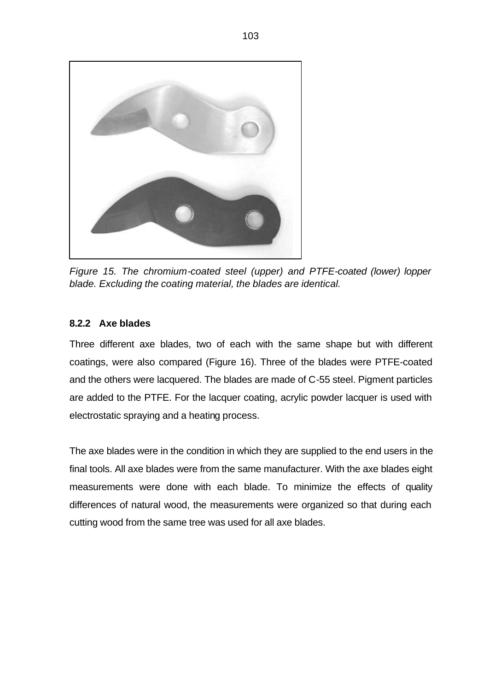

*Figure 15. The chromium-coated steel (upper) and PTFE-coated (lower) lopper blade. Excluding the coating material, the blades are identical.*

#### **8.2.2 Axe blades**

Three different axe blades, two of each with the same shape but with different coatings, were also compared (Figure 16). Three of the blades were PTFE-coated and the others were lacquered. The blades are made of C-55 steel. Pigment particles are added to the PTFE. For the lacquer coating, acrylic powder lacquer is used with electrostatic spraying and a heating process.

The axe blades were in the condition in which they are supplied to the end users in the final tools. All axe blades were from the same manufacturer. With the axe blades eight measurements were done with each blade. To minimize the effects of quality differences of natural wood, the measurements were organized so that during each cutting wood from the same tree was used for all axe blades.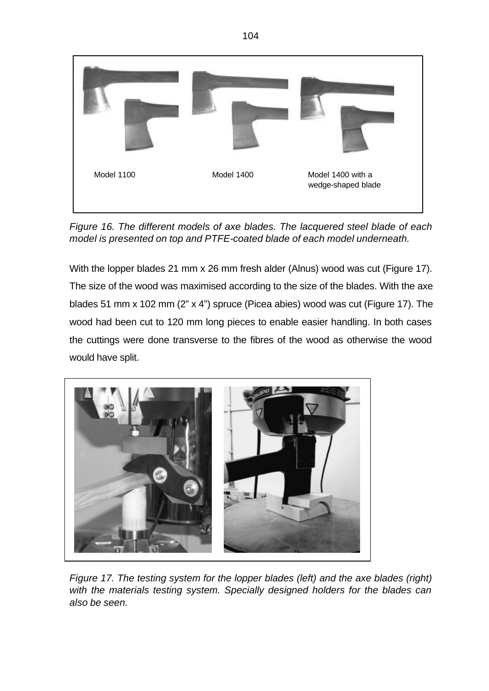

*Figure 16. The different models of axe blades. The lacquered steel blade of each model is presented on top and PTFE-coated blade of each model underneath.*

With the lopper blades 21 mm x 26 mm fresh alder (Alnus) wood was cut (Figure 17). The size of the wood was maximised according to the size of the blades. With the axe blades 51 mm x 102 mm (2" x 4") spruce (Picea abies) wood was cut (Figure 17). The wood had been cut to 120 mm long pieces to enable easier handling. In both cases the cuttings were done transverse to the fibres of the wood as otherwise the wood would have split.



*Figure 17. The testing system for the lopper blades (left) and the axe blades (right) with the materials testing system. Specially designed holders for the blades can also be seen.*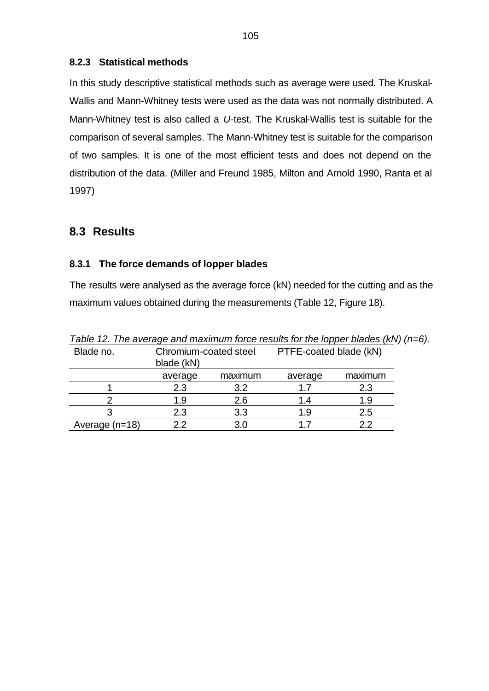#### **8.2.3 Statistical methods**

In this study descriptive statistical methods such as average were used. The Kruskal-Wallis and Mann-Whitney tests were used as the data was not normally distributed. A Mann-Whitney test is also called a *U*-test. The Kruskal-Wallis test is suitable for the comparison of several samples. The Mann-Whitney test is suitable for the comparison of two samples. It is one of the most efficient tests and does not depend on the distribution of the data. (Miller and Freund 1985, Milton and Arnold 1990, Ranta et al 1997)

# **8.3 Results**

#### **8.3.1 The force demands of lopper blades**

The results were analysed as the average force (kN) needed for the cutting and as the maximum values obtained during the measurements (Table 12, Figure 18).

| <b>I AVIC TE. THE AVEIAGE AND MIGNIMUM TOTCE FESSING TOT THE TOPPET DIAGES (NIV) (</b> |                       |         |                        |         |
|----------------------------------------------------------------------------------------|-----------------------|---------|------------------------|---------|
| Blade no.                                                                              | Chromium-coated steel |         | PTFE-coated blade (kN) |         |
|                                                                                        | blade (kN)            |         |                        |         |
|                                                                                        | average               | maximum | average                | maximum |
|                                                                                        | 2.3                   | 3.2     | 1.7                    | 2.3     |
|                                                                                        | 1.9                   | 2.6     | 1.4                    | 1.9     |
|                                                                                        | 2.3                   | 3.3     | 1.9                    | 2.5     |
| Average (n=18)                                                                         | 22                    | 3.0     |                        | 22      |

*Table 12. The average and maximum force results for the lopper blades (kN) (n=6).*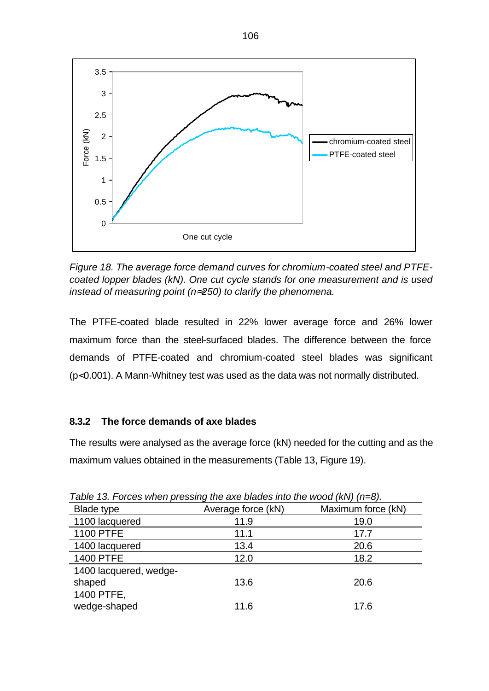

*Figure 18. The average force demand curves for chromium-coated steel and PTFEcoated lopper blades (kN). One cut cycle stands for one measurement and is used instead of measuring point (n»250) to clarify the phenomena.*

The PTFE-coated blade resulted in 22% lower average force and 26% lower maximum force than the steel-surfaced blades. The difference between the force demands of PTFE-coated and chromium-coated steel blades was significant (p<0.001). A Mann-Whitney test was used as the data was not normally distributed.

#### **8.3.2 The force demands of axe blades**

The results were analysed as the average force (kN) needed for the cutting and as the maximum values obtained in the measurements (Table 13, Figure 19).

| rable for release mileti procently allo and biadoo like allo mood (http://in-off. |                    |                    |  |  |
|-----------------------------------------------------------------------------------|--------------------|--------------------|--|--|
| Blade type                                                                        | Average force (kN) | Maximum force (kN) |  |  |
| 1100 lacquered                                                                    | 11.9               | 19.0               |  |  |
| <b>1100 PTFE</b>                                                                  | 11.1               | 17.7               |  |  |
| 1400 lacquered                                                                    | 13.4               | 20.6               |  |  |
| <b>1400 PTFE</b>                                                                  | 12.0               | 18.2               |  |  |
| 1400 lacquered, wedge-                                                            |                    |                    |  |  |
| shaped                                                                            | 13.6               | 20.6               |  |  |
| 1400 PTFE,                                                                        |                    |                    |  |  |
| wedge-shaped                                                                      | 11.6               | 17.6               |  |  |

*Table 13. Forces when pressing the axe blades into the wood (kN) (n=8).*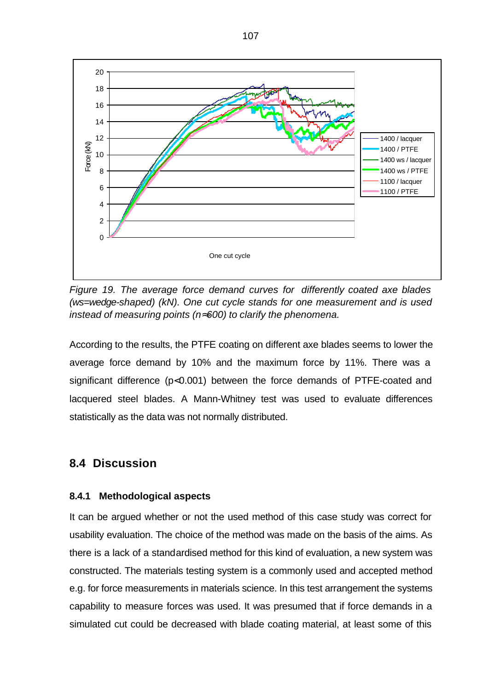

*Figure 19. The average force demand curves for differently coated axe blades (ws=wedge-shaped) (kN). One cut cycle stands for one measurement and is used instead of measuring points (n»600) to clarify the phenomena.*

According to the results, the PTFE coating on different axe blades seems to lower the average force demand by 10% and the maximum force by 11%. There was a significant difference (p<0.001) between the force demands of PTFE-coated and lacquered steel blades. A Mann-Whitney test was used to evaluate differences statistically as the data was not normally distributed.

# **8.4 Discussion**

#### **8.4.1 Methodological aspects**

It can be argued whether or not the used method of this case study was correct for usability evaluation. The choice of the method was made on the basis of the aims. As there is a lack of a standardised method for this kind of evaluation, a new system was constructed. The materials testing system is a commonly used and accepted method e.g. for force measurements in materials science. In this test arrangement the systems capability to measure forces was used. It was presumed that if force demands in a simulated cut could be decreased with blade coating material, at least some of this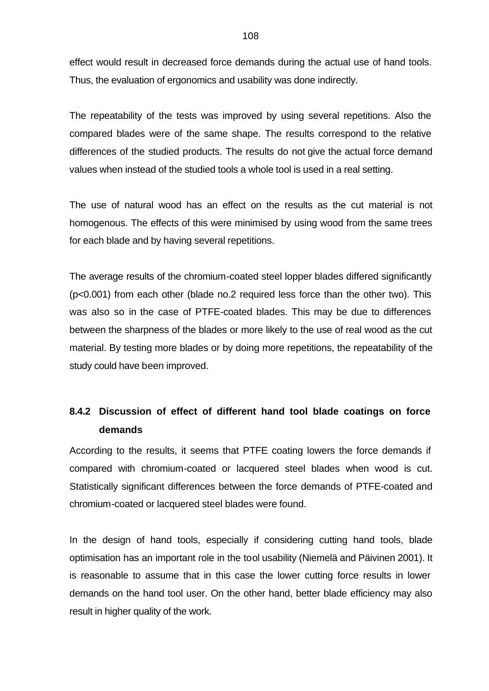effect would result in decreased force demands during the actual use of hand tools. Thus, the evaluation of ergonomics and usability was done indirectly.

The repeatability of the tests was improved by using several repetitions. Also the compared blades were of the same shape. The results correspond to the relative differences of the studied products. The results do not give the actual force demand values when instead of the studied tools a whole tool is used in a real setting.

The use of natural wood has an effect on the results as the cut material is not homogenous. The effects of this were minimised by using wood from the same trees for each blade and by having several repetitions.

The average results of the chromium-coated steel lopper blades differed significantly (p<0.001) from each other (blade no.2 required less force than the other two). This was also so in the case of PTFE-coated blades. This may be due to differences between the sharpness of the blades or more likely to the use of real wood as the cut material. By testing more blades or by doing more repetitions, the repeatability of the study could have been improved.

## **8.4.2 Discussion of effect of different hand tool blade coatings on force demands**

According to the results, it seems that PTFE coating lowers the force demands if compared with chromium-coated or lacquered steel blades when wood is cut. Statistically significant differences between the force demands of PTFE-coated and chromium-coated or lacquered steel blades were found.

In the design of hand tools, especially if considering cutting hand tools, blade optimisation has an important role in the tool usability (Niemelä and Päivinen 2001). It is reasonable to assume that in this case the lower cutting force results in lower demands on the hand tool user. On the other hand, better blade efficiency may also result in higher quality of the work.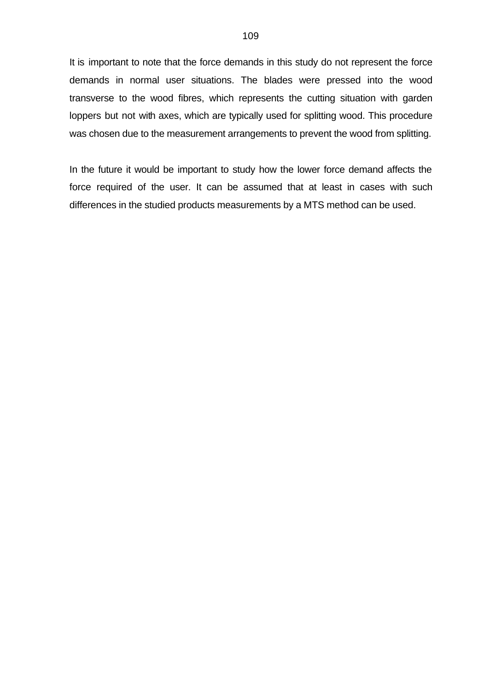It is important to note that the force demands in this study do not represent the force demands in normal user situations. The blades were pressed into the wood transverse to the wood fibres, which represents the cutting situation with garden loppers but not with axes, which are typically used for splitting wood. This procedure was chosen due to the measurement arrangements to prevent the wood from splitting.

In the future it would be important to study how the lower force demand affects the force required of the user. It can be assumed that at least in cases with such differences in the studied products measurements by a MTS method can be used.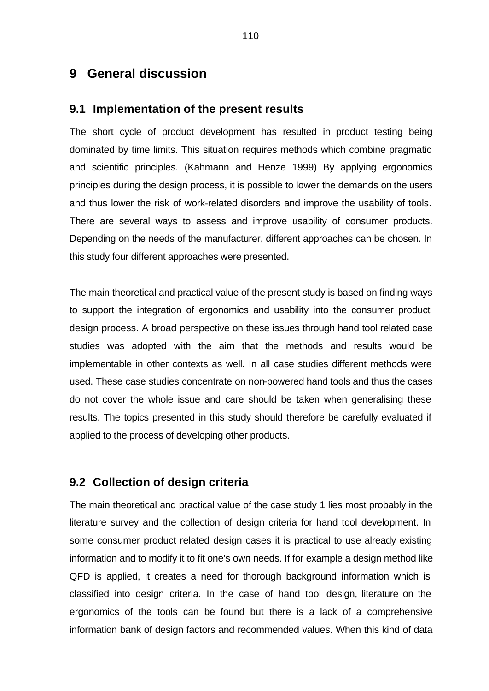## **9 General discussion**

#### **9.1 Implementation of the present results**

The short cycle of product development has resulted in product testing being dominated by time limits. This situation requires methods which combine pragmatic and scientific principles. (Kahmann and Henze 1999) By applying ergonomics principles during the design process, it is possible to lower the demands on the users and thus lower the risk of work-related disorders and improve the usability of tools. There are several ways to assess and improve usability of consumer products. Depending on the needs of the manufacturer, different approaches can be chosen. In this study four different approaches were presented.

The main theoretical and practical value of the present study is based on finding ways to support the integration of ergonomics and usability into the consumer product design process. A broad perspective on these issues through hand tool related case studies was adopted with the aim that the methods and results would be implementable in other contexts as well. In all case studies different methods were used. These case studies concentrate on non-powered hand tools and thus the cases do not cover the whole issue and care should be taken when generalising these results. The topics presented in this study should therefore be carefully evaluated if applied to the process of developing other products.

### **9.2 Collection of design criteria**

The main theoretical and practical value of the case study 1 lies most probably in the literature survey and the collection of design criteria for hand tool development. In some consumer product related design cases it is practical to use already existing information and to modify it to fit one's own needs. If for example a design method like QFD is applied, it creates a need for thorough background information which is classified into design criteria. In the case of hand tool design, literature on the ergonomics of the tools can be found but there is a lack of a comprehensive information bank of design factors and recommended values. When this kind of data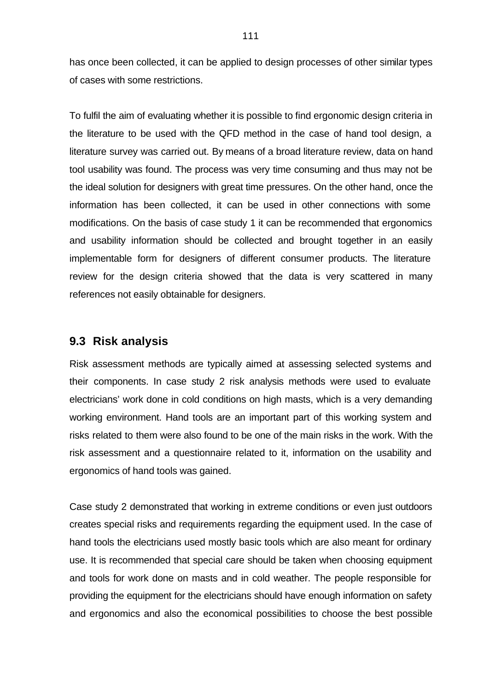has once been collected, it can be applied to design processes of other similar types of cases with some restrictions.

To fulfil the aim of evaluating whether it is possible to find ergonomic design criteria in the literature to be used with the QFD method in the case of hand tool design, a literature survey was carried out. By means of a broad literature review, data on hand tool usability was found. The process was very time consuming and thus may not be the ideal solution for designers with great time pressures. On the other hand, once the information has been collected, it can be used in other connections with some modifications. On the basis of case study 1 it can be recommended that ergonomics and usability information should be collected and brought together in an easily implementable form for designers of different consumer products. The literature review for the design criteria showed that the data is very scattered in many references not easily obtainable for designers.

## **9.3 Risk analysis**

Risk assessment methods are typically aimed at assessing selected systems and their components. In case study 2 risk analysis methods were used to evaluate electricians' work done in cold conditions on high masts, which is a very demanding working environment. Hand tools are an important part of this working system and risks related to them were also found to be one of the main risks in the work. With the risk assessment and a questionnaire related to it, information on the usability and ergonomics of hand tools was gained.

Case study 2 demonstrated that working in extreme conditions or even just outdoors creates special risks and requirements regarding the equipment used. In the case of hand tools the electricians used mostly basic tools which are also meant for ordinary use. It is recommended that special care should be taken when choosing equipment and tools for work done on masts and in cold weather. The people responsible for providing the equipment for the electricians should have enough information on safety and ergonomics and also the economical possibilities to choose the best possible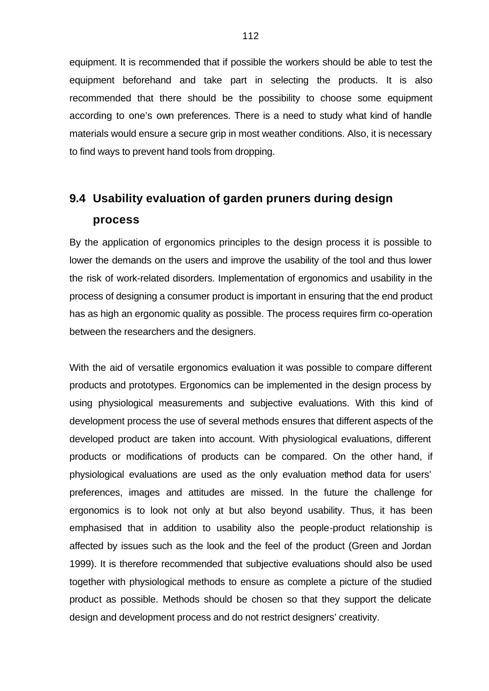equipment. It is recommended that if possible the workers should be able to test the equipment beforehand and take part in selecting the products. It is also recommended that there should be the possibility to choose some equipment according to one's own preferences. There is a need to study what kind of handle materials would ensure a secure grip in most weather conditions. Also, it is necessary to find ways to prevent hand tools from dropping.

# **9.4 Usability evaluation of garden pruners during design process**

By the application of ergonomics principles to the design process it is possible to lower the demands on the users and improve the usability of the tool and thus lower the risk of work-related disorders. Implementation of ergonomics and usability in the process of designing a consumer product is important in ensuring that the end product has as high an ergonomic quality as possible. The process requires firm co-operation between the researchers and the designers.

With the aid of versatile ergonomics evaluation it was possible to compare different products and prototypes. Ergonomics can be implemented in the design process by using physiological measurements and subjective evaluations. With this kind of development process the use of several methods ensures that different aspects of the developed product are taken into account. With physiological evaluations, different products or modifications of products can be compared. On the other hand, if physiological evaluations are used as the only evaluation method data for users' preferences, images and attitudes are missed. In the future the challenge for ergonomics is to look not only at but also beyond usability. Thus, it has been emphasised that in addition to usability also the people-product relationship is affected by issues such as the look and the feel of the product (Green and Jordan 1999). It is therefore recommended that subjective evaluations should also be used together with physiological methods to ensure as complete a picture of the studied product as possible. Methods should be chosen so that they support the delicate design and development process and do not restrict designers' creativity.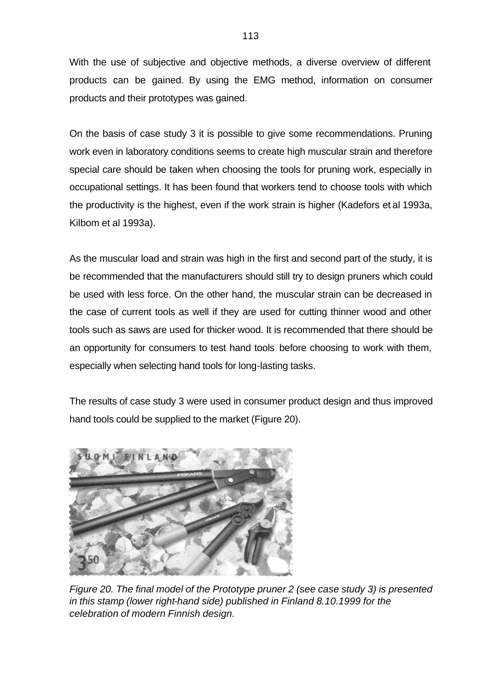With the use of subjective and objective methods, a diverse overview of different products can be gained. By using the EMG method, information on consumer products and their prototypes was gained.

On the basis of case study 3 it is possible to give some recommendations. Pruning work even in laboratory conditions seems to create high muscular strain and therefore special care should be taken when choosing the tools for pruning work, especially in occupational settings. It has been found that workers tend to choose tools with which the productivity is the highest, even if the work strain is higher (Kadefors et al 1993a, Kilbom et al 1993a).

As the muscular load and strain was high in the first and second part of the study, it is be recommended that the manufacturers should still try to design pruners which could be used with less force. On the other hand, the muscular strain can be decreased in the case of current tools as well if they are used for cutting thinner wood and other tools such as saws are used for thicker wood. It is recommended that there should be an opportunity for consumers to test hand tools before choosing to work with them, especially when selecting hand tools for long-lasting tasks.

The results of case study 3 were used in consumer product design and thus improved hand tools could be supplied to the market (Figure 20).



*Figure 20. The final model of the Prototype pruner 2 (see case study 3) is presented in this stamp (lower right-hand side) published in Finland 8.10.1999 for the celebration of modern Finnish design.*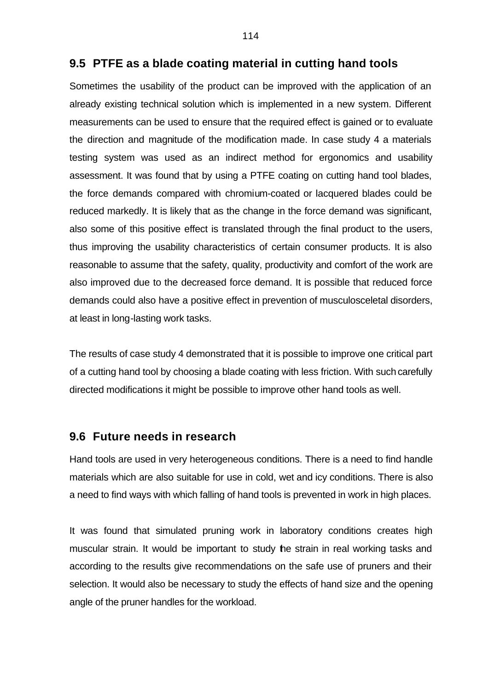#### **9.5 PTFE as a blade coating material in cutting hand tools**

Sometimes the usability of the product can be improved with the application of an already existing technical solution which is implemented in a new system. Different measurements can be used to ensure that the required effect is gained or to evaluate the direction and magnitude of the modification made. In case study 4 a materials testing system was used as an indirect method for ergonomics and usability assessment. It was found that by using a PTFE coating on cutting hand tool blades, the force demands compared with chromium-coated or lacquered blades could be reduced markedly. It is likely that as the change in the force demand was significant, also some of this positive effect is translated through the final product to the users, thus improving the usability characteristics of certain consumer products. It is also reasonable to assume that the safety, quality, productivity and comfort of the work are also improved due to the decreased force demand. It is possible that reduced force demands could also have a positive effect in prevention of musculosceletal disorders, at least in long-lasting work tasks.

The results of case study 4 demonstrated that it is possible to improve one critical part of a cutting hand tool by choosing a blade coating with less friction. With such carefully directed modifications it might be possible to improve other hand tools as well.

### **9.6 Future needs in research**

Hand tools are used in very heterogeneous conditions. There is a need to find handle materials which are also suitable for use in cold, wet and icy conditions. There is also a need to find ways with which falling of hand tools is prevented in work in high places.

It was found that simulated pruning work in laboratory conditions creates high muscular strain. It would be important to study the strain in real working tasks and according to the results give recommendations on the safe use of pruners and their selection. It would also be necessary to study the effects of hand size and the opening angle of the pruner handles for the workload.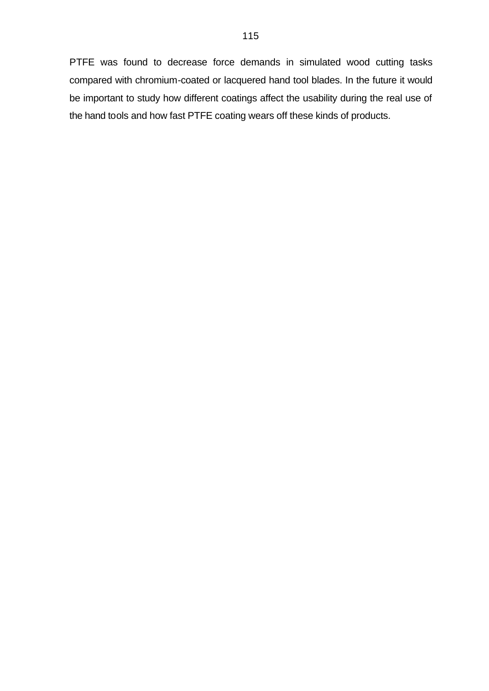PTFE was found to decrease force demands in simulated wood cutting tasks compared with chromium-coated or lacquered hand tool blades. In the future it would be important to study how different coatings affect the usability during the real use of the hand tools and how fast PTFE coating wears off these kinds of products.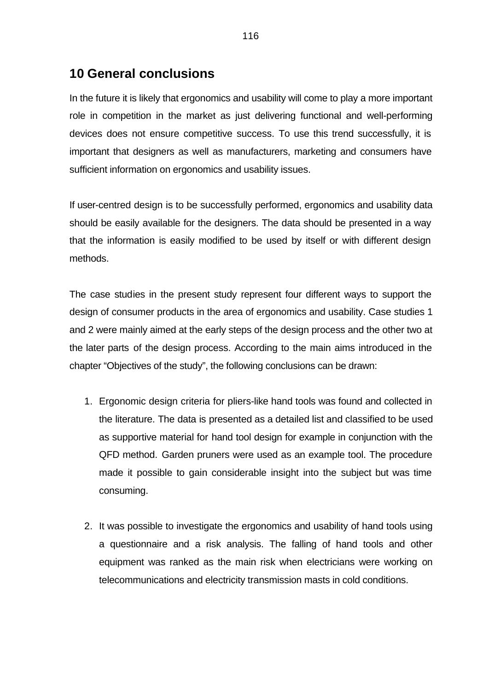## **10 General conclusions**

In the future it is likely that ergonomics and usability will come to play a more important role in competition in the market as just delivering functional and well-performing devices does not ensure competitive success. To use this trend successfully, it is important that designers as well as manufacturers, marketing and consumers have sufficient information on ergonomics and usability issues.

If user-centred design is to be successfully performed, ergonomics and usability data should be easily available for the designers. The data should be presented in a way that the information is easily modified to be used by itself or with different design methods.

The case studies in the present study represent four different ways to support the design of consumer products in the area of ergonomics and usability. Case studies 1 and 2 were mainly aimed at the early steps of the design process and the other two at the later parts of the design process. According to the main aims introduced in the chapter "Objectives of the study", the following conclusions can be drawn:

- 1. Ergonomic design criteria for pliers-like hand tools was found and collected in the literature. The data is presented as a detailed list and classified to be used as supportive material for hand tool design for example in conjunction with the QFD method. Garden pruners were used as an example tool. The procedure made it possible to gain considerable insight into the subject but was time consuming.
- 2. It was possible to investigate the ergonomics and usability of hand tools using a questionnaire and a risk analysis. The falling of hand tools and other equipment was ranked as the main risk when electricians were working on telecommunications and electricity transmission masts in cold conditions.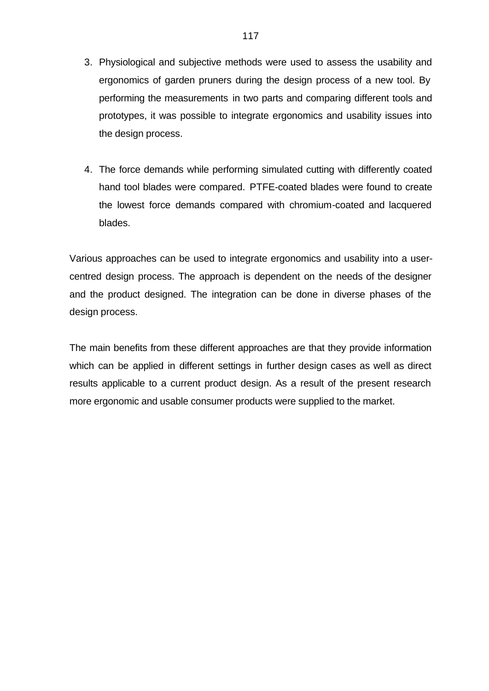- 3. Physiological and subjective methods were used to assess the usability and ergonomics of garden pruners during the design process of a new tool. By performing the measurements in two parts and comparing different tools and prototypes, it was possible to integrate ergonomics and usability issues into the design process.
- 4. The force demands while performing simulated cutting with differently coated hand tool blades were compared. PTFE-coated blades were found to create the lowest force demands compared with chromium-coated and lacquered blades.

Various approaches can be used to integrate ergonomics and usability into a usercentred design process. The approach is dependent on the needs of the designer and the product designed. The integration can be done in diverse phases of the design process.

The main benefits from these different approaches are that they provide information which can be applied in different settings in further design cases as well as direct results applicable to a current product design. As a result of the present research more ergonomic and usable consumer products were supplied to the market.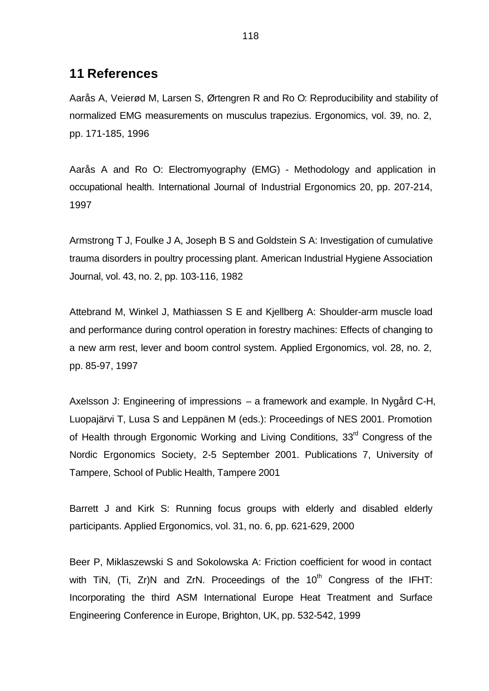## **11 References**

Aarås A, Veierød M, Larsen S, Ørtengren R and Ro O: Reproducibility and stability of normalized EMG measurements on musculus trapezius. Ergonomics, vol. 39, no. 2, pp. 171-185, 1996

Aarås A and Ro O: Electromyography (EMG) - Methodology and application in occupational health. International Journal of Industrial Ergonomics 20, pp. 207-214, 1997

Armstrong T J, Foulke J A, Joseph B S and Goldstein S A: Investigation of cumulative trauma disorders in poultry processing plant. American Industrial Hygiene Association Journal, vol. 43, no. 2, pp. 103-116, 1982

Attebrand M, Winkel J, Mathiassen S E and Kjellberg A: Shoulder-arm muscle load and performance during control operation in forestry machines: Effects of changing to a new arm rest, lever and boom control system. Applied Ergonomics, vol. 28, no. 2, pp. 85-97, 1997

Axelsson J: Engineering of impressions – a framework and example. In Nygård C-H, Luopajärvi T, Lusa S and Leppänen M (eds.): Proceedings of NES 2001. Promotion of Health through Ergonomic Working and Living Conditions, 33<sup>rd</sup> Congress of the Nordic Ergonomics Society, 2-5 September 2001. Publications 7, University of Tampere, School of Public Health, Tampere 2001

Barrett J and Kirk S: Running focus groups with elderly and disabled elderly participants. Applied Ergonomics, vol. 31, no. 6, pp. 621-629, 2000

Beer P, Miklaszewski S and Sokolowska A: Friction coefficient for wood in contact with TiN,  $(Ti, Zr)N$  and  $ZrN$ . Proceedings of the  $10<sup>th</sup>$  Congress of the IFHT: Incorporating the third ASM International Europe Heat Treatment and Surface Engineering Conference in Europe, Brighton, UK, pp. 532-542, 1999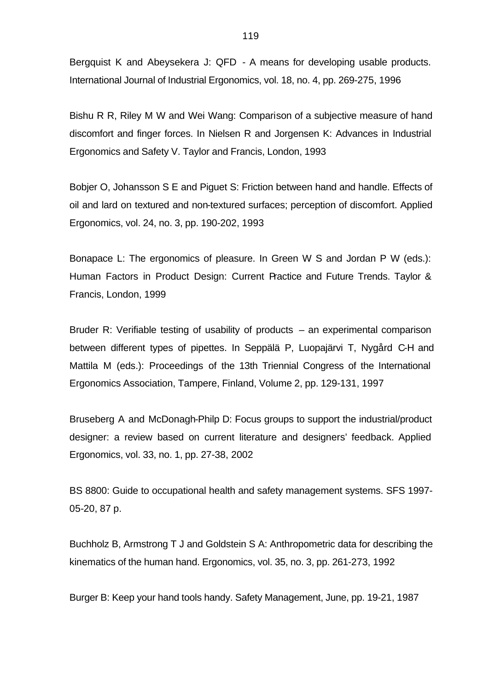Bergquist K and Abeysekera J: QFD - A means for developing usable products. International Journal of Industrial Ergonomics, vol. 18, no. 4, pp. 269-275, 1996

Bishu R R, Riley M W and Wei Wang: Comparison of a subjective measure of hand discomfort and finger forces. In Nielsen R and Jorgensen K: Advances in Industrial Ergonomics and Safety V. Taylor and Francis, London, 1993

Bobjer O, Johansson S E and Piguet S: Friction between hand and handle. Effects of oil and lard on textured and non-textured surfaces; perception of discomfort. Applied Ergonomics, vol. 24, no. 3, pp. 190-202, 1993

Bonapace L: The ergonomics of pleasure. In Green W S and Jordan P W (eds.): Human Factors in Product Design: Current Practice and Future Trends. Taylor & Francis, London, 1999

Bruder R: Verifiable testing of usability of products – an experimental comparison between different types of pipettes. In Seppälä P, Luopajärvi T, Nygård C-H and Mattila M (eds.): Proceedings of the 13th Triennial Congress of the International Ergonomics Association, Tampere, Finland, Volume 2, pp. 129-131, 1997

Bruseberg A and McDonagh-Philp D: Focus groups to support the industrial/product designer: a review based on current literature and designers' feedback. Applied Ergonomics, vol. 33, no. 1, pp. 27-38, 2002

BS 8800: Guide to occupational health and safety management systems. SFS 1997- 05-20, 87 p.

Buchholz B, Armstrong T J and Goldstein S A: Anthropometric data for describing the kinematics of the human hand. Ergonomics, vol. 35, no. 3, pp. 261-273, 1992

Burger B: Keep your hand tools handy. Safety Management, June, pp. 19-21, 1987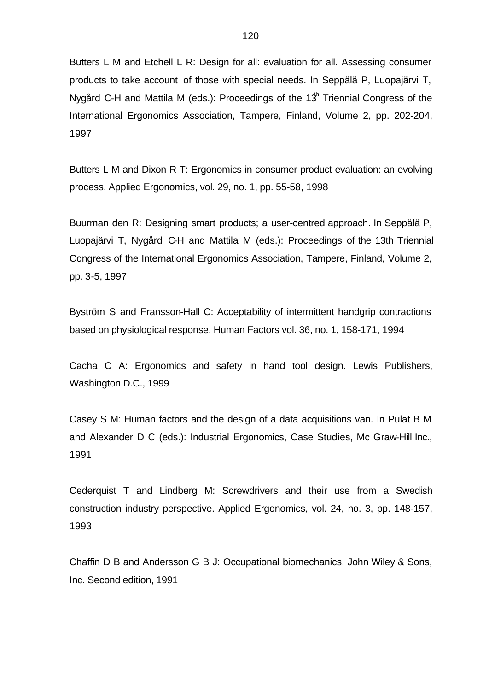Butters L M and Etchell L R: Design for all: evaluation for all. Assessing consumer products to take account of those with special needs. In Seppälä P, Luopajärvi T, Nygård C-H and Mattila M (eds.): Proceedings of the 1 $3<sup>h</sup>$  Triennial Congress of the International Ergonomics Association, Tampere, Finland, Volume 2, pp. 202-204, 1997

Butters L M and Dixon R T: Ergonomics in consumer product evaluation: an evolving process. Applied Ergonomics, vol. 29, no. 1, pp. 55-58, 1998

Buurman den R: Designing smart products; a user-centred approach. In Seppälä P, Luopajärvi T, Nygård C-H and Mattila M (eds.): Proceedings of the 13th Triennial Congress of the International Ergonomics Association, Tampere, Finland, Volume 2, pp. 3-5, 1997

Byström S and Fransson-Hall C: Acceptability of intermittent handgrip contractions based on physiological response. Human Factors vol. 36, no. 1, 158-171, 1994

Cacha C A: Ergonomics and safety in hand tool design. Lewis Publishers, Washington D.C., 1999

Casey S M: Human factors and the design of a data acquisitions van. In Pulat B M and Alexander D C (eds.): Industrial Ergonomics, Case Studies, Mc Graw-Hill Inc., 1991

Cederquist T and Lindberg M: Screwdrivers and their use from a Swedish construction industry perspective. Applied Ergonomics, vol. 24, no. 3, pp. 148-157, 1993

Chaffin D B and Andersson G B J: Occupational biomechanics. John Wiley & Sons, Inc. Second edition, 1991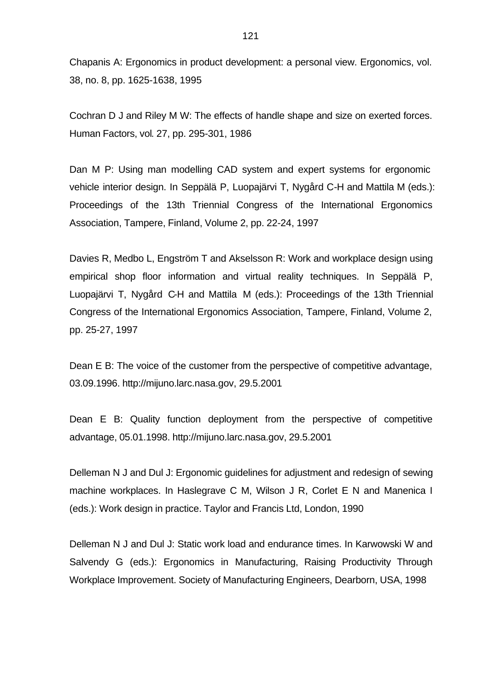Chapanis A: Ergonomics in product development: a personal view. Ergonomics, vol. 38, no. 8, pp. 1625-1638, 1995

Cochran D J and Riley M W: The effects of handle shape and size on exerted forces. Human Factors, vol. 27, pp. 295-301, 1986

Dan M P: Using man modelling CAD system and expert systems for ergonomic vehicle interior design. In Seppälä P, Luopajärvi T, Nygård C-H and Mattila M (eds.): Proceedings of the 13th Triennial Congress of the International Ergonomics Association, Tampere, Finland, Volume 2, pp. 22-24, 1997

Davies R, Medbo L, Engström T and Akselsson R: Work and workplace design using empirical shop floor information and virtual reality techniques. In Seppälä P, Luopajärvi T, Nygård C-H and Mattila M (eds.): Proceedings of the 13th Triennial Congress of the International Ergonomics Association, Tampere, Finland, Volume 2, pp. 25-27, 1997

Dean E B: The voice of the customer from the perspective of competitive advantage, 03.09.1996. http://mijuno.larc.nasa.gov, 29.5.2001

Dean E B: Quality function deployment from the perspective of competitive advantage, 05.01.1998. http://mijuno.larc.nasa.gov, 29.5.2001

Delleman N J and Dul J: Ergonomic guidelines for adjustment and redesign of sewing machine workplaces. In Haslegrave C M, Wilson J R, Corlet E N and Manenica I (eds.): Work design in practice. Taylor and Francis Ltd, London, 1990

Delleman N J and Dul J: Static work load and endurance times. In Karwowski W and Salvendy G (eds.): Ergonomics in Manufacturing, Raising Productivity Through Workplace Improvement. Society of Manufacturing Engineers, Dearborn, USA, 1998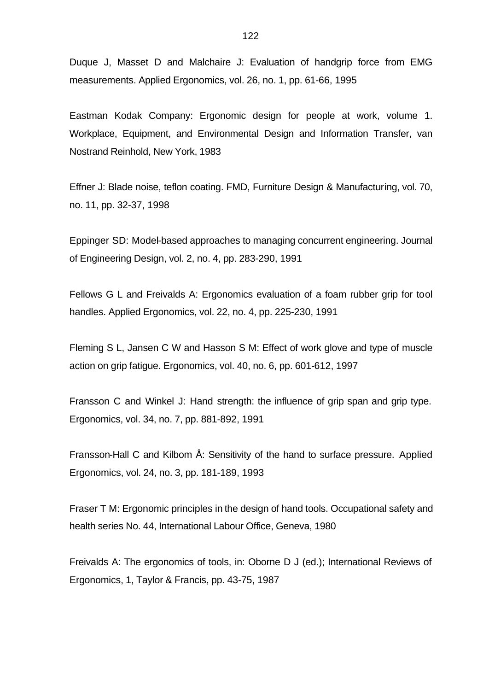Duque J, Masset D and Malchaire J: Evaluation of handgrip force from EMG measurements. Applied Ergonomics, vol. 26, no. 1, pp. 61-66, 1995

Eastman Kodak Company: Ergonomic design for people at work, volume 1. Workplace, Equipment, and Environmental Design and Information Transfer, van Nostrand Reinhold, New York, 1983

Effner J: Blade noise, teflon coating. FMD, Furniture Design & Manufacturing, vol. 70, no. 11, pp. 32-37, 1998

Eppinger SD: Model-based approaches to managing concurrent engineering. Journal of Engineering Design, vol. 2, no. 4, pp. 283-290, 1991

Fellows G L and Freivalds A: Ergonomics evaluation of a foam rubber grip for tool handles. Applied Ergonomics, vol. 22, no. 4, pp. 225-230, 1991

Fleming S L, Jansen C W and Hasson S M: Effect of work glove and type of muscle action on grip fatigue. Ergonomics, vol. 40, no. 6, pp. 601-612, 1997

Fransson C and Winkel J: Hand strength: the influence of grip span and grip type. Ergonomics, vol. 34, no. 7, pp. 881-892, 1991

Fransson-Hall C and Kilbom Å: Sensitivity of the hand to surface pressure. Applied Ergonomics, vol. 24, no. 3, pp. 181-189, 1993

Fraser T M: Ergonomic principles in the design of hand tools. Occupational safety and health series No. 44, International Labour Office, Geneva, 1980

Freivalds A: The ergonomics of tools, in: Oborne D J (ed.); International Reviews of Ergonomics, 1, Taylor & Francis, pp. 43-75, 1987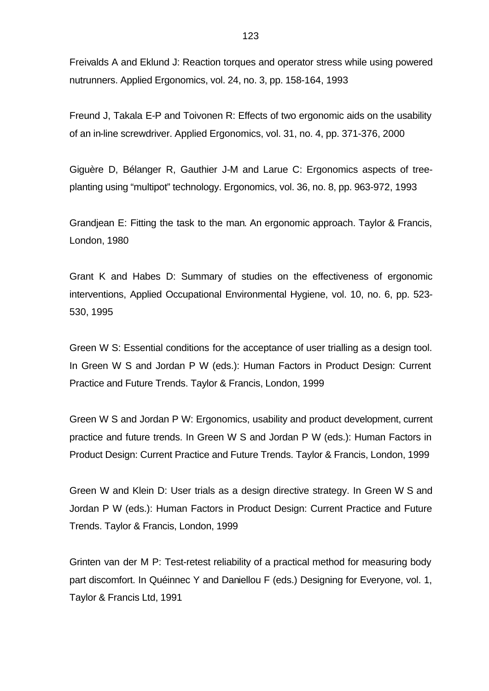Freivalds A and Eklund J: Reaction torques and operator stress while using powered nutrunners. Applied Ergonomics, vol. 24, no. 3, pp. 158-164, 1993

Freund J, Takala E-P and Toivonen R: Effects of two ergonomic aids on the usability of an in-line screwdriver. Applied Ergonomics, vol. 31, no. 4, pp. 371-376, 2000

Giguère D, Bélanger R, Gauthier J-M and Larue C: Ergonomics aspects of treeplanting using "multipot" technology. Ergonomics, vol. 36, no. 8, pp. 963-972, 1993

Grandjean E: Fitting the task to the man. An ergonomic approach. Taylor & Francis, London, 1980

Grant K and Habes D: Summary of studies on the effectiveness of ergonomic interventions, Applied Occupational Environmental Hygiene, vol. 10, no. 6, pp. 523- 530, 1995

Green W S: Essential conditions for the acceptance of user trialling as a design tool. In Green W S and Jordan P W (eds.): Human Factors in Product Design: Current Practice and Future Trends. Taylor & Francis, London, 1999

Green W S and Jordan P W: Ergonomics, usability and product development, current practice and future trends. In Green W S and Jordan P W (eds.): Human Factors in Product Design: Current Practice and Future Trends. Taylor & Francis, London, 1999

Green W and Klein D: User trials as a design directive strategy. In Green W S and Jordan P W (eds.): Human Factors in Product Design: Current Practice and Future Trends. Taylor & Francis, London, 1999

Grinten van der M P: Test-retest reliability of a practical method for measuring body part discomfort. In Quéinnec Y and Daniellou F (eds.) Designing for Everyone, vol. 1, Taylor & Francis Ltd, 1991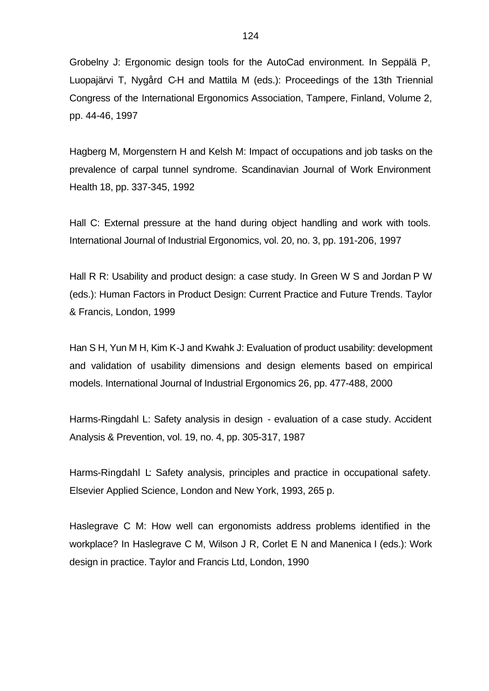Grobelny J: Ergonomic design tools for the AutoCad environment. In Seppälä P, Luopajärvi T, Nygård C-H and Mattila M (eds.): Proceedings of the 13th Triennial Congress of the International Ergonomics Association, Tampere, Finland, Volume 2, pp. 44-46, 1997

Hagberg M, Morgenstern H and Kelsh M: Impact of occupations and job tasks on the prevalence of carpal tunnel syndrome. Scandinavian Journal of Work Environment Health 18, pp. 337-345, 1992

Hall C: External pressure at the hand during object handling and work with tools. International Journal of Industrial Ergonomics, vol. 20, no. 3, pp. 191-206, 1997

Hall R R: Usability and product design: a case study. In Green W S and Jordan P W (eds.): Human Factors in Product Design: Current Practice and Future Trends. Taylor & Francis, London, 1999

Han S H, Yun M H, Kim K-J and Kwahk J: Evaluation of product usability: development and validation of usability dimensions and design elements based on empirical models. International Journal of Industrial Ergonomics 26, pp. 477-488, 2000

Harms-Ringdahl L: Safety analysis in design - evaluation of a case study. Accident Analysis & Prevention, vol. 19, no. 4, pp. 305-317, 1987

Harms-Ringdahl L: Safety analysis, principles and practice in occupational safety. Elsevier Applied Science, London and New York, 1993, 265 p.

Haslegrave C M: How well can ergonomists address problems identified in the workplace? In Haslegrave C M, Wilson J R, Corlet E N and Manenica I (eds.): Work design in practice. Taylor and Francis Ltd, London, 1990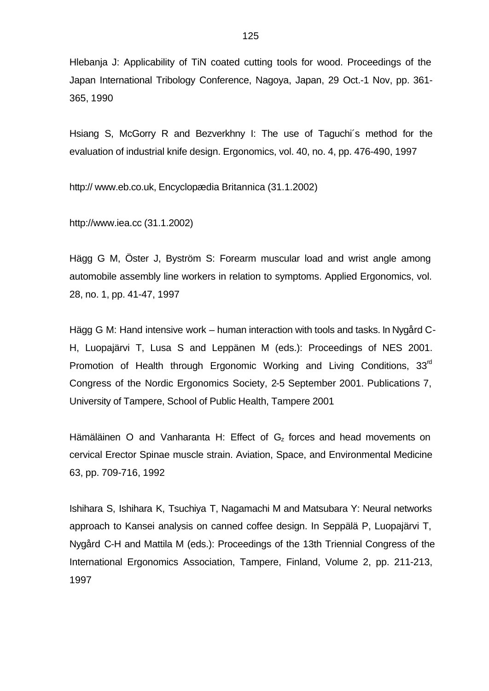Hlebanja J: Applicability of TiN coated cutting tools for wood. Proceedings of the Japan International Tribology Conference, Nagoya, Japan, 29 Oct.-1 Nov, pp. 361- 365, 1990

Hsiang S, McGorry R and Bezverkhny I: The use of Taguchi´s method for the evaluation of industrial knife design. Ergonomics, vol. 40, no. 4, pp. 476-490, 1997

http:// www.eb.co.uk, Encyclopædia Britannica (31.1.2002)

http://www.iea.cc (31.1.2002)

Hägg G M, Öster J, Byström S: Forearm muscular load and wrist angle among automobile assembly line workers in relation to symptoms. Applied Ergonomics, vol. 28, no. 1, pp. 41-47, 1997

Hägg G M: Hand intensive work – human interaction with tools and tasks. In Nygård C-H, Luopajärvi T, Lusa S and Leppänen M (eds.): Proceedings of NES 2001. Promotion of Health through Ergonomic Working and Living Conditions, 33<sup>rd</sup> Congress of the Nordic Ergonomics Society, 2-5 September 2001. Publications 7, University of Tampere, School of Public Health, Tampere 2001

Hämäläinen O and Vanharanta H: Effect of  $G<sub>z</sub>$  forces and head movements on cervical Erector Spinae muscle strain. Aviation, Space, and Environmental Medicine 63, pp. 709-716, 1992

Ishihara S, Ishihara K, Tsuchiya T, Nagamachi M and Matsubara Y: Neural networks approach to Kansei analysis on canned coffee design. In Seppälä P, Luopajärvi T, Nygård C-H and Mattila M (eds.): Proceedings of the 13th Triennial Congress of the International Ergonomics Association, Tampere, Finland, Volume 2, pp. 211-213, 1997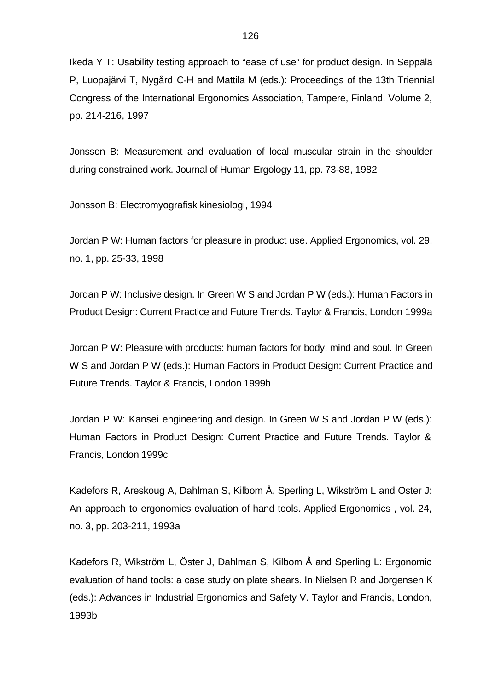Ikeda Y T: Usability testing approach to "ease of use" for product design. In Seppälä P, Luopajärvi T, Nygård C-H and Mattila M (eds.): Proceedings of the 13th Triennial Congress of the International Ergonomics Association, Tampere, Finland, Volume 2, pp. 214-216, 1997

Jonsson B: Measurement and evaluation of local muscular strain in the shoulder during constrained work. Journal of Human Ergology 11, pp. 73-88, 1982

Jonsson B: Electromyografisk kinesiologi, 1994

Jordan P W: Human factors for pleasure in product use. Applied Ergonomics, vol. 29, no. 1, pp. 25-33, 1998

Jordan P W: Inclusive design. In Green W S and Jordan P W (eds.): Human Factors in Product Design: Current Practice and Future Trends. Taylor & Francis, London 1999a

Jordan P W: Pleasure with products: human factors for body, mind and soul. In Green W S and Jordan P W (eds.): Human Factors in Product Design: Current Practice and Future Trends. Taylor & Francis, London 1999b

Jordan P W: Kansei engineering and design. In Green W S and Jordan P W (eds.): Human Factors in Product Design: Current Practice and Future Trends. Taylor & Francis, London 1999c

Kadefors R, Areskoug A, Dahlman S, Kilbom Å, Sperling L, Wikström L and Öster J: An approach to ergonomics evaluation of hand tools. Applied Ergonomics , vol. 24, no. 3, pp. 203-211, 1993a

Kadefors R, Wikström L, Öster J, Dahlman S, Kilbom Å and Sperling L: Ergonomic evaluation of hand tools: a case study on plate shears. In Nielsen R and Jorgensen K (eds.): Advances in Industrial Ergonomics and Safety V. Taylor and Francis, London, 1993b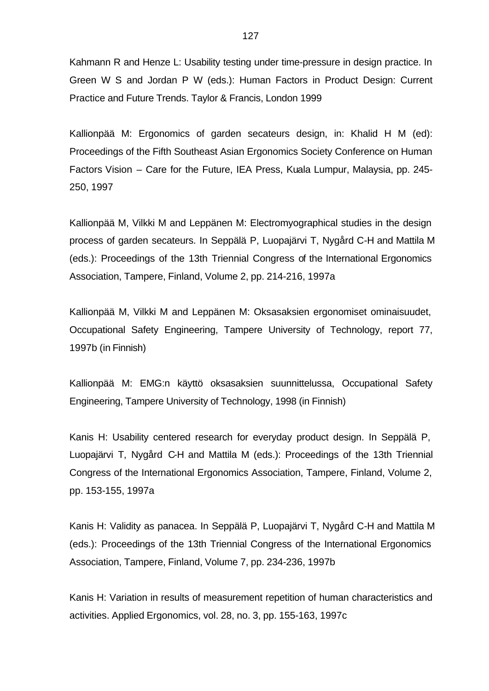Kahmann R and Henze L: Usability testing under time-pressure in design practice. In Green W S and Jordan P W (eds.): Human Factors in Product Design: Current Practice and Future Trends. Taylor & Francis, London 1999

Kallionpää M: Ergonomics of garden secateurs design, in: Khalid H M (ed): Proceedings of the Fifth Southeast Asian Ergonomics Society Conference on Human Factors Vision – Care for the Future, IEA Press, Kuala Lumpur, Malaysia, pp. 245- 250, 1997

Kallionpää M, Vilkki M and Leppänen M: Electromyographical studies in the design process of garden secateurs. In Seppälä P, Luopajärvi T, Nygård C-H and Mattila M (eds.): Proceedings of the 13th Triennial Congress of the International Ergonomics Association, Tampere, Finland, Volume 2, pp. 214-216, 1997a

Kallionpää M, Vilkki M and Leppänen M: Oksasaksien ergonomiset ominaisuudet, Occupational Safety Engineering, Tampere University of Technology, report 77, 1997b (in Finnish)

Kallionpää M: EMG:n käyttö oksasaksien suunnittelussa, Occupational Safety Engineering, Tampere University of Technology, 1998 (in Finnish)

Kanis H: Usability centered research for everyday product design. In Seppälä P, Luopajärvi T, Nygård C-H and Mattila M (eds.): Proceedings of the 13th Triennial Congress of the International Ergonomics Association, Tampere, Finland, Volume 2, pp. 153-155, 1997a

Kanis H: Validity as panacea. In Seppälä P, Luopajärvi T, Nygård C-H and Mattila M (eds.): Proceedings of the 13th Triennial Congress of the International Ergonomics Association, Tampere, Finland, Volume 7, pp. 234-236, 1997b

Kanis H: Variation in results of measurement repetition of human characteristics and activities. Applied Ergonomics, vol. 28, no. 3, pp. 155-163, 1997c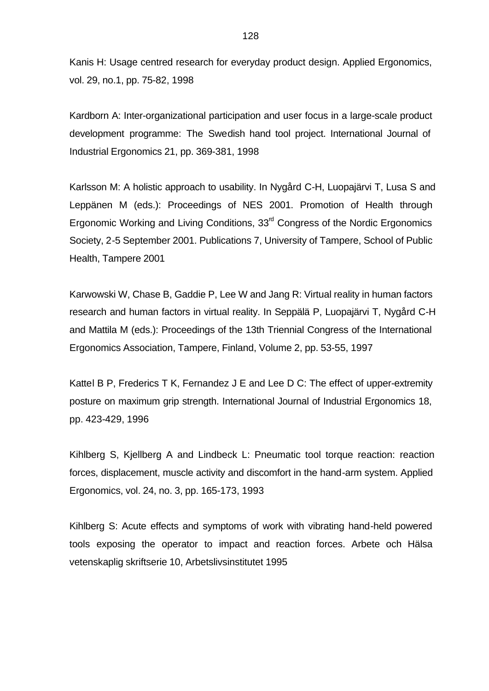Kanis H: Usage centred research for everyday product design. Applied Ergonomics, vol. 29, no.1, pp. 75-82, 1998

Kardborn A: Inter-organizational participation and user focus in a large-scale product development programme: The Swedish hand tool project. International Journal of Industrial Ergonomics 21, pp. 369-381, 1998

Karlsson M: A holistic approach to usability. In Nygård C-H, Luopajärvi T, Lusa S and Leppänen M (eds.): Proceedings of NES 2001. Promotion of Health through Ergonomic Working and Living Conditions,  $33<sup>rd</sup>$  Congress of the Nordic Ergonomics Society, 2-5 September 2001. Publications 7, University of Tampere, School of Public Health, Tampere 2001

Karwowski W, Chase B, Gaddie P, Lee W and Jang R: Virtual reality in human factors research and human factors in virtual reality. In Seppälä P, Luopajärvi T, Nygård C-H and Mattila M (eds.): Proceedings of the 13th Triennial Congress of the International Ergonomics Association, Tampere, Finland, Volume 2, pp. 53-55, 1997

Kattel B P, Frederics T K, Fernandez J E and Lee D C: The effect of upper-extremity posture on maximum grip strength. International Journal of Industrial Ergonomics 18, pp. 423-429, 1996

Kihlberg S, Kjellberg A and Lindbeck L: Pneumatic tool torque reaction: reaction forces, displacement, muscle activity and discomfort in the hand-arm system. Applied Ergonomics, vol. 24, no. 3, pp. 165-173, 1993

Kihlberg S: Acute effects and symptoms of work with vibrating hand-held powered tools exposing the operator to impact and reaction forces. Arbete och Hälsa vetenskaplig skriftserie 10, Arbetslivsinstitutet 1995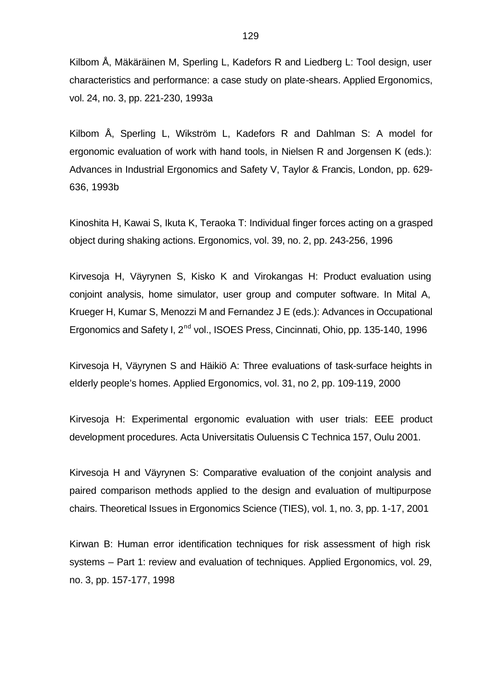Kilbom Å, Mäkäräinen M, Sperling L, Kadefors R and Liedberg L: Tool design, user characteristics and performance: a case study on plate-shears. Applied Ergonomics, vol. 24, no. 3, pp. 221-230, 1993a

Kilbom Å, Sperling L, Wikström L, Kadefors R and Dahlman S: A model for ergonomic evaluation of work with hand tools, in Nielsen R and Jorgensen K (eds.): Advances in Industrial Ergonomics and Safety V, Taylor & Francis, London, pp. 629- 636, 1993b

Kinoshita H, Kawai S, Ikuta K, Teraoka T: Individual finger forces acting on a grasped object during shaking actions. Ergonomics, vol. 39, no. 2, pp. 243-256, 1996

Kirvesoja H, Väyrynen S, Kisko K and Virokangas H: Product evaluation using conjoint analysis, home simulator, user group and computer software. In Mital A, Krueger H, Kumar S, Menozzi M and Fernandez J E (eds.): Advances in Occupational Ergonomics and Safety I, 2<sup>nd</sup> vol., ISOES Press, Cincinnati, Ohio, pp. 135-140, 1996

Kirvesoja H, Väyrynen S and Häikiö A: Three evaluations of task-surface heights in elderly people's homes. Applied Ergonomics, vol. 31, no 2, pp. 109-119, 2000

Kirvesoja H: Experimental ergonomic evaluation with user trials: EEE product development procedures. Acta Universitatis Ouluensis C Technica 157, Oulu 2001.

Kirvesoja H and Väyrynen S: Comparative evaluation of the conjoint analysis and paired comparison methods applied to the design and evaluation of multipurpose chairs. Theoretical Issues in Ergonomics Science (TIES), vol. 1, no. 3, pp. 1-17, 2001

Kirwan B: Human error identification techniques for risk assessment of high risk systems – Part 1: review and evaluation of techniques. Applied Ergonomics, vol. 29, no. 3, pp. 157-177, 1998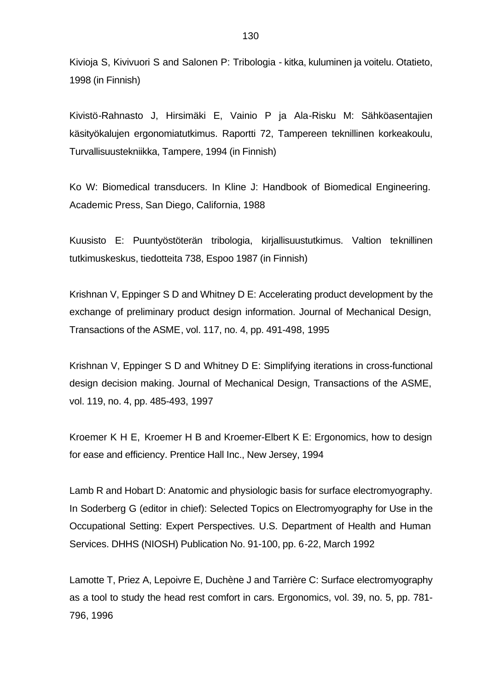Kivioja S, Kivivuori S and Salonen P: Tribologia - kitka, kuluminen ja voitelu. Otatieto, 1998 (in Finnish)

Kivistö-Rahnasto J, Hirsimäki E, Vainio P ja Ala-Risku M: Sähköasentajien käsityökalujen ergonomiatutkimus. Raportti 72, Tampereen teknillinen korkeakoulu, Turvallisuustekniikka, Tampere, 1994 (in Finnish)

Ko W: Biomedical transducers. In Kline J: Handbook of Biomedical Engineering. Academic Press, San Diego, California, 1988

Kuusisto E: Puuntyöstöterän tribologia, kirjallisuustutkimus. Valtion teknillinen tutkimuskeskus, tiedotteita 738, Espoo 1987 (in Finnish)

Krishnan V, Eppinger S D and Whitney D E: Accelerating product development by the exchange of preliminary product design information. Journal of Mechanical Design, Transactions of the ASME, vol. 117, no. 4, pp. 491-498, 1995

Krishnan V, Eppinger S D and Whitney D E: Simplifying iterations in cross-functional design decision making. Journal of Mechanical Design, Transactions of the ASME, vol. 119, no. 4, pp. 485-493, 1997

Kroemer K H E, Kroemer H B and Kroemer-Elbert K E: Ergonomics, how to design for ease and efficiency. Prentice Hall Inc., New Jersey, 1994

Lamb R and Hobart D: Anatomic and physiologic basis for surface electromyography. In Soderberg G (editor in chief): Selected Topics on Electromyography for Use in the Occupational Setting: Expert Perspectives. U.S. Department of Health and Human Services. DHHS (NIOSH) Publication No. 91-100, pp. 6-22, March 1992

Lamotte T, Priez A, Lepoivre E, Duchène J and Tarrière C: Surface electromyography as a tool to study the head rest comfort in cars. Ergonomics, vol. 39, no. 5, pp. 781- 796, 1996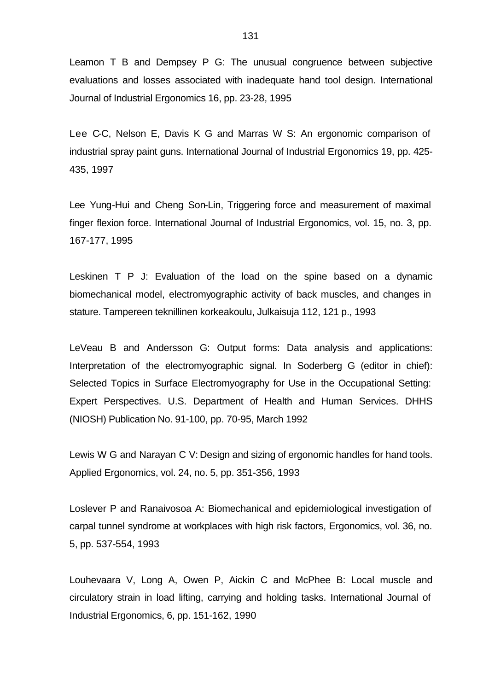Leamon T B and Dempsey P G: The unusual congruence between subjective evaluations and losses associated with inadequate hand tool design. International Journal of Industrial Ergonomics 16, pp. 23-28, 1995

Lee C-C, Nelson E, Davis K G and Marras W S: An ergonomic comparison of industrial spray paint guns. International Journal of Industrial Ergonomics 19, pp. 425- 435, 1997

Lee Yung-Hui and Cheng Son-Lin, Triggering force and measurement of maximal finger flexion force. International Journal of Industrial Ergonomics, vol. 15, no. 3, pp. 167-177, 1995

Leskinen T P J: Evaluation of the load on the spine based on a dynamic biomechanical model, electromyographic activity of back muscles, and changes in stature. Tampereen teknillinen korkeakoulu, Julkaisuja 112, 121 p., 1993

LeVeau B and Andersson G: Output forms: Data analysis and applications: Interpretation of the electromyographic signal. In Soderberg G (editor in chief): Selected Topics in Surface Electromyography for Use in the Occupational Setting: Expert Perspectives. U.S. Department of Health and Human Services. DHHS (NIOSH) Publication No. 91-100, pp. 70-95, March 1992

Lewis W G and Narayan C V: Design and sizing of ergonomic handles for hand tools. Applied Ergonomics, vol. 24, no. 5, pp. 351-356, 1993

Loslever P and Ranaivosoa A: Biomechanical and epidemiological investigation of carpal tunnel syndrome at workplaces with high risk factors, Ergonomics, vol. 36, no. 5, pp. 537-554, 1993

Louhevaara V, Long A, Owen P, Aickin C and McPhee B: Local muscle and circulatory strain in load lifting, carrying and holding tasks. International Journal of Industrial Ergonomics, 6, pp. 151-162, 1990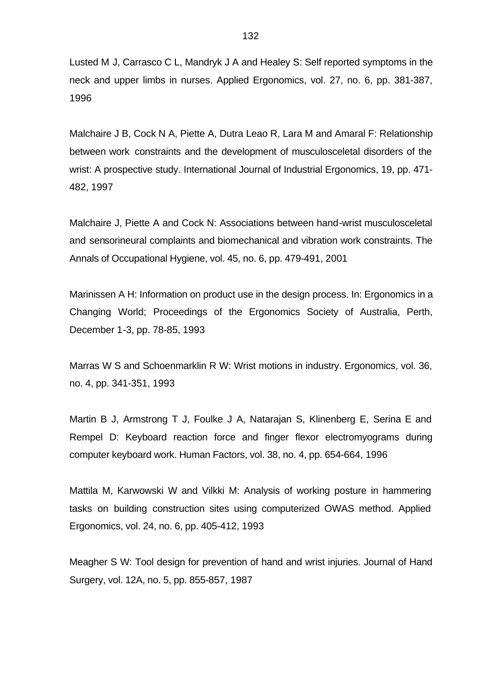Lusted M J, Carrasco C L, Mandryk J A and Healey S: Self reported symptoms in the neck and upper limbs in nurses. Applied Ergonomics, vol. 27, no. 6, pp. 381-387, 1996

Malchaire J B, Cock N A, Piette A, Dutra Leao R, Lara M and Amaral F: Relationship between work constraints and the development of musculosceletal disorders of the wrist: A prospective study. International Journal of Industrial Ergonomics, 19, pp. 471- 482, 1997

Malchaire J, Piette A and Cock N: Associations between hand-wrist musculosceletal and sensorineural complaints and biomechanical and vibration work constraints. The Annals of Occupational Hygiene, vol. 45, no. 6, pp. 479-491, 2001

Marinissen A H: Information on product use in the design process. In: Ergonomics in a Changing World; Proceedings of the Ergonomics Society of Australia, Perth, December 1-3, pp. 78-85, 1993

Marras W S and Schoenmarklin R W: Wrist motions in industry. Ergonomics, vol. 36, no. 4, pp. 341-351, 1993

Martin B J, Armstrong T J, Foulke J A, Natarajan S, Klinenberg E, Serina E and Rempel D: Keyboard reaction force and finger flexor electromyograms during computer keyboard work. Human Factors, vol. 38, no. 4, pp. 654-664, 1996

Mattila M, Karwowski W and Vilkki M: Analysis of working posture in hammering tasks on building construction sites using computerized OWAS method. Applied Ergonomics, vol. 24, no. 6, pp. 405-412, 1993

Meagher S W: Tool design for prevention of hand and wrist injuries. Journal of Hand Surgery, vol. 12A, no. 5, pp. 855-857, 1987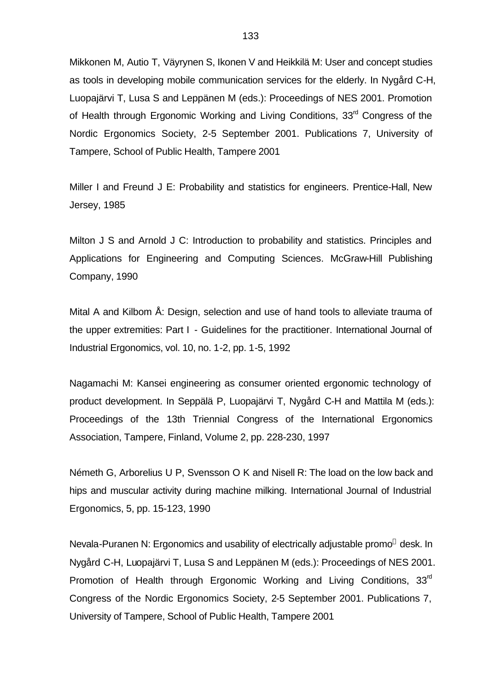Mikkonen M, Autio T, Väyrynen S, Ikonen V and Heikkilä M: User and concept studies as tools in developing mobile communication services for the elderly. In Nygård C-H, Luopajärvi T, Lusa S and Leppänen M (eds.): Proceedings of NES 2001. Promotion of Health through Ergonomic Working and Living Conditions,  $33<sup>rd</sup>$  Congress of the Nordic Ergonomics Society, 2-5 September 2001. Publications 7, University of Tampere, School of Public Health, Tampere 2001

Miller I and Freund J E: Probability and statistics for engineers. Prentice-Hall, New Jersey, 1985

Milton J S and Arnold J C: Introduction to probability and statistics. Principles and Applications for Engineering and Computing Sciences. McGraw-Hill Publishing Company, 1990

Mital A and Kilbom Å: Design, selection and use of hand tools to alleviate trauma of the upper extremities: Part I - Guidelines for the practitioner. International Journal of Industrial Ergonomics, vol. 10, no. 1-2, pp. 1-5, 1992

Nagamachi M: Kansei engineering as consumer oriented ergonomic technology of product development. In Seppälä P, Luopajärvi T, Nygård C-H and Mattila M (eds.): Proceedings of the 13th Triennial Congress of the International Ergonomics Association, Tampere, Finland, Volume 2, pp. 228-230, 1997

Németh G, Arborelius U P, Svensson O K and Nisell R: The load on the low back and hips and muscular activity during machine milking. International Journal of Industrial Ergonomics, 5, pp. 15-123, 1990

Nevala-Puranen N: Ergonomics and usability of electrically adjustable promo<sup>®</sup> desk. In Nygård C-H, Luopajärvi T, Lusa S and Leppänen M (eds.): Proceedings of NES 2001. Promotion of Health through Ergonomic Working and Living Conditions, 33<sup>rd</sup> Congress of the Nordic Ergonomics Society, 2-5 September 2001. Publications 7, University of Tampere, School of Public Health, Tampere 2001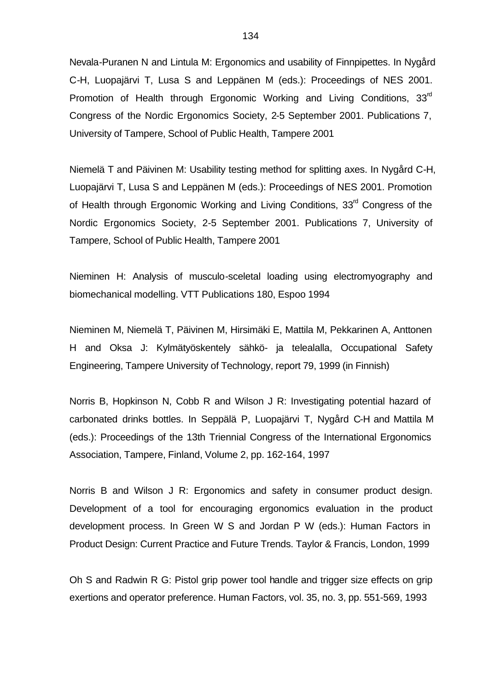Nevala-Puranen N and Lintula M: Ergonomics and usability of Finnpipettes. In Nygård C-H, Luopajärvi T, Lusa S and Leppänen M (eds.): Proceedings of NES 2001. Promotion of Health through Ergonomic Working and Living Conditions, 33<sup>rd</sup> Congress of the Nordic Ergonomics Society, 2-5 September 2001. Publications 7, University of Tampere, School of Public Health, Tampere 2001

Niemelä T and Päivinen M: Usability testing method for splitting axes. In Nygård C-H, Luopajärvi T, Lusa S and Leppänen M (eds.): Proceedings of NES 2001. Promotion of Health through Ergonomic Working and Living Conditions, 33<sup>rd</sup> Congress of the Nordic Ergonomics Society, 2-5 September 2001. Publications 7, University of Tampere, School of Public Health, Tampere 2001

Nieminen H: Analysis of musculo-sceletal loading using electromyography and biomechanical modelling. VTT Publications 180, Espoo 1994

Nieminen M, Niemelä T, Päivinen M, Hirsimäki E, Mattila M, Pekkarinen A, Anttonen H and Oksa J: Kylmätyöskentely sähkö- ja telealalla, Occupational Safety Engineering, Tampere University of Technology, report 79, 1999 (in Finnish)

Norris B, Hopkinson N, Cobb R and Wilson J R: Investigating potential hazard of carbonated drinks bottles. In Seppälä P, Luopajärvi T, Nygård C-H and Mattila M (eds.): Proceedings of the 13th Triennial Congress of the International Ergonomics Association, Tampere, Finland, Volume 2, pp. 162-164, 1997

Norris B and Wilson J R: Ergonomics and safety in consumer product design. Development of a tool for encouraging ergonomics evaluation in the product development process. In Green W S and Jordan P W (eds.): Human Factors in Product Design: Current Practice and Future Trends. Taylor & Francis, London, 1999

Oh S and Radwin R G: Pistol grip power tool handle and trigger size effects on grip exertions and operator preference. Human Factors, vol. 35, no. 3, pp. 551-569, 1993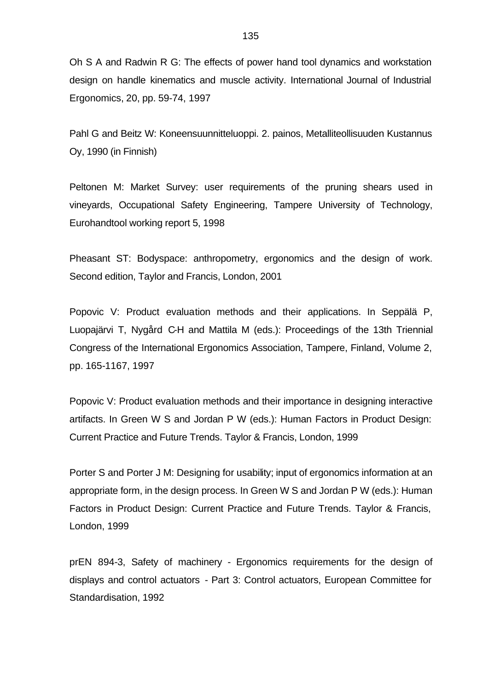Oh S A and Radwin R G: The effects of power hand tool dynamics and workstation design on handle kinematics and muscle activity. International Journal of Industrial Ergonomics, 20, pp. 59-74, 1997

Pahl G and Beitz W: Koneensuunnitteluoppi. 2. painos, Metalliteollisuuden Kustannus Oy, 1990 (in Finnish)

Peltonen M: Market Survey: user requirements of the pruning shears used in vineyards, Occupational Safety Engineering, Tampere University of Technology, Eurohandtool working report 5, 1998

Pheasant ST: Bodyspace: anthropometry, ergonomics and the design of work. Second edition, Taylor and Francis, London, 2001

Popovic V: Product evaluation methods and their applications. In Seppälä P, Luopajärvi T, Nygård C-H and Mattila M (eds.): Proceedings of the 13th Triennial Congress of the International Ergonomics Association, Tampere, Finland, Volume 2, pp. 165-1167, 1997

Popovic V: Product evaluation methods and their importance in designing interactive artifacts. In Green W S and Jordan P W (eds.): Human Factors in Product Design: Current Practice and Future Trends. Taylor & Francis, London, 1999

Porter S and Porter J M: Designing for usability; input of ergonomics information at an appropriate form, in the design process. In Green W S and Jordan P W (eds.): Human Factors in Product Design: Current Practice and Future Trends. Taylor & Francis, London, 1999

prEN 894-3, Safety of machinery - Ergonomics requirements for the design of displays and control actuators - Part 3: Control actuators, European Committee for Standardisation, 1992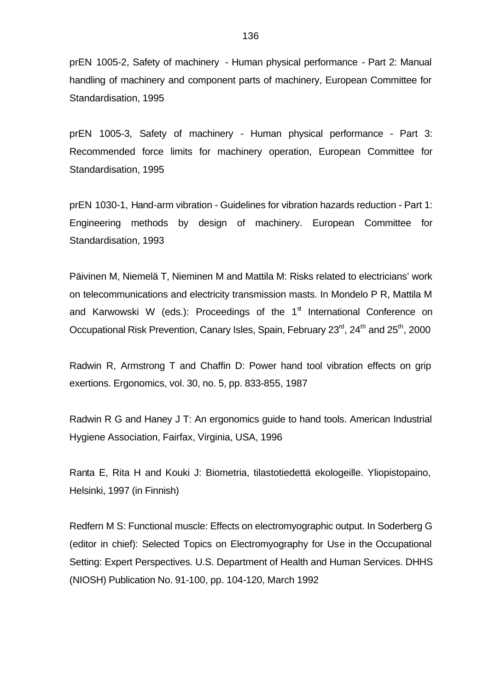prEN 1005-2, Safety of machinery - Human physical performance - Part 2: Manual handling of machinery and component parts of machinery, European Committee for Standardisation, 1995

prEN 1005-3, Safety of machinery - Human physical performance - Part 3: Recommended force limits for machinery operation, European Committee for Standardisation, 1995

prEN 1030-1, Hand-arm vibration - Guidelines for vibration hazards reduction - Part 1: Engineering methods by design of machinery. European Committee for Standardisation, 1993

Päivinen M, Niemelä T, Nieminen M and Mattila M: Risks related to electricians' work on telecommunications and electricity transmission masts. In Mondelo P R, Mattila M and Karwowski W (eds.): Proceedings of the 1<sup>st</sup> International Conference on Occupational Risk Prevention, Canary Isles, Spain, February 23<sup>rd</sup>, 24<sup>th</sup> and 25<sup>th</sup>, 2000

Radwin R, Armstrong T and Chaffin D: Power hand tool vibration effects on grip exertions. Ergonomics, vol. 30, no. 5, pp. 833-855, 1987

Radwin R G and Haney J T: An ergonomics guide to hand tools. American Industrial Hygiene Association, Fairfax, Virginia, USA, 1996

Ranta E, Rita H and Kouki J: Biometria, tilastotiedettä ekologeille. Yliopistopaino, Helsinki, 1997 (in Finnish)

Redfern M S: Functional muscle: Effects on electromyographic output. In Soderberg G (editor in chief): Selected Topics on Electromyography for Use in the Occupational Setting: Expert Perspectives. U.S. Department of Health and Human Services. DHHS (NIOSH) Publication No. 91-100, pp. 104-120, March 1992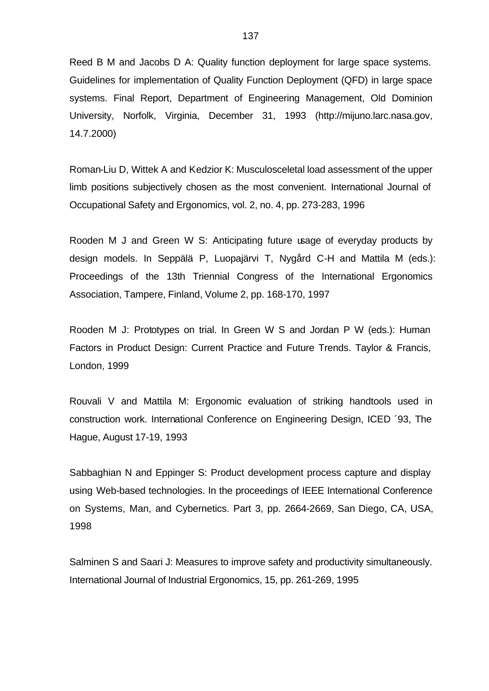Reed B M and Jacobs D A: Quality function deployment for large space systems. Guidelines for implementation of Quality Function Deployment (QFD) in large space systems. Final Report, Department of Engineering Management, Old Dominion University, Norfolk, Virginia, December 31, 1993 (http://mijuno.larc.nasa.gov, 14.7.2000)

Roman-Liu D, Wittek A and Kedzior K: Musculosceletal load assessment of the upper limb positions subjectively chosen as the most convenient. International Journal of Occupational Safety and Ergonomics, vol. 2, no. 4, pp. 273-283, 1996

Rooden M J and Green W S: Anticipating future usage of everyday products by design models. In Seppälä P, Luopajärvi T, Nygård C-H and Mattila M (eds.): Proceedings of the 13th Triennial Congress of the International Ergonomics Association, Tampere, Finland, Volume 2, pp. 168-170, 1997

Rooden M J: Prototypes on trial. In Green W S and Jordan P W (eds.): Human Factors in Product Design: Current Practice and Future Trends. Taylor & Francis, London, 1999

Rouvali V and Mattila M: Ergonomic evaluation of striking handtools used in construction work. International Conference on Engineering Design, ICED ´93, The Hague, August 17-19, 1993

Sabbaghian N and Eppinger S: Product development process capture and display using Web-based technologies. In the proceedings of IEEE International Conference on Systems, Man, and Cybernetics. Part 3, pp. 2664-2669, San Diego, CA, USA, 1998

Salminen S and Saari J: Measures to improve safety and productivity simultaneously. International Journal of Industrial Ergonomics, 15, pp. 261-269, 1995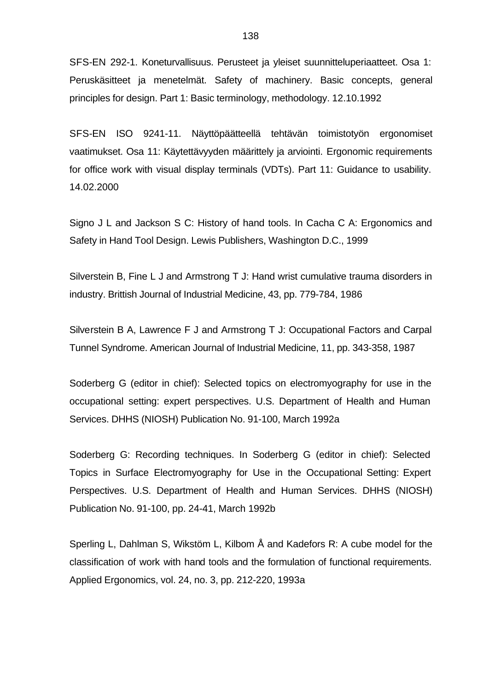SFS-EN 292-1. Koneturvallisuus. Perusteet ja yleiset suunnitteluperiaatteet. Osa 1: Peruskäsitteet ja menetelmät. Safety of machinery. Basic concepts, general principles for design. Part 1: Basic terminology, methodology. 12.10.1992

SFS-EN ISO 9241-11. Näyttöpäätteellä tehtävän toimistotyön ergonomiset vaatimukset. Osa 11: Käytettävyyden määrittely ja arviointi. Ergonomic requirements for office work with visual display terminals (VDTs). Part 11: Guidance to usability. 14.02.2000

Signo J L and Jackson S C: History of hand tools. In Cacha C A: Ergonomics and Safety in Hand Tool Design. Lewis Publishers, Washington D.C., 1999

Silverstein B, Fine L J and Armstrong T J: Hand wrist cumulative trauma disorders in industry. Brittish Journal of Industrial Medicine, 43, pp. 779-784, 1986

Silverstein B A, Lawrence F J and Armstrong T J: Occupational Factors and Carpal Tunnel Syndrome. American Journal of Industrial Medicine, 11, pp. 343-358, 1987

Soderberg G (editor in chief): Selected topics on electromyography for use in the occupational setting: expert perspectives. U.S. Department of Health and Human Services. DHHS (NIOSH) Publication No. 91-100, March 1992a

Soderberg G: Recording techniques. In Soderberg G (editor in chief): Selected Topics in Surface Electromyography for Use in the Occupational Setting: Expert Perspectives. U.S. Department of Health and Human Services. DHHS (NIOSH) Publication No. 91-100, pp. 24-41, March 1992b

Sperling L, Dahlman S, Wikstöm L, Kilbom Å and Kadefors R: A cube model for the classification of work with hand tools and the formulation of functional requirements. Applied Ergonomics, vol. 24, no. 3, pp. 212-220, 1993a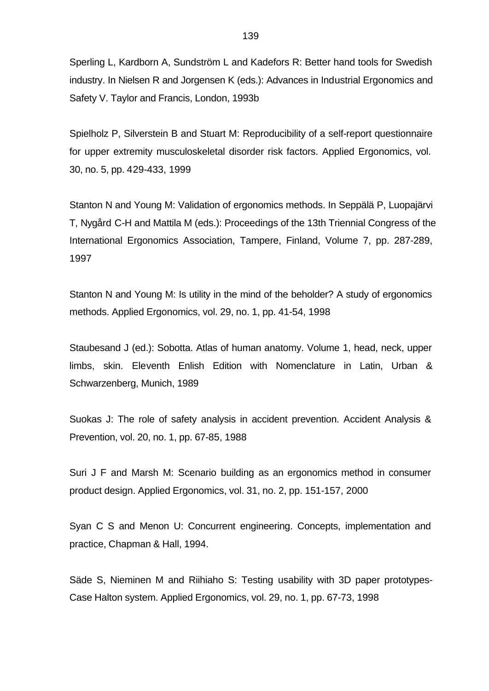Sperling L, Kardborn A, Sundström L and Kadefors R: Better hand tools for Swedish industry. In Nielsen R and Jorgensen K (eds.): Advances in Industrial Ergonomics and Safety V. Taylor and Francis, London, 1993b

Spielholz P, Silverstein B and Stuart M: Reproducibility of a self-report questionnaire for upper extremity musculoskeletal disorder risk factors. Applied Ergonomics, vol. 30, no. 5, pp. 429-433, 1999

Stanton N and Young M: Validation of ergonomics methods. In Seppälä P, Luopajärvi T, Nygård C-H and Mattila M (eds.): Proceedings of the 13th Triennial Congress of the International Ergonomics Association, Tampere, Finland, Volume 7, pp. 287-289, 1997

Stanton N and Young M: Is utility in the mind of the beholder? A study of ergonomics methods. Applied Ergonomics, vol. 29, no. 1, pp. 41-54, 1998

Staubesand J (ed.): Sobotta. Atlas of human anatomy. Volume 1, head, neck, upper limbs, skin. Eleventh Enlish Edition with Nomenclature in Latin, Urban & Schwarzenberg, Munich, 1989

Suokas J: The role of safety analysis in accident prevention. Accident Analysis & Prevention, vol. 20, no. 1, pp. 67-85, 1988

Suri J F and Marsh M: Scenario building as an ergonomics method in consumer product design. Applied Ergonomics, vol. 31, no. 2, pp. 151-157, 2000

Syan C S and Menon U: Concurrent engineering. Concepts, implementation and practice, Chapman & Hall, 1994.

Säde S, Nieminen M and Riihiaho S: Testing usability with 3D paper prototypes-Case Halton system. Applied Ergonomics, vol. 29, no. 1, pp. 67-73, 1998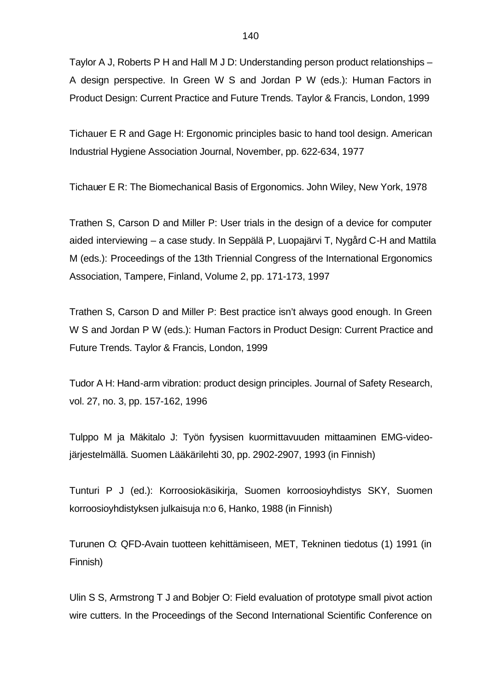Taylor A J, Roberts P H and Hall M J D: Understanding person product relationships – A design perspective. In Green W S and Jordan P W (eds.): Human Factors in Product Design: Current Practice and Future Trends. Taylor & Francis, London, 1999

Tichauer E R and Gage H: Ergonomic principles basic to hand tool design. American Industrial Hygiene Association Journal, November, pp. 622-634, 1977

Tichauer E R: The Biomechanical Basis of Ergonomics. John Wiley, New York, 1978

Trathen S, Carson D and Miller P: User trials in the design of a device for computer aided interviewing – a case study. In Seppälä P, Luopajärvi T, Nygård C-H and Mattila M (eds.): Proceedings of the 13th Triennial Congress of the International Ergonomics Association, Tampere, Finland, Volume 2, pp. 171-173, 1997

Trathen S, Carson D and Miller P: Best practice isn't always good enough. In Green W S and Jordan P W (eds.): Human Factors in Product Design: Current Practice and Future Trends. Taylor & Francis, London, 1999

Tudor A H: Hand-arm vibration: product design principles. Journal of Safety Research, vol. 27, no. 3, pp. 157-162, 1996

Tulppo M ja Mäkitalo J: Työn fyysisen kuormittavuuden mittaaminen EMG-videojärjestelmällä. Suomen Lääkärilehti 30, pp. 2902-2907, 1993 (in Finnish)

Tunturi P J (ed.): Korroosiokäsikirja, Suomen korroosioyhdistys SKY, Suomen korroosioyhdistyksen julkaisuja n:o 6, Hanko, 1988 (in Finnish)

Turunen O: QFD-Avain tuotteen kehittämiseen, MET, Tekninen tiedotus (1) 1991 (in Finnish)

Ulin S S, Armstrong T J and Bobjer O: Field evaluation of prototype small pivot action wire cutters. In the Proceedings of the Second International Scientific Conference on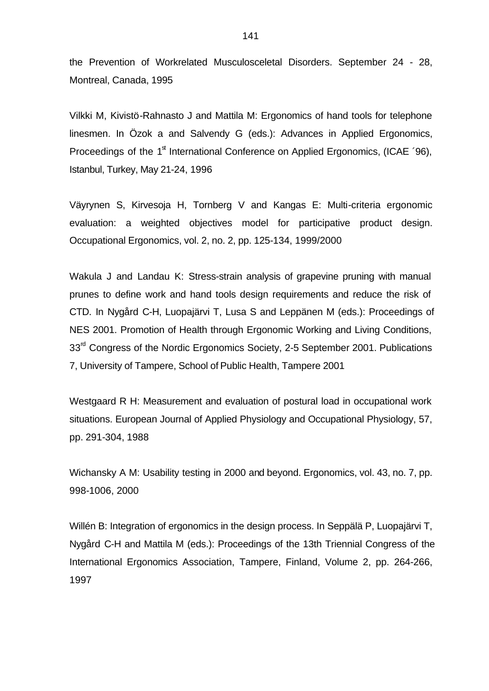the Prevention of Workrelated Musculosceletal Disorders. September 24 - 28, Montreal, Canada, 1995

Vilkki M, Kivistö-Rahnasto J and Mattila M: Ergonomics of hand tools for telephone linesmen. In Özok a and Salvendy G (eds.): Advances in Applied Ergonomics, Proceedings of the 1<sup>st</sup> International Conference on Applied Ergonomics, (ICAE '96), Istanbul, Turkey, May 21-24, 1996

Väyrynen S, Kirvesoja H, Tornberg V and Kangas E: Multi-criteria ergonomic evaluation: a weighted objectives model for participative product design. Occupational Ergonomics, vol. 2, no. 2, pp. 125-134, 1999/2000

Wakula J and Landau K: Stress-strain analysis of grapevine pruning with manual prunes to define work and hand tools design requirements and reduce the risk of CTD. In Nygård C-H, Luopajärvi T, Lusa S and Leppänen M (eds.): Proceedings of NES 2001. Promotion of Health through Ergonomic Working and Living Conditions, 33<sup>rd</sup> Congress of the Nordic Ergonomics Society, 2-5 September 2001. Publications 7, University of Tampere, School of Public Health, Tampere 2001

Westgaard R H: Measurement and evaluation of postural load in occupational work situations. European Journal of Applied Physiology and Occupational Physiology, 57, pp. 291-304, 1988

Wichansky A M: Usability testing in 2000 and beyond. Ergonomics, vol. 43, no. 7, pp. 998-1006, 2000

Willén B: Integration of ergonomics in the design process. In Seppälä P, Luopajärvi T, Nygård C-H and Mattila M (eds.): Proceedings of the 13th Triennial Congress of the International Ergonomics Association, Tampere, Finland, Volume 2, pp. 264-266, 1997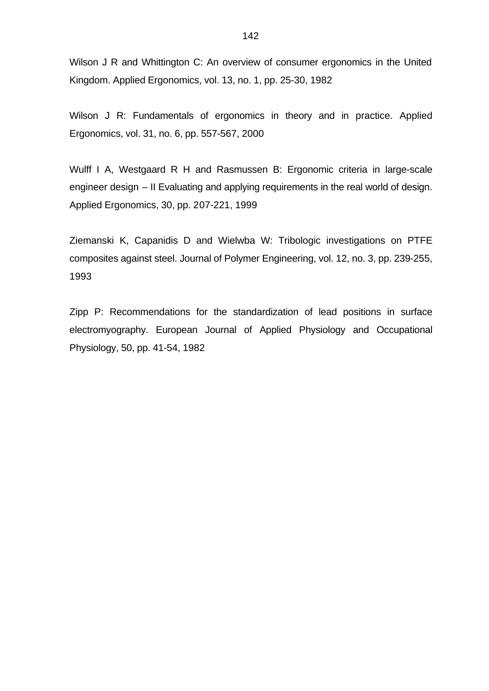Wilson J R and Whittington C: An overview of consumer ergonomics in the United Kingdom. Applied Ergonomics, vol. 13, no. 1, pp. 25-30, 1982

Wilson J R: Fundamentals of ergonomics in theory and in practice. Applied Ergonomics, vol. 31, no. 6, pp. 557-567, 2000

Wulff I A, Westgaard R H and Rasmussen B: Ergonomic criteria in large-scale engineer design – II Evaluating and applying requirements in the real world of design. Applied Ergonomics, 30, pp. 207-221, 1999

Ziemanski K, Capanidis D and Wielwba W: Tribologic investigations on PTFE composites against steel. Journal of Polymer Engineering, vol. 12, no. 3, pp. 239-255, 1993

Zipp P: Recommendations for the standardization of lead positions in surface electromyography. European Journal of Applied Physiology and Occupational Physiology, 50, pp. 41-54, 1982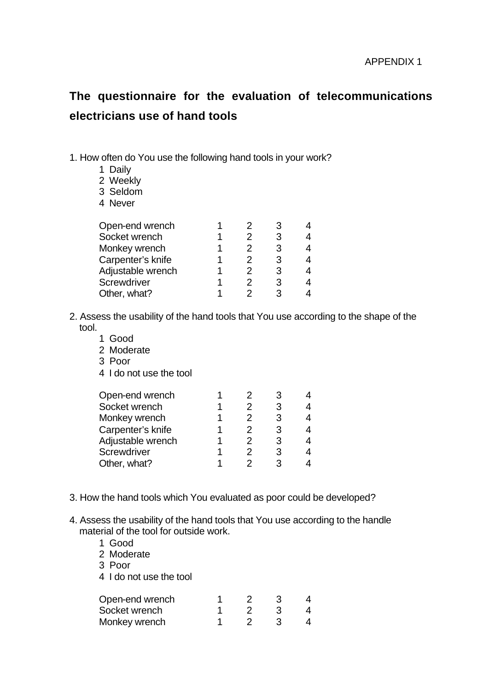# **The questionnaire for the evaluation of telecommunications electricians use of hand tools**

- 1. How often do You use the following hand tools in your work?
	- 1 Daily
	- 2 Weekly
	- 3 Seldom
	- 4 Never

|  | 3 | 4 |
|--|---|---|
|  | 3 | 4 |
|  | 3 | 4 |
|  | З | 4 |
|  | 3 | 4 |
|  |   | 4 |
|  |   |   |

- 2. Assess the usability of the hand tools that You use according to the shape of the tool.
	- 1 Good
	- 2 Moderate
	- 3 Poor
	- 4 I do not use the tool

| Open-end wrench    |  |   |   |
|--------------------|--|---|---|
| Socket wrench      |  | 3 | 4 |
| Monkey wrench      |  | З | 4 |
| Carpenter's knife  |  | 3 | 4 |
| Adjustable wrench  |  | 3 | 4 |
| <b>Screwdriver</b> |  | 3 | 4 |
| Other, what?       |  | વ |   |
|                    |  |   |   |

- 3. How the hand tools which You evaluated as poor could be developed?
- 4. Assess the usability of the hand tools that You use according to the handle material of the tool for outside work.
	- 1 Good
	- 2 Moderate
	- 3 Poor
	- 4 I do not use the tool

| Open-end wrench |  |  |
|-----------------|--|--|
| Socket wrench   |  |  |
| Monkey wrench   |  |  |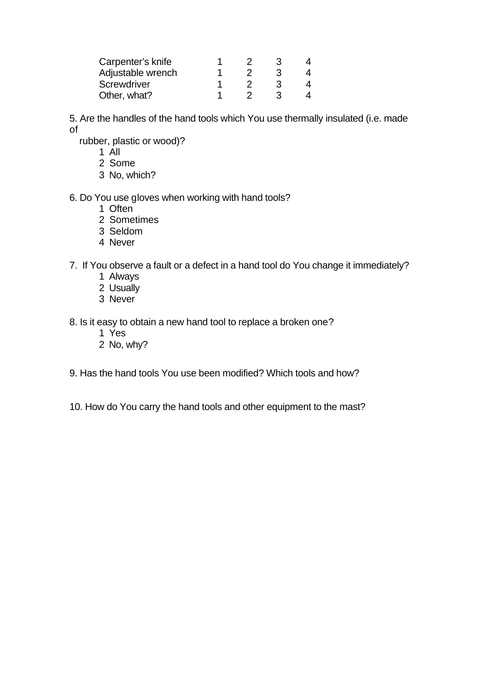| Carpenter's knife |  |  |
|-------------------|--|--|
| Adjustable wrench |  |  |
| Screwdriver       |  |  |
| Other, what?      |  |  |

5. Are the handles of the hand tools which You use thermally insulated (i.e. made of

rubber, plastic or wood)?

- 1 All
- 2 Some
- 3 No, which?

#### 6. Do You use gloves when working with hand tools?

- 1 Often
- 2 Sometimes
- 3 Seldom
- 4 Never

### 7. If You observe a fault or a defect in a hand tool do You change it immediately?

- 1 Always
- 2 Usually
- 3 Never

### 8. Is it easy to obtain a new hand tool to replace a broken one?

- 1 Yes
- 2 No, why?

### 9. Has the hand tools You use been modified? Which tools and how?

10. How do You carry the hand tools and other equipment to the mast?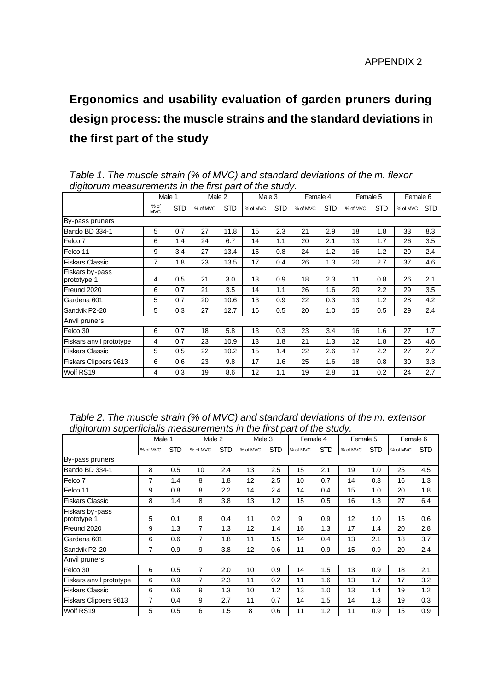# **Ergonomics and usability evaluation of garden pruners during design process: the muscle strains and the standard deviations in the first part of the study**

|                                |                    | Male 1     | Male 2   |            | Male 3   |            | Female 4 |            | Female 5 |            | Female 6 |            |
|--------------------------------|--------------------|------------|----------|------------|----------|------------|----------|------------|----------|------------|----------|------------|
|                                | % of<br><b>MVC</b> | <b>STD</b> | % of MVC | <b>STD</b> | % of MVC | <b>STD</b> | % of MVC | <b>STD</b> | % of MVC | <b>STD</b> | % of MVC | <b>STD</b> |
| By-pass pruners                |                    |            |          |            |          |            |          |            |          |            |          |            |
| Bando BD 334-1                 | 5                  | 0.7        | 27       | 11.8       | 15       | 2.3        | 21       | 2.9        | 18       | 1.8        | 33       | 8.3        |
| Felco <sub>7</sub>             | 6                  | 1.4        | 24       | 6.7        | 14       | 1.1        | 20       | 2.1        | 13       | 1.7        | 26       | 3.5        |
| Felco 11                       | 9                  | 3.4        | 27       | 13.4       | 15       | 0.8        | 24       | 1.2        | 16       | 1.2        | 29       | 2.4        |
| <b>Fiskars Classic</b>         | 7                  | 1.8        | 23       | 13.5       | 17       | 0.4        | 26       | 1.3        | 20       | 2.7        | 37       | 4.6        |
| Fiskars by-pass<br>prototype 1 | 4                  | 0.5        | 21       | 3.0        | 13       | 0.9        | 18       | 2.3        | 11       | 0.8        | 26       | 2.1        |
| Freund 2020                    | 6                  | 0.7        | 21       | 3.5        | 14       | 1.1        | 26       | 1.6        | 20       | 2.2        | 29       | 3.5        |
| Gardena 601                    | 5                  | 0.7        | 20       | 10.6       | 13       | 0.9        | 22       | 0.3        | 13       | 1.2        | 28       | 4.2        |
| Sandvik P2-20                  | 5                  | 0.3        | 27       | 12.7       | 16       | 0.5        | 20       | 1.0        | 15       | 0.5        | 29       | 2.4        |
| Anvil pruners                  |                    |            |          |            |          |            |          |            |          |            |          |            |
| Felco 30                       | 6                  | 0.7        | 18       | 5.8        | 13       | 0.3        | 23       | 3.4        | 16       | 1.6        | 27       | 1.7        |
| Fiskars anvil prototype        | 4                  | 0.7        | 23       | 10.9       | 13       | 1.8        | 21       | 1.3        | 12       | 1.8        | 26       | 4.6        |
| <b>Fiskars Classic</b>         | 5                  | 0.5        | 22       | 10.2       | 15       | 1.4        | 22       | 2.6        | 17       | 2.2        | 27       | 2.7        |
| Fiskars Clippers 9613          | 6                  | 0.6        | 23       | 9.8        | 17       | 1.6        | 25       | 1.6        | 18       | 0.8        | 30       | 3.3        |
| Wolf RS19                      | 4                  | 0.3        | 19       | 8.6        | 12       | 1.1        | 19       | 2.8        | 11       | 0.2        | 24       | 2.7        |

*Table 1. The muscle strain (% of MVC) and standard deviations of the m. flexor digitorum measurements in the first part of the study.* 

| Table 2. The muscle strain (% of MVC) and standard deviations of the m. extensor |
|----------------------------------------------------------------------------------|
| digitorum superficialis measurements in the first part of the study.             |

| ∽∙ອ∸<br>-- r -                 | Male 1   |            | Male 2   |            | Male 3   |            | Female 4 |            | Female 5 |            | Female 6 |            |
|--------------------------------|----------|------------|----------|------------|----------|------------|----------|------------|----------|------------|----------|------------|
|                                | % of MVC | <b>STD</b> | % of MVC | <b>STD</b> | % of MVC | <b>STD</b> | % of MVC | <b>STD</b> | % of MVC | <b>STD</b> | % of MVC | <b>STD</b> |
| By-pass pruners                |          |            |          |            |          |            |          |            |          |            |          |            |
| Bando BD 334-1                 | 8        | 0.5        | 10       | 2.4        | 13       | 2.5        | 15       | 2.1        | 19       | 1.0        | 25       | 4.5        |
| Felco <sub>7</sub>             | 7        | 1.4        | 8        | 1.8        | 12       | 2.5        | 10       | 0.7        | 14       | 0.3        | 16       | 1.3        |
| Felco 11                       | 9        | 0.8        | 8        | 2.2        | 14       | 2.4        | 14       | 0.4        | 15       | 1.0        | 20       | 1.8        |
| <b>Fiskars Classic</b>         | 8        | 1.4        | 8        | 3.8        | 13       | 1.2        | 15       | 0.5        | 16       | 1.3        | 27       | 6.4        |
| Fiskars by-pass<br>prototype 1 | 5        | 0.1        | 8        | 0.4        | 11       | 0.2        | 9        | 0.9        | 12       | 1.0        | 15       | 0.6        |
| Freund 2020                    | 9        | 1.3        | 7        | 1.3        | 12       | 1.4        | 16       | 1.3        | 17       | 1.4        | 20       | 2.8        |
| Gardena 601                    | 6        | 0.6        | 7        | 1.8        | 11       | 1.5        | 14       | 0.4        | 13       | 2.1        | 18       | 3.7        |
| Sandvik P2-20                  | 7        | 0.9        | 9        | 3.8        | 12       | 0.6        | 11       | 0.9        | 15       | 0.9        | 20       | 2.4        |
| Anvil pruners                  |          |            |          |            |          |            |          |            |          |            |          |            |
| Felco 30                       | 6        | 0.5        | 7        | 2.0        | 10       | 0.9        | 14       | 1.5        | 13       | 0.9        | 18       | 2.1        |
| Fiskars anvil prototype        | 6        | 0.9        | 7        | 2.3        | 11       | 0.2        | 11       | 1.6        | 13       | 1.7        | 17       | 3.2        |
| <b>Fiskars Classic</b>         | 6        | 0.6        | 9        | 1.3        | 10       | 1.2        | 13       | 1.0        | 13       | 1.4        | 19       | 1.2        |
| Fiskars Clippers 9613          | 7        | 0.4        | 9        | 2.7        | 11       | 0.7        | 14       | 1.5        | 14       | 1.3        | 19       | 0.3        |
| Wolf RS19                      | 5        | 0.5        | 6        | 1.5        | 8        | 0.6        | 11       | 1.2        | 11       | 0.9        | 15       | 0.9        |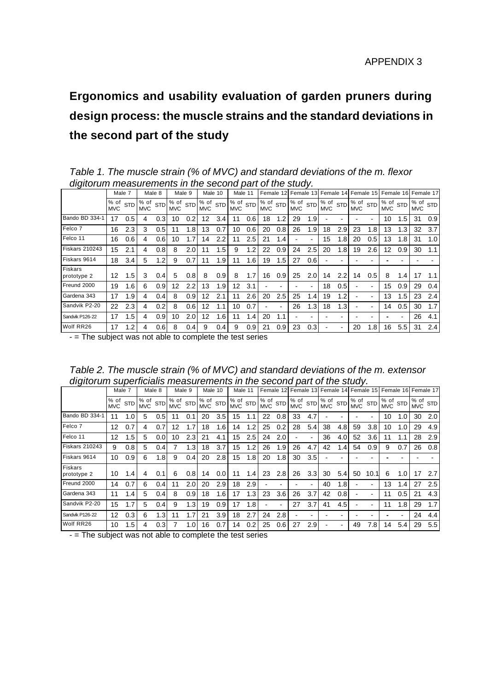## **Ergonomics and usability evaluation of garden pruners during design process: the muscle strains and the standard deviations in the second part of the study**

*Table 1. The muscle strain (% of MVC) and standard deviations of the m. flexor digitorum measurements in the second part of the study.* 

| $\cdot$                | Male 7             |            | Male 8             |            | Male 9             |                  | Male 10            |            |                              | Male 11 |                                   | Female |            | Female<br>13 <sup>l</sup> |                                 | Female 14 |                                                   | Female 15 | Female 16                         |     | Female 17                                    |     |
|------------------------|--------------------|------------|--------------------|------------|--------------------|------------------|--------------------|------------|------------------------------|---------|-----------------------------------|--------|------------|---------------------------|---------------------------------|-----------|---------------------------------------------------|-----------|-----------------------------------|-----|----------------------------------------------|-----|
|                        | % of<br><b>MVC</b> | <b>STD</b> | % of<br><b>MVC</b> | <b>STD</b> | % of<br><b>MVC</b> | <b>STD</b>       | % of<br><b>MVC</b> | <b>STD</b> | $1\%$ of $STD$<br><b>MVC</b> |         | $\sqrt{8}$ of $STD$<br><b>MVC</b> |        | <b>MVC</b> |                           | % of stp % of stp<br><b>MVC</b> |           | $\sqrt{\frac{1}{6}}$ of $\sqrt{SD}$<br><b>MVC</b> |           | $\sqrt{8}$ of $STD$<br><b>MVC</b> |     | $\sqrt{\frac{1}{6}}$ of $\sin$<br><b>MVC</b> |     |
| Bando BD 334-1         | 17                 | 0.5        | 4                  | 0.3        | 10                 | 0.2              | $12 \overline{ }$  | 3.4        | 11                           | 0.6     | 18                                |        | 29         | 1.9                       |                                 |           |                                                   |           | 10                                | 1.5 | 31                                           | 0.9 |
| Felco 7                | 16                 | 2.3        | 3                  | 0.5        |                    | 1.8 <sub>l</sub> | 13                 | 0.7        | 10                           | 0.6     | 20                                | 0.8    | 26         | 1.9                       | 18                              | 2.9       | 23                                                | 1.8       | 13                                |     | 32                                           | 3.7 |
| Felco 11               | 16                 | 0.6        | 4                  | 0.6        | 10                 | 1.71             | 14                 | 2.2        | 11                           | 2.5     | 21                                | 1.4    |            |                           | 15                              | 1.8       | 20                                                | 0.5       | 13                                | 1.8 | 31                                           | 1.0 |
| <b>Fiskars 210243</b>  | 15                 | 2.1        | 4                  | 0.8        | 8                  | 2.0 <sub>l</sub> | 11                 | 1.5        | 9                            | 1.2     | 22                                | 0.9    | 24         | 2.5                       | 20                              | 1.8       | 19                                                | 2.6       | 12                                | 0.9 | 30                                           | 1.1 |
| Fiskars 9614           | 18                 | 3.4        | 5                  | $\cdot$ .2 | 9                  | 0.71             | 11                 | 1.9        | 11                           | 1.6     | 19                                | 1.5    | 27         | 0.6                       |                                 |           |                                                   |           |                                   |     |                                              |     |
| Fiskars<br>prototype 2 | 12                 | 1.5.       | 3                  | 0.4        | 5                  | 0.8              | 8                  | 0.9        | 8                            | 1.7     | 16                                | 0.9    | 25         | 2.0                       | 14                              | 2.2       | 14                                                | 0.5       | 8                                 | 1.4 | 17                                           |     |
| Freund 2000            | 19                 | 1.6        | 6                  | 0.9        | 12                 | 2.2 <sub>1</sub> | 13                 | 1.9        | 12                           | 3.1     |                                   |        |            |                           | 18                              | 0.5       |                                                   |           | 15                                | 0.9 | 29                                           | 0.4 |
| Gardena 343            | 17                 | 1.9        | 4                  | 0.4        | 8                  | 0.9              | 12                 | 2.1        | 11                           | 2.6     | 20                                | 2.5    | 25         | 1.4                       | 19                              | 1.2       |                                                   |           | 13                                | 1.5 | 23                                           | 2.4 |
| Sandvik P2-20          | 22                 | 2.3        | 4                  | 0.2        | 8                  | 0.6              | 12                 |            | 10                           | 0.7     |                                   |        | 26         | 1.3                       | 18                              | 1.3       |                                                   |           | 14                                | 0.5 | 30                                           | 1.7 |
| Sandvik P126-22        | 17                 | 1.5        | 4                  | 0.9        | 10                 | 2.0 <sub>l</sub> | $12 \overline{ }$  | 1.6        | 11                           | 1.4     | 20                                | 1.1    |            |                           |                                 |           |                                                   |           |                                   |     | 26                                           | 4.1 |
| Wolf RR26              | 17                 | 1.2.       | 4                  | 0.6        | 8                  | 0.41             | 9                  | 0.4        | 9                            | 0.9     | 21                                | 0.9    | 23         | 0.3                       |                                 |           | 20                                                | 1.8       | 16                                | 5.5 | 31                                           | 2.4 |

- = The subject was not able to complete the test series

*Table 2. The muscle strain (% of MVC) and standard deviations of the m. extensor digitorum superficialis measurements in the second part of the study.* 

| $\sim$ . $\sim$ .             | Male 7             |            |                    | Male 8           |                    | Male 9     | Male 10            |                  | Male 11            |            |                    | Female 12  |                    |            | Female 13 Female 14 Female 15 |                  |                    |            |                            |     | Female 16 Female 17                 |     |
|-------------------------------|--------------------|------------|--------------------|------------------|--------------------|------------|--------------------|------------------|--------------------|------------|--------------------|------------|--------------------|------------|-------------------------------|------------------|--------------------|------------|----------------------------|-----|-------------------------------------|-----|
|                               | % of<br><b>MVC</b> | <b>STD</b> | % of<br><b>MVC</b> | <b>STD</b>       | % of<br><b>MVC</b> | <b>STD</b> | % of<br><b>MVC</b> | <b>STD</b>       | % of<br><b>MVC</b> | <b>STD</b> | % of<br><b>MVC</b> | <b>STD</b> | % of<br><b>MVC</b> | <b>STD</b> | % of<br><b>MVC</b>            | <b>STD</b>       | % of<br><b>MVC</b> | <b>STD</b> | $1\%$ of STD<br><b>MVC</b> |     | $\frac{1}{2}$ of stp.<br><b>MVC</b> |     |
| Bando BD 334-1                | 11                 | 1.0        | 5                  | 0.5 <sub>l</sub> | 11                 | 0.         | 20                 | $3.5\,$          | 15                 |            | 22                 | 0.8        | 33                 | 4.7        |                               |                  |                    |            | 10                         | 1.0 | 30                                  | 2.0 |
| Felco 7                       | 12                 | 0.7        | 4                  | 0.7              | 12                 |            | 18                 | 1.6              | 14                 |            | 25                 | 0.2        | 28                 | 5.4        | 38                            | 4.8              | 59                 | 3.8        | 10                         | 1.0 | 29                                  | 4.9 |
| Felco 11                      | 12                 | 1.5        | 5                  | 0.0              | 10                 | 2.3        | 21                 | 4.1              | 15                 | 2.5        | 24                 | 2.0        |                    |            | 36                            | 4.0              | 52                 | 3.6        | 11                         |     | 28                                  | 2.9 |
| <b>Fiskars 210243</b>         | 9                  | 0.8        | 5                  | 0.41             |                    | 1.3        | 18                 | 3.7              | 15                 | 1.2        | 26                 | 1.9        | 26                 | 4.7        | 42                            | 1.4              | 54                 | 0.9        | 9                          | 0.7 | 26                                  | 0.8 |
| Fiskars 9614                  | 10                 | 0.9        | 6                  | 1.8              | 9                  | 0.4        | 20                 | 2.8              | 15                 | 1.8        | 20                 | 1.8        | 30                 | 3.5        |                               |                  |                    |            |                            |     |                                     |     |
| <b>Fiskars</b><br>prototype 2 | 10                 | 1.4        | 4                  | 0.1              | 6                  | 0.8        | 14                 | 0.0 <sub>l</sub> | 11                 | 1.4        | 23                 | 2.8        | 26                 | 3.3        | 30                            | 5.4              | 50                 | 10.1       | 6                          | 1.0 | 17                                  | 2.7 |
| Freund 2000                   | 14                 | 0.7        | 6                  | 0.4 <sub>l</sub> | 11                 | 2.0        | 20                 | 2.9              | 18                 | 2.9        |                    |            |                    |            | 40                            | 1.8 <sub>1</sub> |                    |            | 13                         | 1.4 | 27                                  | 2.5 |
| Gardena 343                   | 11                 | 1.4        | 5                  | 0.41             | 8                  | 0.9        | 18                 | 1.6              | 17                 | 1.3        | 23                 | 3.6        | 26                 | 3.7        | 42                            | 0.8              |                    |            | 11                         | 0.5 | 21                                  | 4.3 |
| Sandvik P2-20                 | 15                 | 1.7        | 5                  | 0.41             | 9                  | 1.3        | 19                 | 0.9 <sub>1</sub> | 17                 | 1.8        |                    |            | 27                 | 3.7        | 41                            | 4.5              |                    |            | 11                         | 1.8 | 29                                  | 1.7 |
| Sandvik P126-22               | 12                 | 0.3        | 6                  | 1.3              | 11                 |            | 21                 | 3.9              | 18                 | 2.7        | 24                 | 2.8        |                    |            |                               |                  |                    |            |                            |     | 24                                  | 4.4 |
| Wolf RR26                     | 10                 | 1.5        | 4                  | 0.3 <sub>l</sub> |                    | $\cdot$ 0  | 16                 | 0.7              | 14                 | 0.2        | 25                 | 0.6        | 27                 | 2.9        |                               |                  | 49                 | 7.8        | 14                         | 5.4 | 29                                  | 5.5 |

- = The subject was not able to complete the test series